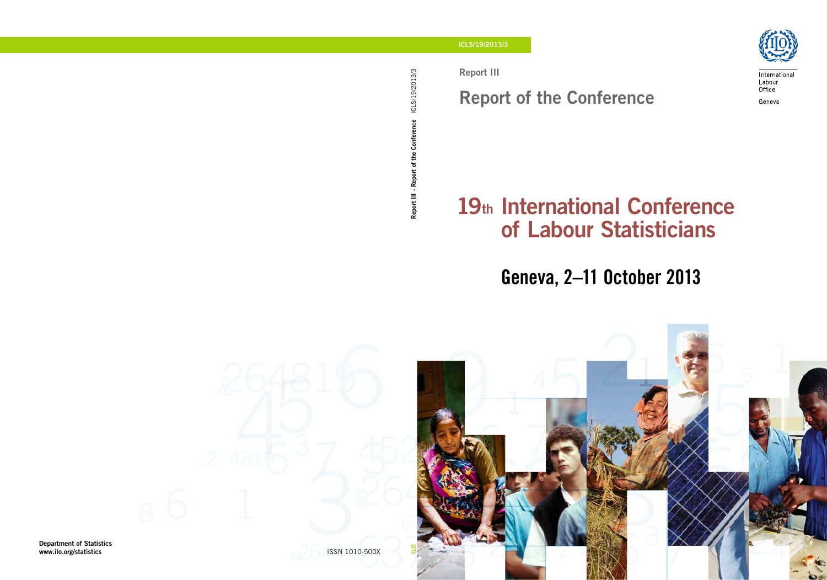Report III

# Report of the Conference



International Labour Office Geneva

# 19th International Conference of Labour Statisticians

# Geneva, 2–11 October 2013

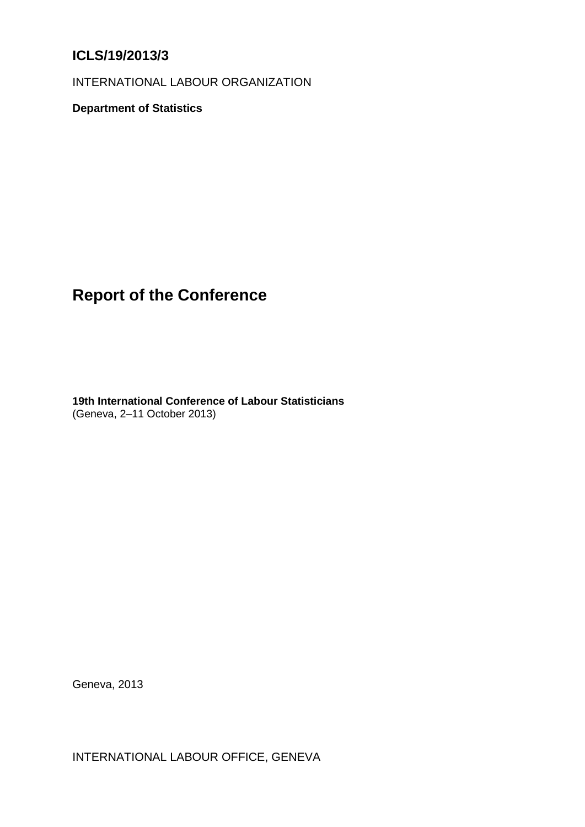# **ICLS/19/2013/3**

INTERNATIONAL LABOUR ORGANIZATION

**Department of Statistics**

# **Report of the Conference**

**19th International Conference of Labour Statisticians** (Geneva, 2–11 October 2013)

Geneva, 2013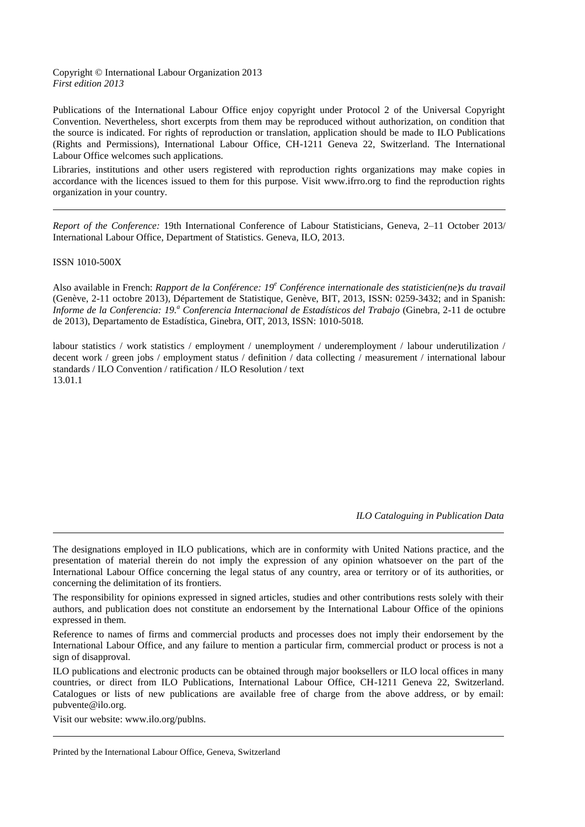#### Copyright © International Labour Organization 2013 *First edition 2013*

Publications of the International Labour Office enjoy copyright under Protocol 2 of the Universal Copyright Convention. Nevertheless, short excerpts from them may be reproduced without authorization, on condition that the source is indicated. For rights of reproduction or translation, application should be made to ILO Publications (Rights and Permissions), International Labour Office, CH-1211 Geneva 22, Switzerland. The International Labour Office welcomes such applications.

Libraries, institutions and other users registered with reproduction rights organizations may make copies in accordance with the licences issued to them for this purpose. Visit www.ifrro.org to find the reproduction rights organization in your country.

*Report of the Conference:* 19th International Conference of Labour Statisticians, Geneva, 2–11 October 2013/ International Labour Office, Department of Statistics. Geneva, ILO, 2013.

#### ISSN 1010-500X

Also available in French: *Rapport de la Conférence: 19<sup>e</sup> Conférence internationale des statisticien(ne)s du travail* (Genève, 2-11 octobre 2013), Département de Statistique, Genève, BIT, 2013, ISSN: 0259-3432; and in Spanish: *Informe de la Conferencia: 19.<sup>a</sup> Conferencia Internacional de Estadísticos del Trabajo* (Ginebra, 2-11 de octubre de 2013), Departamento de Estadística, Ginebra, OIT, 2013, ISSN: 1010-5018*.*

labour statistics / work statistics / employment / unemployment / underemployment / labour underutilization / decent work / green jobs / employment status / definition / data collecting / measurement / international labour standards / ILO Convention / ratification / ILO Resolution / text 13.01.1

*ILO Cataloguing in Publication Data*

The designations employed in ILO publications, which are in conformity with United Nations practice, and the presentation of material therein do not imply the expression of any opinion whatsoever on the part of the International Labour Office concerning the legal status of any country, area or territory or of its authorities, or concerning the delimitation of its frontiers.

The responsibility for opinions expressed in signed articles, studies and other contributions rests solely with their authors, and publication does not constitute an endorsement by the International Labour Office of the opinions expressed in them.

Reference to names of firms and commercial products and processes does not imply their endorsement by the International Labour Office, and any failure to mention a particular firm, commercial product or process is not a sign of disapproval.

ILO publications and electronic products can be obtained through major booksellers or ILO local offices in many countries, or direct from ILO Publications, International Labour Office, CH-1211 Geneva 22, Switzerland. Catalogues or lists of new publications are available free of charge from the above address, or by email: pubvente@ilo.org.

Visit our website: www.ilo.org/publns.

Printed by the International Labour Office, Geneva, Switzerland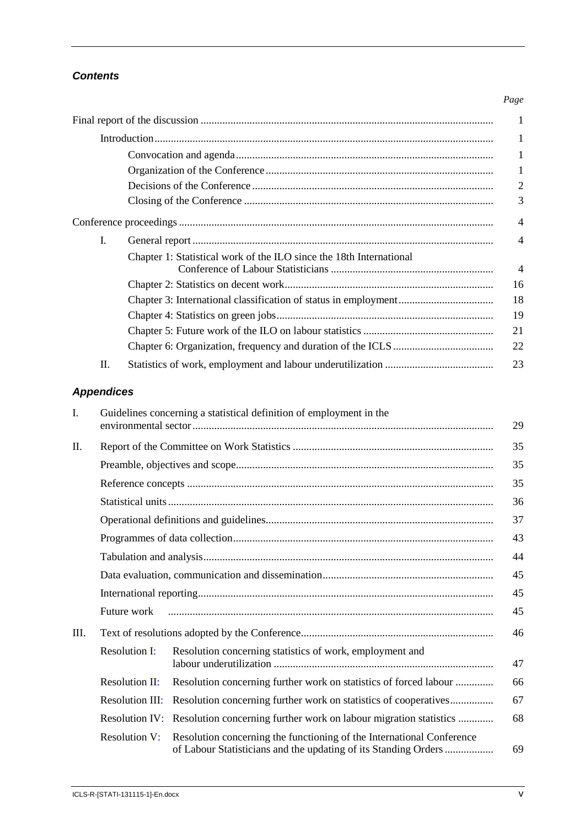# *Contents*

# Final report of the discussion [............................................................................................................](#page-5-0) 1 [Introduction.............................................................................................................................](#page-5-1) 1 [Convocation and agenda...............................................................................................](#page-5-2) 1 [Organization of the Conference....................................................................................](#page-5-3) 1 Decisions of the Conference [.........................................................................................](#page-6-0) 2 Closing of the Conference [............................................................................................](#page-7-0) 3 [Conference proceedings....................................................................................................................](#page-8-0) 4 I. General report [...............................................................................................................](#page-8-1) 4 [Chapter 1: Statistical work of the ILO since the 18th](#page-8-2) International Conference of Labour Statisticians [............................................................](#page-8-2) 4 [Chapter 2: Statistics on decent work.............................................................................](#page-20-0) 16 [Chapter 3: International classification of status in employment...................................](#page-22-0) 18 [Chapter 4: Statistics on green jobs................................................................................](#page-23-0) 19 [Chapter 5: Future work of the ILO on labour statistics................................................](#page-25-0) 21 [Chapter 6: Organization, frequency and duration of the ICLS](#page-26-0) ..................................... 22 II. [Statistics of work, employment and labour underutilization](#page-27-0) ........................................ 23

# *Appendices*

| I. | Guidelines concerning a statistical definition of employment in the |                                                                                                                                          |    |
|----|---------------------------------------------------------------------|------------------------------------------------------------------------------------------------------------------------------------------|----|
|    |                                                                     |                                                                                                                                          | 29 |
| П. |                                                                     |                                                                                                                                          | 35 |
|    |                                                                     |                                                                                                                                          | 35 |
|    |                                                                     |                                                                                                                                          | 35 |
|    |                                                                     |                                                                                                                                          |    |
|    |                                                                     |                                                                                                                                          | 37 |
|    |                                                                     |                                                                                                                                          | 43 |
|    |                                                                     |                                                                                                                                          | 44 |
|    |                                                                     |                                                                                                                                          | 45 |
|    |                                                                     |                                                                                                                                          | 45 |
|    | Future work                                                         |                                                                                                                                          | 45 |
| Ш. |                                                                     |                                                                                                                                          | 46 |
|    | <b>Resolution I:</b>                                                | Resolution concerning statistics of work, employment and                                                                                 |    |
|    |                                                                     |                                                                                                                                          | 47 |
|    | <b>Resolution II:</b>                                               | Resolution concerning further work on statistics of forced labour                                                                        | 66 |
|    | <b>Resolution III:</b>                                              | Resolution concerning further work on statistics of cooperatives                                                                         | 67 |
|    | <b>Resolution IV:</b>                                               | Resolution concerning further work on labour migration statistics                                                                        | 68 |
|    | <b>Resolution V:</b>                                                | Resolution concerning the functioning of the International Conference<br>of Labour Statisticians and the updating of its Standing Orders | 69 |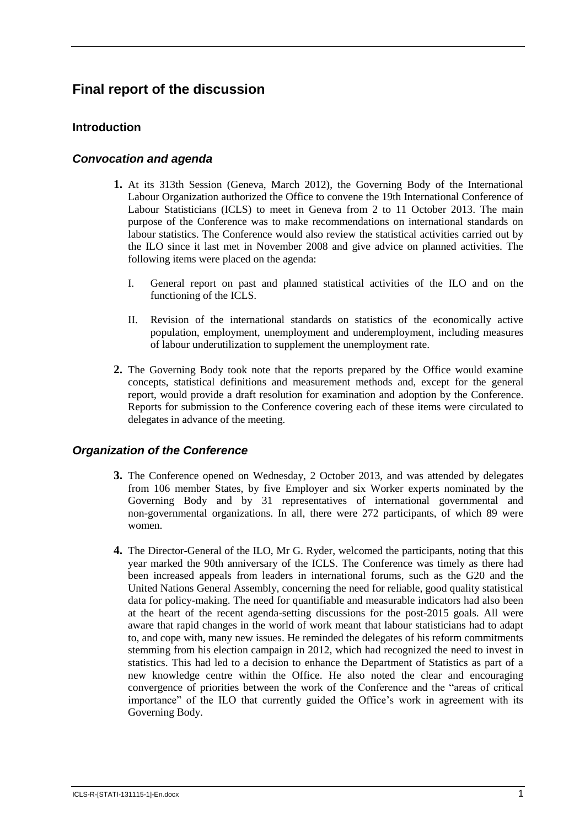# <span id="page-5-0"></span>**Final report of the discussion**

# <span id="page-5-1"></span>**Introduction**

## <span id="page-5-2"></span>*Convocation and agenda*

- **1.** At its 313th Session (Geneva, March 2012), the Governing Body of the International Labour Organization authorized the Office to convene the 19th International Conference of Labour Statisticians (ICLS) to meet in Geneva from 2 to 11 October 2013. The main purpose of the Conference was to make recommendations on international standards on labour statistics. The Conference would also review the statistical activities carried out by the ILO since it last met in November 2008 and give advice on planned activities. The following items were placed on the agenda:
	- I. General report on past and planned statistical activities of the ILO and on the functioning of the ICLS.
	- II. Revision of the international standards on statistics of the economically active population, employment, unemployment and underemployment, including measures of labour underutilization to supplement the unemployment rate.
- **2.** The Governing Body took note that the reports prepared by the Office would examine concepts, statistical definitions and measurement methods and, except for the general report, would provide a draft resolution for examination and adoption by the Conference. Reports for submission to the Conference covering each of these items were circulated to delegates in advance of the meeting.

### <span id="page-5-3"></span>*Organization of the Conference*

- **3.** The Conference opened on Wednesday, 2 October 2013, and was attended by delegates from 106 member States, by five Employer and six Worker experts nominated by the Governing Body and by 31 representatives of international governmental and non-governmental organizations. In all, there were 272 participants, of which 89 were women.
- **4.** The Director-General of the ILO, Mr G. Ryder, welcomed the participants, noting that this year marked the 90th anniversary of the ICLS. The Conference was timely as there had been increased appeals from leaders in international forums, such as the G20 and the United Nations General Assembly, concerning the need for reliable, good quality statistical data for policy-making. The need for quantifiable and measurable indicators had also been at the heart of the recent agenda-setting discussions for the post-2015 goals. All were aware that rapid changes in the world of work meant that labour statisticians had to adapt to, and cope with, many new issues. He reminded the delegates of his reform commitments stemming from his election campaign in 2012, which had recognized the need to invest in statistics. This had led to a decision to enhance the Department of Statistics as part of a new knowledge centre within the Office. He also noted the clear and encouraging convergence of priorities between the work of the Conference and the "areas of critical importance" of the ILO that currently guided the Office's work in agreement with its Governing Body.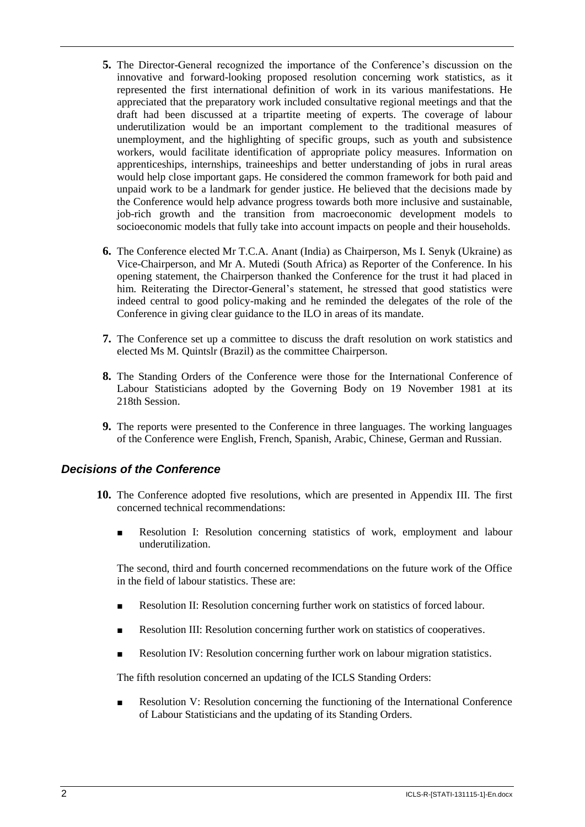- **5.** The Director-General recognized the importance of the Conference's discussion on the innovative and forward-looking proposed resolution concerning work statistics, as it represented the first international definition of work in its various manifestations. He appreciated that the preparatory work included consultative regional meetings and that the draft had been discussed at a tripartite meeting of experts. The coverage of labour underutilization would be an important complement to the traditional measures of unemployment, and the highlighting of specific groups, such as youth and subsistence workers, would facilitate identification of appropriate policy measures. Information on apprenticeships, internships, traineeships and better understanding of jobs in rural areas would help close important gaps. He considered the common framework for both paid and unpaid work to be a landmark for gender justice. He believed that the decisions made by the Conference would help advance progress towards both more inclusive and sustainable, job-rich growth and the transition from macroeconomic development models to socioeconomic models that fully take into account impacts on people and their households.
- **6.** The Conference elected Mr T.C.A. Anant (India) as Chairperson, Ms I. Senyk (Ukraine) as Vice-Chairperson, and Mr A. Mutedi (South Africa) as Reporter of the Conference. In his opening statement, the Chairperson thanked the Conference for the trust it had placed in him. Reiterating the Director-General's statement, he stressed that good statistics were indeed central to good policy-making and he reminded the delegates of the role of the Conference in giving clear guidance to the ILO in areas of its mandate.
- **7.** The Conference set up a committee to discuss the draft resolution on work statistics and elected Ms M. Quintslr (Brazil) as the committee Chairperson.
- **8.** The Standing Orders of the Conference were those for the International Conference of Labour Statisticians adopted by the Governing Body on 19 November 1981 at its 218th Session.
- **9.** The reports were presented to the Conference in three languages. The working languages of the Conference were English, French, Spanish, Arabic, Chinese, German and Russian.

### <span id="page-6-0"></span>*Decisions of the Conference*

- **10.** The Conference adopted five resolutions, which are presented in Appendix III. The first concerned technical recommendations:
	- Resolution I: Resolution concerning statistics of work, employment and labour underutilization.

The second, third and fourth concerned recommendations on the future work of the Office in the field of labour statistics. These are:

- Resolution II: Resolution concerning further work on statistics of forced labour.
- Resolution III: Resolution concerning further work on statistics of cooperatives.
- Resolution IV: Resolution concerning further work on labour migration statistics.

The fifth resolution concerned an updating of the ICLS Standing Orders:

■ Resolution V: Resolution concerning the functioning of the International Conference of Labour Statisticians and the updating of its Standing Orders.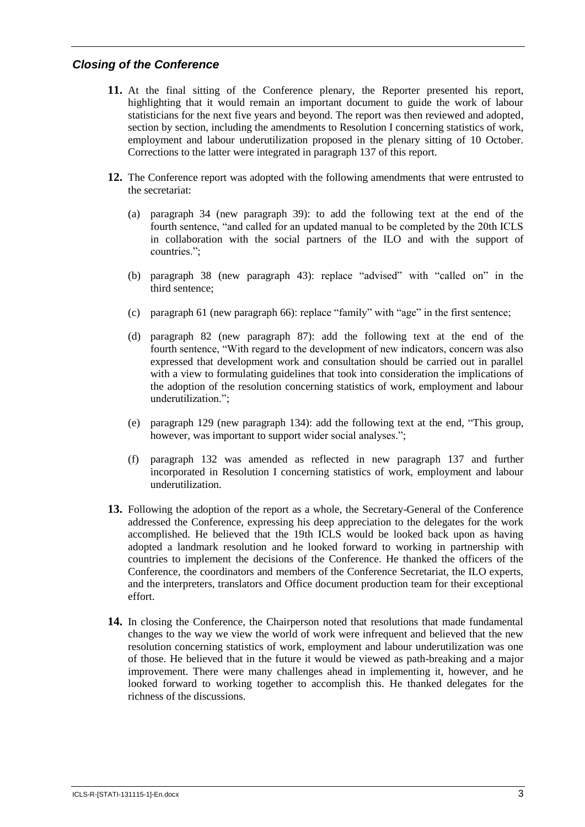## <span id="page-7-0"></span>*Closing of the Conference*

- **11.** At the final sitting of the Conference plenary, the Reporter presented his report, highlighting that it would remain an important document to guide the work of labour statisticians for the next five years and beyond. The report was then reviewed and adopted, section by section, including the amendments to Resolution I concerning statistics of work, employment and labour underutilization proposed in the plenary sitting of 10 October. Corrections to the latter were integrated in paragraph 137 of this report.
- **12.** The Conference report was adopted with the following amendments that were entrusted to the secretariat:
	- (a) paragraph 34 (new paragraph 39): to add the following text at the end of the fourth sentence, "and called for an updated manual to be completed by the 20th ICLS in collaboration with the social partners of the ILO and with the support of countries.";
	- (b) paragraph 38 (new paragraph 43): replace "advised" with "called on" in the third sentence;
	- (c) paragraph 61 (new paragraph 66): replace "family" with "age" in the first sentence;
	- (d) paragraph 82 (new paragraph 87): add the following text at the end of the fourth sentence, "With regard to the development of new indicators, concern was also expressed that development work and consultation should be carried out in parallel with a view to formulating guidelines that took into consideration the implications of the adoption of the resolution concerning statistics of work, employment and labour underutilization.";
	- (e) paragraph 129 (new paragraph 134): add the following text at the end, "This group, however, was important to support wider social analyses.";
	- (f) paragraph 132 was amended as reflected in new paragraph 137 and further incorporated in Resolution I concerning statistics of work, employment and labour underutilization.
- **13.** Following the adoption of the report as a whole, the Secretary-General of the Conference addressed the Conference, expressing his deep appreciation to the delegates for the work accomplished. He believed that the 19th ICLS would be looked back upon as having adopted a landmark resolution and he looked forward to working in partnership with countries to implement the decisions of the Conference. He thanked the officers of the Conference, the coordinators and members of the Conference Secretariat, the ILO experts, and the interpreters, translators and Office document production team for their exceptional effort.
- **14.** In closing the Conference, the Chairperson noted that resolutions that made fundamental changes to the way we view the world of work were infrequent and believed that the new resolution concerning statistics of work, employment and labour underutilization was one of those. He believed that in the future it would be viewed as path-breaking and a major improvement. There were many challenges ahead in implementing it, however, and he looked forward to working together to accomplish this. He thanked delegates for the richness of the discussions.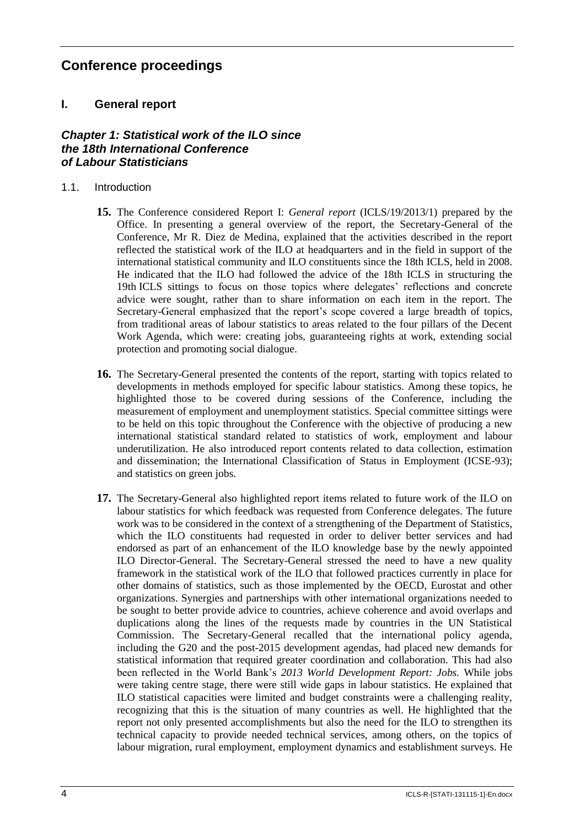# <span id="page-8-0"></span>**Conference proceedings**

# <span id="page-8-1"></span>**I. General report**

# <span id="page-8-2"></span>*Chapter 1: Statistical work of the ILO since the 18th International Conference of Labour Statisticians*

- 1.1. Introduction
	- **15.** The Conference considered Report I: *General report* (ICLS/19/2013/1) prepared by the Office. In presenting a general overview of the report, the Secretary-General of the Conference, Mr R. Diez de Medina, explained that the activities described in the report reflected the statistical work of the ILO at headquarters and in the field in support of the international statistical community and ILO constituents since the 18th ICLS, held in 2008. He indicated that the ILO had followed the advice of the 18th ICLS in structuring the 19th ICLS sittings to focus on those topics where delegates' reflections and concrete advice were sought, rather than to share information on each item in the report. The Secretary-General emphasized that the report's scope covered a large breadth of topics, from traditional areas of labour statistics to areas related to the four pillars of the Decent Work Agenda, which were: creating jobs, guaranteeing rights at work, extending social protection and promoting social dialogue.
	- **16.** The Secretary-General presented the contents of the report, starting with topics related to developments in methods employed for specific labour statistics. Among these topics, he highlighted those to be covered during sessions of the Conference, including the measurement of employment and unemployment statistics. Special committee sittings were to be held on this topic throughout the Conference with the objective of producing a new international statistical standard related to statistics of work, employment and labour underutilization. He also introduced report contents related to data collection, estimation and dissemination; the International Classification of Status in Employment (ICSE-93); and statistics on green jobs.
	- **17.** The Secretary-General also highlighted report items related to future work of the ILO on labour statistics for which feedback was requested from Conference delegates. The future work was to be considered in the context of a strengthening of the Department of Statistics, which the ILO constituents had requested in order to deliver better services and had endorsed as part of an enhancement of the ILO knowledge base by the newly appointed ILO Director-General. The Secretary-General stressed the need to have a new quality framework in the statistical work of the ILO that followed practices currently in place for other domains of statistics, such as those implemented by the OECD, Eurostat and other organizations. Synergies and partnerships with other international organizations needed to be sought to better provide advice to countries, achieve coherence and avoid overlaps and duplications along the lines of the requests made by countries in the UN Statistical Commission. The Secretary-General recalled that the international policy agenda, including the G20 and the post-2015 development agendas, had placed new demands for statistical information that required greater coordination and collaboration. This had also been reflected in the World Bank's *2013 World Development Report: Jobs.* While jobs were taking centre stage, there were still wide gaps in labour statistics. He explained that ILO statistical capacities were limited and budget constraints were a challenging reality, recognizing that this is the situation of many countries as well. He highlighted that the report not only presented accomplishments but also the need for the ILO to strengthen its technical capacity to provide needed technical services, among others, on the topics of labour migration, rural employment, employment dynamics and establishment surveys. He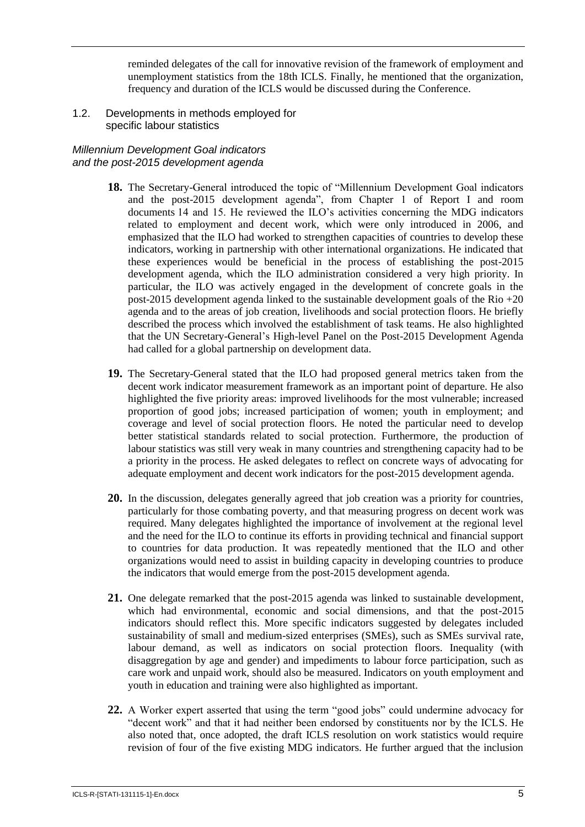reminded delegates of the call for innovative revision of the framework of employment and unemployment statistics from the 18th ICLS. Finally, he mentioned that the organization, frequency and duration of the ICLS would be discussed during the Conference.

1.2. Developments in methods employed for specific labour statistics

#### *Millennium Development Goal indicators and the post-2015 development agenda*

- **18.** The Secretary-General introduced the topic of "Millennium Development Goal indicators and the post-2015 development agenda", from Chapter 1 of Report I and room documents 14 and 15. He reviewed the ILO's activities concerning the MDG indicators related to employment and decent work, which were only introduced in 2006, and emphasized that the ILO had worked to strengthen capacities of countries to develop these indicators, working in partnership with other international organizations. He indicated that these experiences would be beneficial in the process of establishing the post-2015 development agenda, which the ILO administration considered a very high priority. In particular, the ILO was actively engaged in the development of concrete goals in the post-2015 development agenda linked to the sustainable development goals of the Rio  $+20$ agenda and to the areas of job creation, livelihoods and social protection floors. He briefly described the process which involved the establishment of task teams. He also highlighted that the UN Secretary-General's High-level Panel on the Post-2015 Development Agenda had called for a global partnership on development data.
- **19.** The Secretary-General stated that the ILO had proposed general metrics taken from the decent work indicator measurement framework as an important point of departure. He also highlighted the five priority areas: improved livelihoods for the most vulnerable; increased proportion of good jobs; increased participation of women; youth in employment; and coverage and level of social protection floors. He noted the particular need to develop better statistical standards related to social protection. Furthermore, the production of labour statistics was still very weak in many countries and strengthening capacity had to be a priority in the process. He asked delegates to reflect on concrete ways of advocating for adequate employment and decent work indicators for the post-2015 development agenda.
- **20.** In the discussion, delegates generally agreed that job creation was a priority for countries, particularly for those combating poverty, and that measuring progress on decent work was required. Many delegates highlighted the importance of involvement at the regional level and the need for the ILO to continue its efforts in providing technical and financial support to countries for data production. It was repeatedly mentioned that the ILO and other organizations would need to assist in building capacity in developing countries to produce the indicators that would emerge from the post-2015 development agenda.
- **21.** One delegate remarked that the post-2015 agenda was linked to sustainable development, which had environmental, economic and social dimensions, and that the post-2015 indicators should reflect this. More specific indicators suggested by delegates included sustainability of small and medium-sized enterprises (SMEs), such as SMEs survival rate, labour demand, as well as indicators on social protection floors. Inequality (with disaggregation by age and gender) and impediments to labour force participation, such as care work and unpaid work, should also be measured. Indicators on youth employment and youth in education and training were also highlighted as important.
- **22.** A Worker expert asserted that using the term "good jobs" could undermine advocacy for "decent work" and that it had neither been endorsed by constituents nor by the ICLS. He also noted that, once adopted, the draft ICLS resolution on work statistics would require revision of four of the five existing MDG indicators. He further argued that the inclusion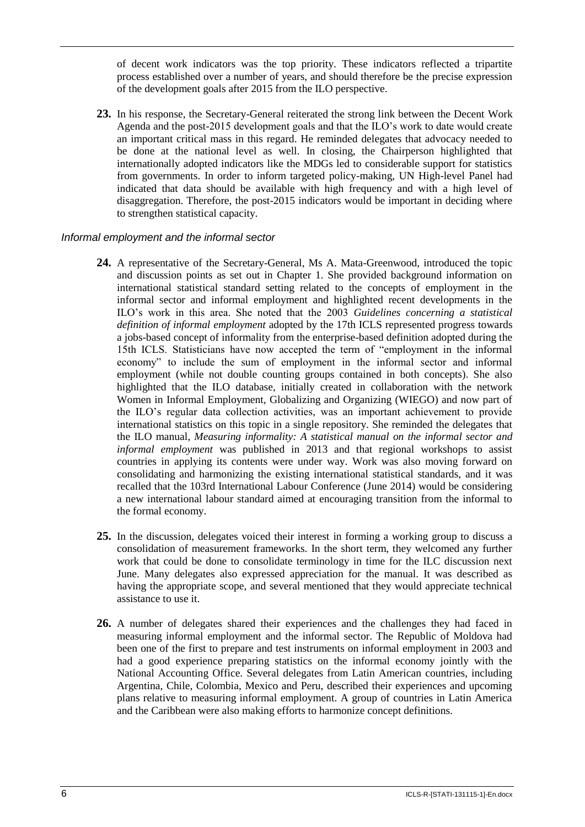of decent work indicators was the top priority. These indicators reflected a tripartite process established over a number of years, and should therefore be the precise expression of the development goals after 2015 from the ILO perspective.

**23.** In his response, the Secretary-General reiterated the strong link between the Decent Work Agenda and the post-2015 development goals and that the ILO's work to date would create an important critical mass in this regard. He reminded delegates that advocacy needed to be done at the national level as well. In closing, the Chairperson highlighted that internationally adopted indicators like the MDGs led to considerable support for statistics from governments. In order to inform targeted policy-making, UN High-level Panel had indicated that data should be available with high frequency and with a high level of disaggregation. Therefore, the post-2015 indicators would be important in deciding where to strengthen statistical capacity.

#### *Informal employment and the informal sector*

- **24.** A representative of the Secretary-General, Ms A. Mata-Greenwood, introduced the topic and discussion points as set out in Chapter 1. She provided background information on international statistical standard setting related to the concepts of employment in the informal sector and informal employment and highlighted recent developments in the ILO's work in this area. She noted that the 2003 *Guidelines concerning a statistical definition of informal employment* adopted by the 17th ICLS represented progress towards a jobs-based concept of informality from the enterprise-based definition adopted during the 15th ICLS. Statisticians have now accepted the term of "employment in the informal economy" to include the sum of employment in the informal sector and informal employment (while not double counting groups contained in both concepts). She also highlighted that the ILO database, initially created in collaboration with the network Women in Informal Employment, Globalizing and Organizing (WIEGO) and now part of the ILO's regular data collection activities, was an important achievement to provide international statistics on this topic in a single repository. She reminded the delegates that the ILO manual, *Measuring informality: A statistical manual on the informal sector and informal employment* was published in 2013 and that regional workshops to assist countries in applying its contents were under way. Work was also moving forward on consolidating and harmonizing the existing international statistical standards, and it was recalled that the 103rd International Labour Conference (June 2014) would be considering a new international labour standard aimed at encouraging transition from the informal to the formal economy.
- **25.** In the discussion, delegates voiced their interest in forming a working group to discuss a consolidation of measurement frameworks. In the short term, they welcomed any further work that could be done to consolidate terminology in time for the ILC discussion next June. Many delegates also expressed appreciation for the manual. It was described as having the appropriate scope, and several mentioned that they would appreciate technical assistance to use it.
- **26.** A number of delegates shared their experiences and the challenges they had faced in measuring informal employment and the informal sector. The Republic of Moldova had been one of the first to prepare and test instruments on informal employment in 2003 and had a good experience preparing statistics on the informal economy jointly with the National Accounting Office. Several delegates from Latin American countries, including Argentina, Chile, Colombia, Mexico and Peru, described their experiences and upcoming plans relative to measuring informal employment. A group of countries in Latin America and the Caribbean were also making efforts to harmonize concept definitions.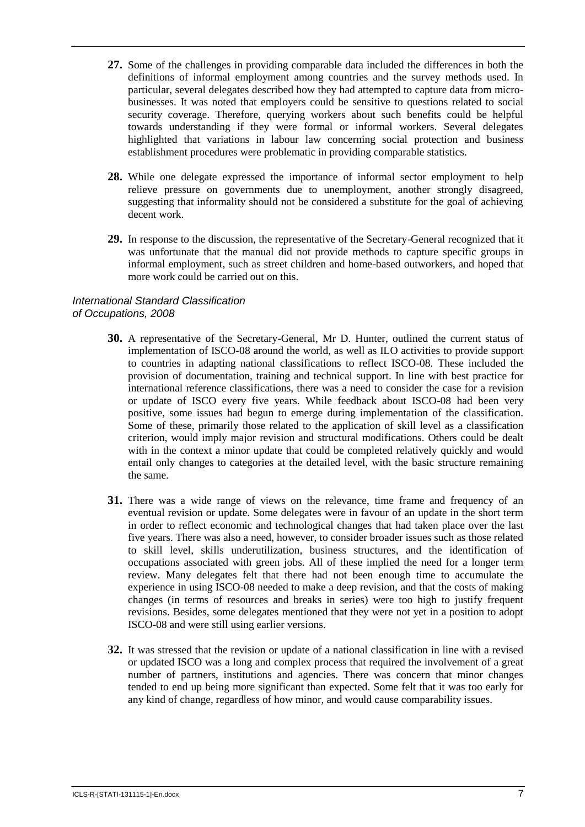- **27.** Some of the challenges in providing comparable data included the differences in both the definitions of informal employment among countries and the survey methods used. In particular, several delegates described how they had attempted to capture data from microbusinesses. It was noted that employers could be sensitive to questions related to social security coverage. Therefore, querying workers about such benefits could be helpful towards understanding if they were formal or informal workers. Several delegates highlighted that variations in labour law concerning social protection and business establishment procedures were problematic in providing comparable statistics.
- **28.** While one delegate expressed the importance of informal sector employment to help relieve pressure on governments due to unemployment, another strongly disagreed, suggesting that informality should not be considered a substitute for the goal of achieving decent work.
- **29.** In response to the discussion, the representative of the Secretary-General recognized that it was unfortunate that the manual did not provide methods to capture specific groups in informal employment, such as street children and home-based outworkers, and hoped that more work could be carried out on this.

## *International Standard Classification of Occupations, 2008*

- **30.** A representative of the Secretary-General, Mr D. Hunter, outlined the current status of implementation of ISCO-08 around the world, as well as ILO activities to provide support to countries in adapting national classifications to reflect ISCO-08. These included the provision of documentation, training and technical support. In line with best practice for international reference classifications, there was a need to consider the case for a revision or update of ISCO every five years. While feedback about ISCO-08 had been very positive, some issues had begun to emerge during implementation of the classification. Some of these, primarily those related to the application of skill level as a classification criterion, would imply major revision and structural modifications. Others could be dealt with in the context a minor update that could be completed relatively quickly and would entail only changes to categories at the detailed level, with the basic structure remaining the same.
- **31.** There was a wide range of views on the relevance, time frame and frequency of an eventual revision or update. Some delegates were in favour of an update in the short term in order to reflect economic and technological changes that had taken place over the last five years. There was also a need, however, to consider broader issues such as those related to skill level, skills underutilization, business structures, and the identification of occupations associated with green jobs. All of these implied the need for a longer term review. Many delegates felt that there had not been enough time to accumulate the experience in using ISCO-08 needed to make a deep revision, and that the costs of making changes (in terms of resources and breaks in series) were too high to justify frequent revisions. Besides, some delegates mentioned that they were not yet in a position to adopt ISCO-08 and were still using earlier versions.
- **32.** It was stressed that the revision or update of a national classification in line with a revised or updated ISCO was a long and complex process that required the involvement of a great number of partners, institutions and agencies. There was concern that minor changes tended to end up being more significant than expected. Some felt that it was too early for any kind of change, regardless of how minor, and would cause comparability issues.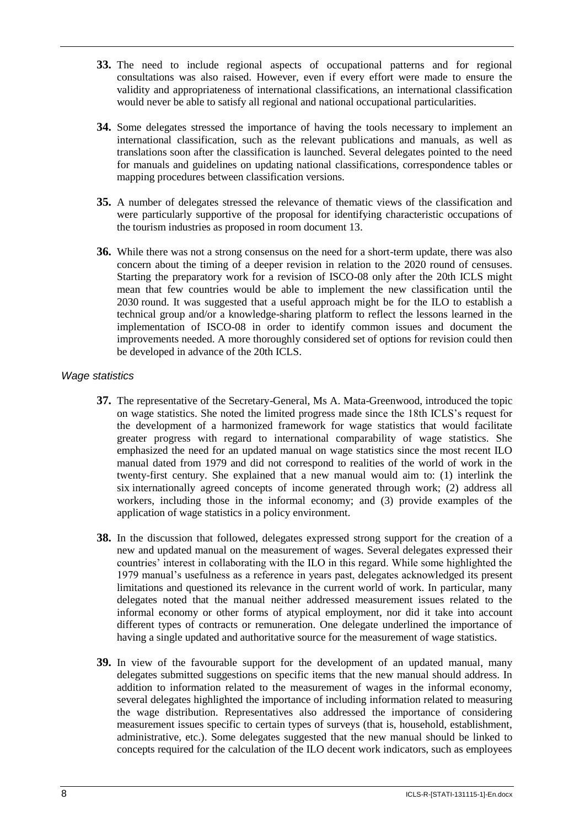- **33.** The need to include regional aspects of occupational patterns and for regional consultations was also raised. However, even if every effort were made to ensure the validity and appropriateness of international classifications, an international classification would never be able to satisfy all regional and national occupational particularities.
- **34.** Some delegates stressed the importance of having the tools necessary to implement an international classification, such as the relevant publications and manuals, as well as translations soon after the classification is launched. Several delegates pointed to the need for manuals and guidelines on updating national classifications, correspondence tables or mapping procedures between classification versions.
- **35.** A number of delegates stressed the relevance of thematic views of the classification and were particularly supportive of the proposal for identifying characteristic occupations of the tourism industries as proposed in room document 13.
- **36.** While there was not a strong consensus on the need for a short-term update, there was also concern about the timing of a deeper revision in relation to the 2020 round of censuses. Starting the preparatory work for a revision of ISCO-08 only after the 20th ICLS might mean that few countries would be able to implement the new classification until the 2030 round. It was suggested that a useful approach might be for the ILO to establish a technical group and/or a knowledge-sharing platform to reflect the lessons learned in the implementation of ISCO-08 in order to identify common issues and document the improvements needed. A more thoroughly considered set of options for revision could then be developed in advance of the 20th ICLS.

#### *Wage statistics*

- **37.** The representative of the Secretary-General, Ms A. Mata-Greenwood, introduced the topic on wage statistics. She noted the limited progress made since the 18th ICLS's request for the development of a harmonized framework for wage statistics that would facilitate greater progress with regard to international comparability of wage statistics. She emphasized the need for an updated manual on wage statistics since the most recent ILO manual dated from 1979 and did not correspond to realities of the world of work in the twenty-first century. She explained that a new manual would aim to: (1) interlink the six internationally agreed concepts of income generated through work; (2) address all workers, including those in the informal economy; and (3) provide examples of the application of wage statistics in a policy environment.
- **38.** In the discussion that followed, delegates expressed strong support for the creation of a new and updated manual on the measurement of wages. Several delegates expressed their countries' interest in collaborating with the ILO in this regard. While some highlighted the 1979 manual's usefulness as a reference in years past, delegates acknowledged its present limitations and questioned its relevance in the current world of work. In particular, many delegates noted that the manual neither addressed measurement issues related to the informal economy or other forms of atypical employment, nor did it take into account different types of contracts or remuneration. One delegate underlined the importance of having a single updated and authoritative source for the measurement of wage statistics.
- **39.** In view of the favourable support for the development of an updated manual, many delegates submitted suggestions on specific items that the new manual should address. In addition to information related to the measurement of wages in the informal economy, several delegates highlighted the importance of including information related to measuring the wage distribution. Representatives also addressed the importance of considering measurement issues specific to certain types of surveys (that is, household, establishment, administrative, etc.). Some delegates suggested that the new manual should be linked to concepts required for the calculation of the ILO decent work indicators, such as employees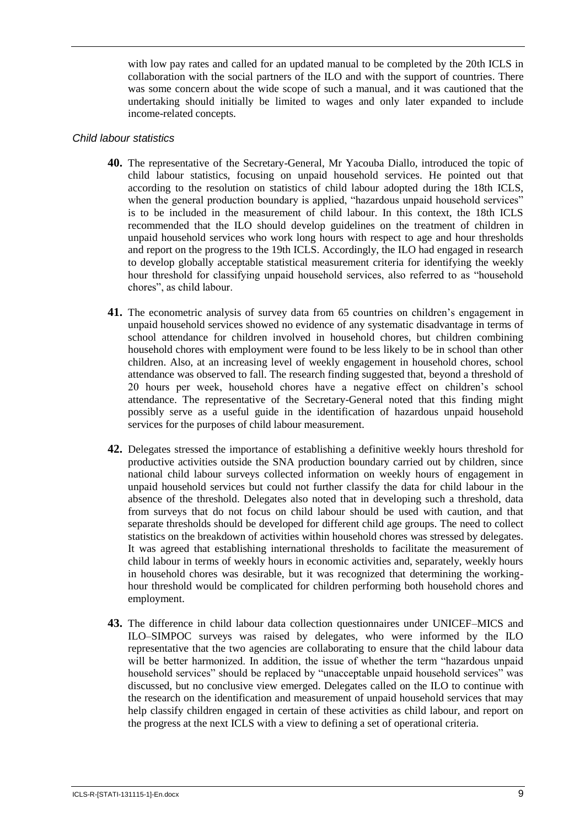with low pay rates and called for an updated manual to be completed by the 20th ICLS in collaboration with the social partners of the ILO and with the support of countries. There was some concern about the wide scope of such a manual, and it was cautioned that the undertaking should initially be limited to wages and only later expanded to include income-related concepts.

#### *Child labour statistics*

- **40.** The representative of the Secretary-General, Mr Yacouba Diallo, introduced the topic of child labour statistics, focusing on unpaid household services. He pointed out that according to the resolution on statistics of child labour adopted during the 18th ICLS, when the general production boundary is applied, "hazardous unpaid household services" is to be included in the measurement of child labour. In this context, the 18th ICLS recommended that the ILO should develop guidelines on the treatment of children in unpaid household services who work long hours with respect to age and hour thresholds and report on the progress to the 19th ICLS. Accordingly, the ILO had engaged in research to develop globally acceptable statistical measurement criteria for identifying the weekly hour threshold for classifying unpaid household services, also referred to as "household chores", as child labour.
- **41.** The econometric analysis of survey data from 65 countries on children's engagement in unpaid household services showed no evidence of any systematic disadvantage in terms of school attendance for children involved in household chores, but children combining household chores with employment were found to be less likely to be in school than other children. Also, at an increasing level of weekly engagement in household chores, school attendance was observed to fall. The research finding suggested that, beyond a threshold of 20 hours per week, household chores have a negative effect on children's school attendance. The representative of the Secretary-General noted that this finding might possibly serve as a useful guide in the identification of hazardous unpaid household services for the purposes of child labour measurement.
- **42.** Delegates stressed the importance of establishing a definitive weekly hours threshold for productive activities outside the SNA production boundary carried out by children, since national child labour surveys collected information on weekly hours of engagement in unpaid household services but could not further classify the data for child labour in the absence of the threshold. Delegates also noted that in developing such a threshold, data from surveys that do not focus on child labour should be used with caution, and that separate thresholds should be developed for different child age groups. The need to collect statistics on the breakdown of activities within household chores was stressed by delegates. It was agreed that establishing international thresholds to facilitate the measurement of child labour in terms of weekly hours in economic activities and, separately, weekly hours in household chores was desirable, but it was recognized that determining the workinghour threshold would be complicated for children performing both household chores and employment.
- **43.** The difference in child labour data collection questionnaires under UNICEF–MICS and ILO–SIMPOC surveys was raised by delegates, who were informed by the ILO representative that the two agencies are collaborating to ensure that the child labour data will be better harmonized. In addition, the issue of whether the term "hazardous unpaid household services" should be replaced by "unacceptable unpaid household services" was discussed, but no conclusive view emerged. Delegates called on the ILO to continue with the research on the identification and measurement of unpaid household services that may help classify children engaged in certain of these activities as child labour, and report on the progress at the next ICLS with a view to defining a set of operational criteria.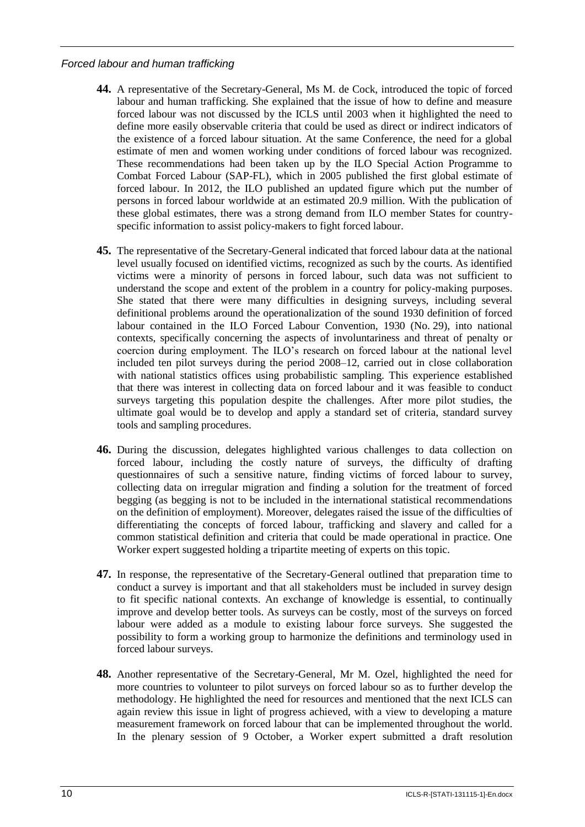## *Forced labour and human trafficking*

- **44.** A representative of the Secretary-General, Ms M. de Cock, introduced the topic of forced labour and human trafficking. She explained that the issue of how to define and measure forced labour was not discussed by the ICLS until 2003 when it highlighted the need to define more easily observable criteria that could be used as direct or indirect indicators of the existence of a forced labour situation. At the same Conference, the need for a global estimate of men and women working under conditions of forced labour was recognized. These recommendations had been taken up by the ILO Special Action Programme to Combat Forced Labour (SAP-FL), which in 2005 published the first global estimate of forced labour. In 2012, the ILO published an updated figure which put the number of persons in forced labour worldwide at an estimated 20.9 million. With the publication of these global estimates, there was a strong demand from ILO member States for countryspecific information to assist policy-makers to fight forced labour.
- **45.** The representative of the Secretary-General indicated that forced labour data at the national level usually focused on identified victims, recognized as such by the courts. As identified victims were a minority of persons in forced labour, such data was not sufficient to understand the scope and extent of the problem in a country for policy-making purposes. She stated that there were many difficulties in designing surveys, including several definitional problems around the operationalization of the sound 1930 definition of forced labour contained in the ILO Forced Labour Convention, 1930 (No. 29), into national contexts, specifically concerning the aspects of involuntariness and threat of penalty or coercion during employment. The ILO's research on forced labour at the national level included ten pilot surveys during the period 2008–12, carried out in close collaboration with national statistics offices using probabilistic sampling. This experience established that there was interest in collecting data on forced labour and it was feasible to conduct surveys targeting this population despite the challenges. After more pilot studies, the ultimate goal would be to develop and apply a standard set of criteria, standard survey tools and sampling procedures.
- **46.** During the discussion, delegates highlighted various challenges to data collection on forced labour, including the costly nature of surveys, the difficulty of drafting questionnaires of such a sensitive nature, finding victims of forced labour to survey, collecting data on irregular migration and finding a solution for the treatment of forced begging (as begging is not to be included in the international statistical recommendations on the definition of employment). Moreover, delegates raised the issue of the difficulties of differentiating the concepts of forced labour, trafficking and slavery and called for a common statistical definition and criteria that could be made operational in practice. One Worker expert suggested holding a tripartite meeting of experts on this topic.
- **47.** In response, the representative of the Secretary-General outlined that preparation time to conduct a survey is important and that all stakeholders must be included in survey design to fit specific national contexts. An exchange of knowledge is essential, to continually improve and develop better tools. As surveys can be costly, most of the surveys on forced labour were added as a module to existing labour force surveys. She suggested the possibility to form a working group to harmonize the definitions and terminology used in forced labour surveys.
- **48.** Another representative of the Secretary-General, Mr M. Ozel, highlighted the need for more countries to volunteer to pilot surveys on forced labour so as to further develop the methodology. He highlighted the need for resources and mentioned that the next ICLS can again review this issue in light of progress achieved, with a view to developing a mature measurement framework on forced labour that can be implemented throughout the world. In the plenary session of 9 October, a Worker expert submitted a draft resolution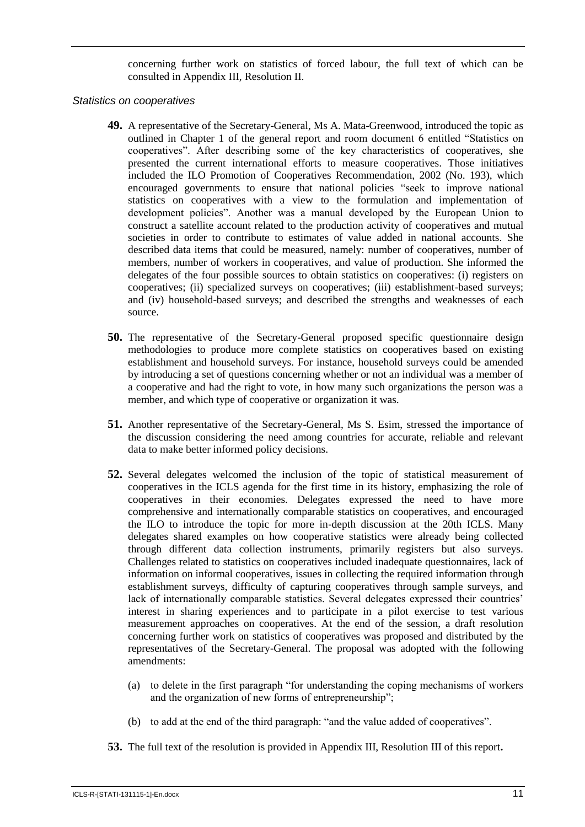concerning further work on statistics of forced labour, the full text of which can be consulted in Appendix III, Resolution II.

#### *Statistics on cooperatives*

- **49.** A representative of the Secretary-General, Ms A. Mata-Greenwood, introduced the topic as outlined in Chapter 1 of the general report and room document 6 entitled "Statistics on cooperatives". After describing some of the key characteristics of cooperatives, she presented the current international efforts to measure cooperatives. Those initiatives included the ILO Promotion of Cooperatives Recommendation, 2002 (No. 193), which encouraged governments to ensure that national policies "seek to improve national statistics on cooperatives with a view to the formulation and implementation of development policies". Another was a manual developed by the European Union to construct a satellite account related to the production activity of cooperatives and mutual societies in order to contribute to estimates of value added in national accounts. She described data items that could be measured, namely: number of cooperatives, number of members, number of workers in cooperatives, and value of production. She informed the delegates of the four possible sources to obtain statistics on cooperatives: (i) registers on cooperatives; (ii) specialized surveys on cooperatives; (iii) establishment-based surveys; and (iv) household-based surveys; and described the strengths and weaknesses of each source.
- **50.** The representative of the Secretary-General proposed specific questionnaire design methodologies to produce more complete statistics on cooperatives based on existing establishment and household surveys. For instance, household surveys could be amended by introducing a set of questions concerning whether or not an individual was a member of a cooperative and had the right to vote, in how many such organizations the person was a member, and which type of cooperative or organization it was.
- **51.** Another representative of the Secretary-General, Ms S. Esim, stressed the importance of the discussion considering the need among countries for accurate, reliable and relevant data to make better informed policy decisions.
- **52.** Several delegates welcomed the inclusion of the topic of statistical measurement of cooperatives in the ICLS agenda for the first time in its history, emphasizing the role of cooperatives in their economies. Delegates expressed the need to have more comprehensive and internationally comparable statistics on cooperatives, and encouraged the ILO to introduce the topic for more in-depth discussion at the 20th ICLS. Many delegates shared examples on how cooperative statistics were already being collected through different data collection instruments, primarily registers but also surveys. Challenges related to statistics on cooperatives included inadequate questionnaires, lack of information on informal cooperatives, issues in collecting the required information through establishment surveys, difficulty of capturing cooperatives through sample surveys, and lack of internationally comparable statistics. Several delegates expressed their countries' interest in sharing experiences and to participate in a pilot exercise to test various measurement approaches on cooperatives. At the end of the session, a draft resolution concerning further work on statistics of cooperatives was proposed and distributed by the representatives of the Secretary-General. The proposal was adopted with the following amendments:
	- (a) to delete in the first paragraph "for understanding the coping mechanisms of workers and the organization of new forms of entrepreneurship";
	- (b) to add at the end of the third paragraph: "and the value added of cooperatives".
- **53.** The full text of the resolution is provided in Appendix III, Resolution III of this report**.**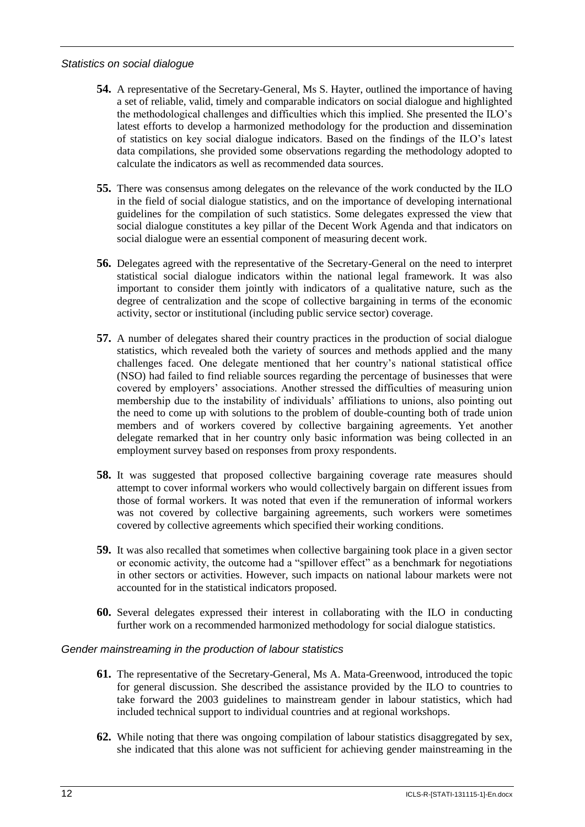#### *Statistics on social dialogue*

- **54.** A representative of the Secretary-General, Ms S. Hayter, outlined the importance of having a set of reliable, valid, timely and comparable indicators on social dialogue and highlighted the methodological challenges and difficulties which this implied. She presented the ILO's latest efforts to develop a harmonized methodology for the production and dissemination of statistics on key social dialogue indicators. Based on the findings of the ILO's latest data compilations, she provided some observations regarding the methodology adopted to calculate the indicators as well as recommended data sources.
- **55.** There was consensus among delegates on the relevance of the work conducted by the ILO in the field of social dialogue statistics, and on the importance of developing international guidelines for the compilation of such statistics. Some delegates expressed the view that social dialogue constitutes a key pillar of the Decent Work Agenda and that indicators on social dialogue were an essential component of measuring decent work.
- **56.** Delegates agreed with the representative of the Secretary-General on the need to interpret statistical social dialogue indicators within the national legal framework. It was also important to consider them jointly with indicators of a qualitative nature, such as the degree of centralization and the scope of collective bargaining in terms of the economic activity, sector or institutional (including public service sector) coverage.
- **57.** A number of delegates shared their country practices in the production of social dialogue statistics, which revealed both the variety of sources and methods applied and the many challenges faced. One delegate mentioned that her country's national statistical office (NSO) had failed to find reliable sources regarding the percentage of businesses that were covered by employers' associations. Another stressed the difficulties of measuring union membership due to the instability of individuals' affiliations to unions, also pointing out the need to come up with solutions to the problem of double-counting both of trade union members and of workers covered by collective bargaining agreements. Yet another delegate remarked that in her country only basic information was being collected in an employment survey based on responses from proxy respondents.
- **58.** It was suggested that proposed collective bargaining coverage rate measures should attempt to cover informal workers who would collectively bargain on different issues from those of formal workers. It was noted that even if the remuneration of informal workers was not covered by collective bargaining agreements, such workers were sometimes covered by collective agreements which specified their working conditions.
- **59.** It was also recalled that sometimes when collective bargaining took place in a given sector or economic activity, the outcome had a "spillover effect" as a benchmark for negotiations in other sectors or activities. However, such impacts on national labour markets were not accounted for in the statistical indicators proposed.
- **60.** Several delegates expressed their interest in collaborating with the ILO in conducting further work on a recommended harmonized methodology for social dialogue statistics.

### *Gender mainstreaming in the production of labour statistics*

- **61.** The representative of the Secretary-General, Ms A. Mata-Greenwood, introduced the topic for general discussion. She described the assistance provided by the ILO to countries to take forward the 2003 guidelines to mainstream gender in labour statistics, which had included technical support to individual countries and at regional workshops.
- **62.** While noting that there was ongoing compilation of labour statistics disaggregated by sex, she indicated that this alone was not sufficient for achieving gender mainstreaming in the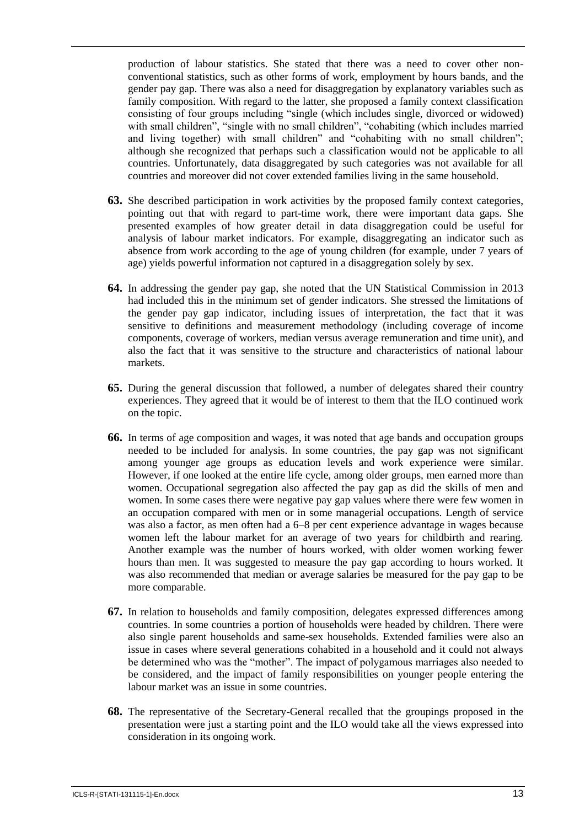production of labour statistics. She stated that there was a need to cover other nonconventional statistics, such as other forms of work, employment by hours bands, and the gender pay gap. There was also a need for disaggregation by explanatory variables such as family composition. With regard to the latter, she proposed a family context classification consisting of four groups including "single (which includes single, divorced or widowed) with small children", "single with no small children", "cohabiting (which includes married and living together) with small children" and "cohabiting with no small children"; although she recognized that perhaps such a classification would not be applicable to all countries. Unfortunately, data disaggregated by such categories was not available for all countries and moreover did not cover extended families living in the same household.

- **63.** She described participation in work activities by the proposed family context categories, pointing out that with regard to part-time work, there were important data gaps. She presented examples of how greater detail in data disaggregation could be useful for analysis of labour market indicators. For example, disaggregating an indicator such as absence from work according to the age of young children (for example, under 7 years of age) yields powerful information not captured in a disaggregation solely by sex.
- **64.** In addressing the gender pay gap, she noted that the UN Statistical Commission in 2013 had included this in the minimum set of gender indicators. She stressed the limitations of the gender pay gap indicator, including issues of interpretation, the fact that it was sensitive to definitions and measurement methodology (including coverage of income components, coverage of workers, median versus average remuneration and time unit), and also the fact that it was sensitive to the structure and characteristics of national labour markets.
- **65.** During the general discussion that followed, a number of delegates shared their country experiences. They agreed that it would be of interest to them that the ILO continued work on the topic.
- **66.** In terms of age composition and wages, it was noted that age bands and occupation groups needed to be included for analysis. In some countries, the pay gap was not significant among younger age groups as education levels and work experience were similar. However, if one looked at the entire life cycle, among older groups, men earned more than women. Occupational segregation also affected the pay gap as did the skills of men and women. In some cases there were negative pay gap values where there were few women in an occupation compared with men or in some managerial occupations. Length of service was also a factor, as men often had a 6–8 per cent experience advantage in wages because women left the labour market for an average of two years for childbirth and rearing. Another example was the number of hours worked, with older women working fewer hours than men. It was suggested to measure the pay gap according to hours worked. It was also recommended that median or average salaries be measured for the pay gap to be more comparable.
- **67.** In relation to households and family composition, delegates expressed differences among countries. In some countries a portion of households were headed by children. There were also single parent households and same-sex households. Extended families were also an issue in cases where several generations cohabited in a household and it could not always be determined who was the "mother". The impact of polygamous marriages also needed to be considered, and the impact of family responsibilities on younger people entering the labour market was an issue in some countries.
- **68.** The representative of the Secretary-General recalled that the groupings proposed in the presentation were just a starting point and the ILO would take all the views expressed into consideration in its ongoing work.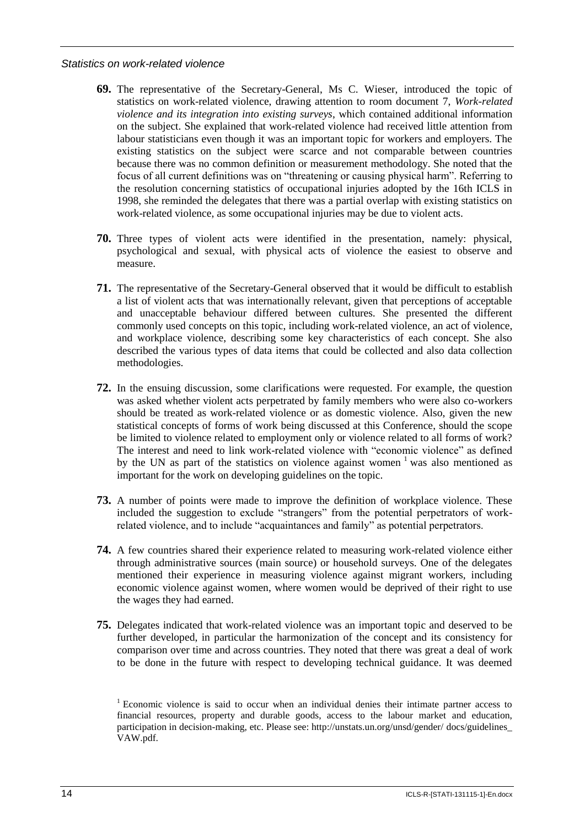#### *Statistics on work-related violence*

- **69.** The representative of the Secretary-General, Ms C. Wieser, introduced the topic of statistics on work-related violence, drawing attention to room document 7, *Work-related violence and its integration into existing surveys*, which contained additional information on the subject. She explained that work-related violence had received little attention from labour statisticians even though it was an important topic for workers and employers. The existing statistics on the subject were scarce and not comparable between countries because there was no common definition or measurement methodology. She noted that the focus of all current definitions was on "threatening or causing physical harm". Referring to the resolution concerning statistics of occupational injuries adopted by the 16th ICLS in 1998, she reminded the delegates that there was a partial overlap with existing statistics on work-related violence, as some occupational injuries may be due to violent acts.
- **70.** Three types of violent acts were identified in the presentation, namely: physical, psychological and sexual, with physical acts of violence the easiest to observe and measure.
- **71.** The representative of the Secretary-General observed that it would be difficult to establish a list of violent acts that was internationally relevant, given that perceptions of acceptable and unacceptable behaviour differed between cultures. She presented the different commonly used concepts on this topic, including work-related violence, an act of violence, and workplace violence, describing some key characteristics of each concept. She also described the various types of data items that could be collected and also data collection methodologies.
- **72.** In the ensuing discussion, some clarifications were requested. For example, the question was asked whether violent acts perpetrated by family members who were also co-workers should be treated as work-related violence or as domestic violence. Also, given the new statistical concepts of forms of work being discussed at this Conference, should the scope be limited to violence related to employment only or violence related to all forms of work? The interest and need to link work-related violence with "economic violence" as defined by the UN as part of the statistics on violence against women  $\frac{1}{1}$  was also mentioned as important for the work on developing guidelines on the topic.
- **73.** A number of points were made to improve the definition of workplace violence. These included the suggestion to exclude "strangers" from the potential perpetrators of workrelated violence, and to include "acquaintances and family" as potential perpetrators.
- **74.** A few countries shared their experience related to measuring work-related violence either through administrative sources (main source) or household surveys. One of the delegates mentioned their experience in measuring violence against migrant workers, including economic violence against women, where women would be deprived of their right to use the wages they had earned.
- **75.** Delegates indicated that work-related violence was an important topic and deserved to be further developed, in particular the harmonization of the concept and its consistency for comparison over time and across countries. They noted that there was great a deal of work to be done in the future with respect to developing technical guidance. It was deemed

 $1$  Economic violence is said to occur when an individual denies their intimate partner access to financial resources, property and durable goods, access to the labour market and education, participation in decision-making, etc. Please see: http://unstats.un.org/unsd/gender/ docs/guidelines\_ VAW.pdf.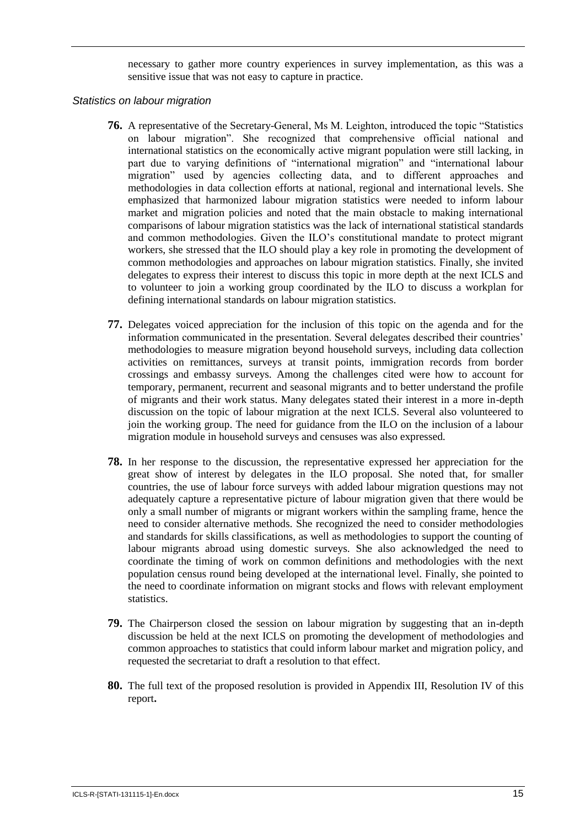necessary to gather more country experiences in survey implementation, as this was a sensitive issue that was not easy to capture in practice.

#### *Statistics on labour migration*

- **76.** A representative of the Secretary-General, Ms M. Leighton, introduced the topic "Statistics on labour migration". She recognized that comprehensive official national and international statistics on the economically active migrant population were still lacking, in part due to varying definitions of "international migration" and "international labour migration" used by agencies collecting data, and to different approaches and methodologies in data collection efforts at national, regional and international levels. She emphasized that harmonized labour migration statistics were needed to inform labour market and migration policies and noted that the main obstacle to making international comparisons of labour migration statistics was the lack of international statistical standards and common methodologies. Given the ILO's constitutional mandate to protect migrant workers, she stressed that the ILO should play a key role in promoting the development of common methodologies and approaches on labour migration statistics. Finally, she invited delegates to express their interest to discuss this topic in more depth at the next ICLS and to volunteer to join a working group coordinated by the ILO to discuss a workplan for defining international standards on labour migration statistics.
- **77.** Delegates voiced appreciation for the inclusion of this topic on the agenda and for the information communicated in the presentation. Several delegates described their countries' methodologies to measure migration beyond household surveys, including data collection activities on remittances, surveys at transit points, immigration records from border crossings and embassy surveys. Among the challenges cited were how to account for temporary, permanent, recurrent and seasonal migrants and to better understand the profile of migrants and their work status. Many delegates stated their interest in a more in-depth discussion on the topic of labour migration at the next ICLS. Several also volunteered to join the working group. The need for guidance from the ILO on the inclusion of a labour migration module in household surveys and censuses was also expressed.
- **78.** In her response to the discussion, the representative expressed her appreciation for the great show of interest by delegates in the ILO proposal. She noted that, for smaller countries, the use of labour force surveys with added labour migration questions may not adequately capture a representative picture of labour migration given that there would be only a small number of migrants or migrant workers within the sampling frame, hence the need to consider alternative methods. She recognized the need to consider methodologies and standards for skills classifications, as well as methodologies to support the counting of labour migrants abroad using domestic surveys. She also acknowledged the need to coordinate the timing of work on common definitions and methodologies with the next population census round being developed at the international level. Finally, she pointed to the need to coordinate information on migrant stocks and flows with relevant employment statistics.
- **79.** The Chairperson closed the session on labour migration by suggesting that an in-depth discussion be held at the next ICLS on promoting the development of methodologies and common approaches to statistics that could inform labour market and migration policy, and requested the secretariat to draft a resolution to that effect.
- **80.** The full text of the proposed resolution is provided in Appendix III, Resolution IV of this report**.**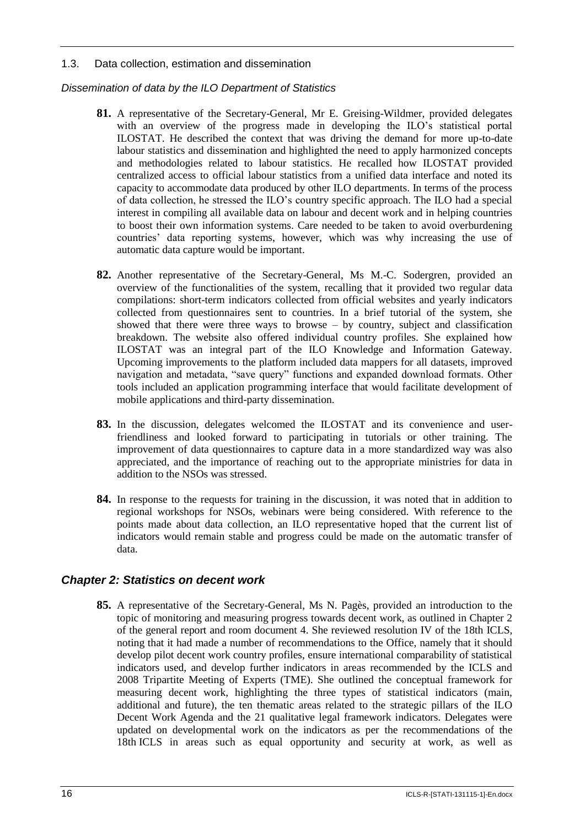### 1.3. Data collection, estimation and dissemination

## *Dissemination of data by the ILO Department of Statistics*

- **81.** A representative of the Secretary-General, Mr E. Greising-Wildmer, provided delegates with an overview of the progress made in developing the ILO's statistical portal ILOSTAT. He described the context that was driving the demand for more up-to-date labour statistics and dissemination and highlighted the need to apply harmonized concepts and methodologies related to labour statistics. He recalled how ILOSTAT provided centralized access to official labour statistics from a unified data interface and noted its capacity to accommodate data produced by other ILO departments. In terms of the process of data collection, he stressed the ILO's country specific approach. The ILO had a special interest in compiling all available data on labour and decent work and in helping countries to boost their own information systems. Care needed to be taken to avoid overburdening countries' data reporting systems, however, which was why increasing the use of automatic data capture would be important.
- **82.** Another representative of the Secretary-General, Ms M.-C. Sodergren, provided an overview of the functionalities of the system, recalling that it provided two regular data compilations: short-term indicators collected from official websites and yearly indicators collected from questionnaires sent to countries. In a brief tutorial of the system, she showed that there were three ways to browse – by country, subject and classification breakdown. The website also offered individual country profiles. She explained how ILOSTAT was an integral part of the ILO Knowledge and Information Gateway. Upcoming improvements to the platform included data mappers for all datasets, improved navigation and metadata, "save query" functions and expanded download formats. Other tools included an application programming interface that would facilitate development of mobile applications and third-party dissemination.
- **83.** In the discussion, delegates welcomed the ILOSTAT and its convenience and userfriendliness and looked forward to participating in tutorials or other training. The improvement of data questionnaires to capture data in a more standardized way was also appreciated, and the importance of reaching out to the appropriate ministries for data in addition to the NSOs was stressed.
- **84.** In response to the requests for training in the discussion, it was noted that in addition to regional workshops for NSOs, webinars were being considered. With reference to the points made about data collection, an ILO representative hoped that the current list of indicators would remain stable and progress could be made on the automatic transfer of data.

# <span id="page-20-0"></span>*Chapter 2: Statistics on decent work*

**85.** A representative of the Secretary-General, Ms N. Pagès, provided an introduction to the topic of monitoring and measuring progress towards decent work, as outlined in Chapter 2 of the general report and room document 4. She reviewed resolution IV of the 18th ICLS, noting that it had made a number of recommendations to the Office, namely that it should develop pilot decent work country profiles, ensure international comparability of statistical indicators used, and develop further indicators in areas recommended by the ICLS and 2008 Tripartite Meeting of Experts (TME). She outlined the conceptual framework for measuring decent work, highlighting the three types of statistical indicators (main, additional and future), the ten thematic areas related to the strategic pillars of the ILO Decent Work Agenda and the 21 qualitative legal framework indicators. Delegates were updated on developmental work on the indicators as per the recommendations of the 18th ICLS in areas such as equal opportunity and security at work, as well as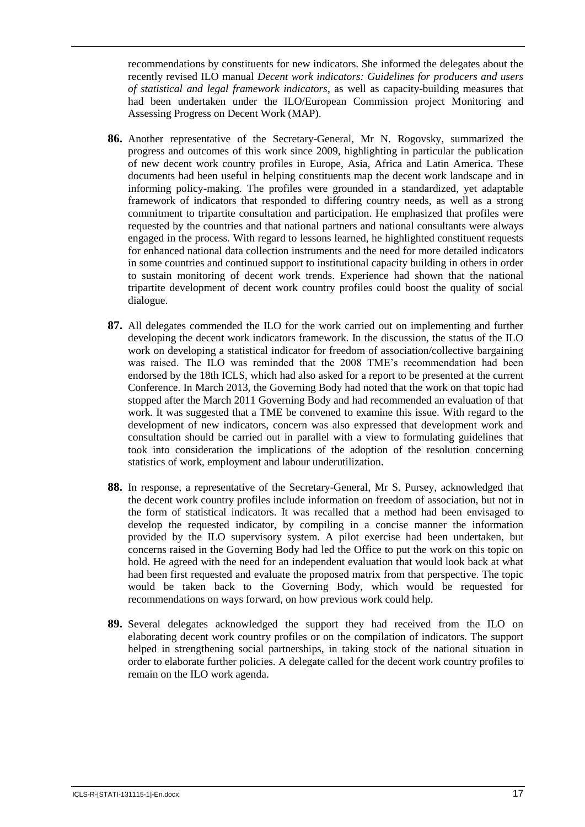recommendations by constituents for new indicators. She informed the delegates about the recently revised ILO manual *Decent work indicators: Guidelines for producers and users of statistical and legal framework indicators*, as well as capacity-building measures that had been undertaken under the ILO/European Commission project Monitoring and Assessing Progress on Decent Work (MAP).

- **86.** Another representative of the Secretary-General, Mr N. Rogovsky, summarized the progress and outcomes of this work since 2009, highlighting in particular the publication of new decent work country profiles in Europe, Asia, Africa and Latin America. These documents had been useful in helping constituents map the decent work landscape and in informing policy-making. The profiles were grounded in a standardized, yet adaptable framework of indicators that responded to differing country needs, as well as a strong commitment to tripartite consultation and participation. He emphasized that profiles were requested by the countries and that national partners and national consultants were always engaged in the process. With regard to lessons learned, he highlighted constituent requests for enhanced national data collection instruments and the need for more detailed indicators in some countries and continued support to institutional capacity building in others in order to sustain monitoring of decent work trends. Experience had shown that the national tripartite development of decent work country profiles could boost the quality of social dialogue.
- **87.** All delegates commended the ILO for the work carried out on implementing and further developing the decent work indicators framework. In the discussion, the status of the ILO work on developing a statistical indicator for freedom of association/collective bargaining was raised. The ILO was reminded that the 2008 TME's recommendation had been endorsed by the 18th ICLS, which had also asked for a report to be presented at the current Conference. In March 2013, the Governing Body had noted that the work on that topic had stopped after the March 2011 Governing Body and had recommended an evaluation of that work. It was suggested that a TME be convened to examine this issue. With regard to the development of new indicators, concern was also expressed that development work and consultation should be carried out in parallel with a view to formulating guidelines that took into consideration the implications of the adoption of the resolution concerning statistics of work, employment and labour underutilization.
- **88.** In response, a representative of the Secretary-General, Mr S. Pursey, acknowledged that the decent work country profiles include information on freedom of association, but not in the form of statistical indicators. It was recalled that a method had been envisaged to develop the requested indicator, by compiling in a concise manner the information provided by the ILO supervisory system. A pilot exercise had been undertaken, but concerns raised in the Governing Body had led the Office to put the work on this topic on hold. He agreed with the need for an independent evaluation that would look back at what had been first requested and evaluate the proposed matrix from that perspective. The topic would be taken back to the Governing Body, which would be requested for recommendations on ways forward, on how previous work could help.
- **89.** Several delegates acknowledged the support they had received from the ILO on elaborating decent work country profiles or on the compilation of indicators. The support helped in strengthening social partnerships, in taking stock of the national situation in order to elaborate further policies. A delegate called for the decent work country profiles to remain on the ILO work agenda.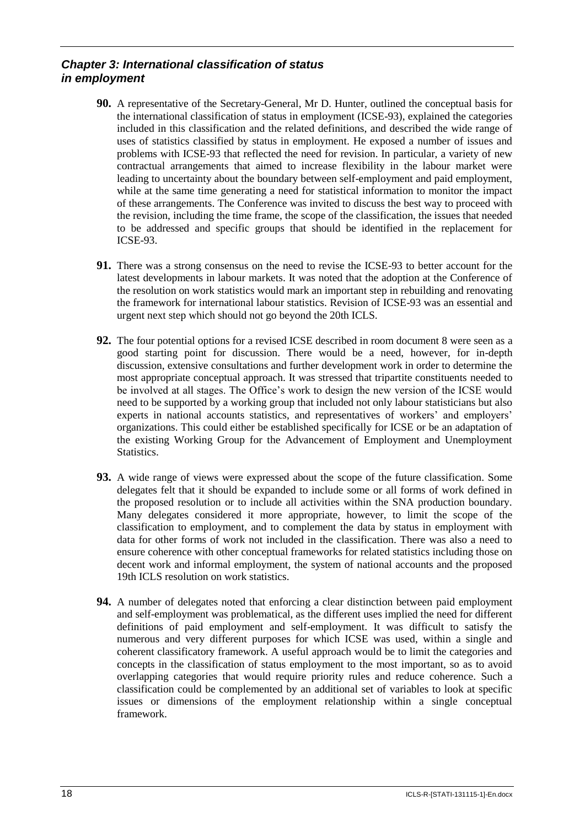# <span id="page-22-0"></span>*Chapter 3: International classification of status in employment*

- **90.** A representative of the Secretary-General, Mr D. Hunter, outlined the conceptual basis for the international classification of status in employment (ICSE-93), explained the categories included in this classification and the related definitions, and described the wide range of uses of statistics classified by status in employment. He exposed a number of issues and problems with ICSE-93 that reflected the need for revision. In particular, a variety of new contractual arrangements that aimed to increase flexibility in the labour market were leading to uncertainty about the boundary between self-employment and paid employment, while at the same time generating a need for statistical information to monitor the impact of these arrangements. The Conference was invited to discuss the best way to proceed with the revision, including the time frame, the scope of the classification, the issues that needed to be addressed and specific groups that should be identified in the replacement for ICSE-93.
- **91.** There was a strong consensus on the need to revise the ICSE-93 to better account for the latest developments in labour markets. It was noted that the adoption at the Conference of the resolution on work statistics would mark an important step in rebuilding and renovating the framework for international labour statistics. Revision of ICSE-93 was an essential and urgent next step which should not go beyond the 20th ICLS.
- **92.** The four potential options for a revised ICSE described in room document 8 were seen as a good starting point for discussion. There would be a need, however, for in-depth discussion, extensive consultations and further development work in order to determine the most appropriate conceptual approach. It was stressed that tripartite constituents needed to be involved at all stages. The Office's work to design the new version of the ICSE would need to be supported by a working group that included not only labour statisticians but also experts in national accounts statistics, and representatives of workers' and employers' organizations. This could either be established specifically for ICSE or be an adaptation of the existing Working Group for the Advancement of Employment and Unemployment Statistics.
- **93.** A wide range of views were expressed about the scope of the future classification. Some delegates felt that it should be expanded to include some or all forms of work defined in the proposed resolution or to include all activities within the SNA production boundary. Many delegates considered it more appropriate, however, to limit the scope of the classification to employment, and to complement the data by status in employment with data for other forms of work not included in the classification. There was also a need to ensure coherence with other conceptual frameworks for related statistics including those on decent work and informal employment, the system of national accounts and the proposed 19th ICLS resolution on work statistics.
- **94.** A number of delegates noted that enforcing a clear distinction between paid employment and self-employment was problematical, as the different uses implied the need for different definitions of paid employment and self-employment. It was difficult to satisfy the numerous and very different purposes for which ICSE was used, within a single and coherent classificatory framework. A useful approach would be to limit the categories and concepts in the classification of status employment to the most important, so as to avoid overlapping categories that would require priority rules and reduce coherence. Such a classification could be complemented by an additional set of variables to look at specific issues or dimensions of the employment relationship within a single conceptual framework.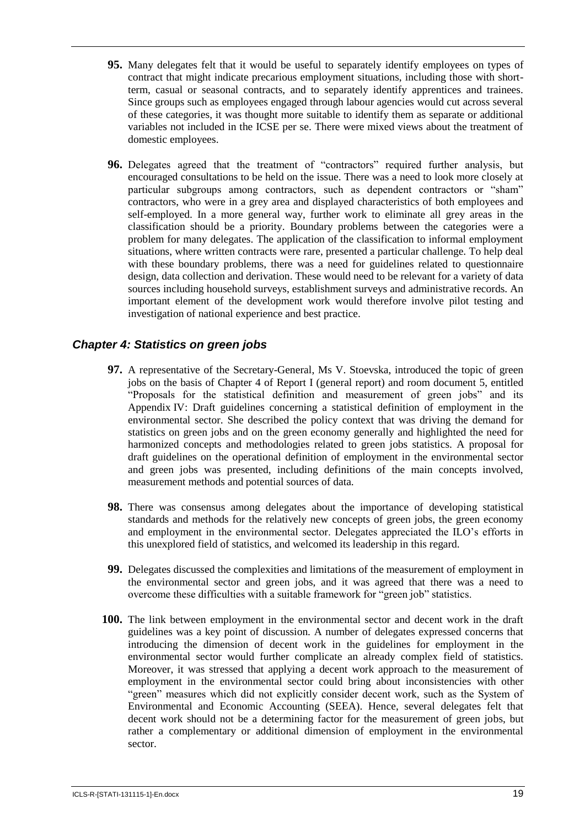- **95.** Many delegates felt that it would be useful to separately identify employees on types of contract that might indicate precarious employment situations, including those with shortterm, casual or seasonal contracts, and to separately identify apprentices and trainees. Since groups such as employees engaged through labour agencies would cut across several of these categories, it was thought more suitable to identify them as separate or additional variables not included in the ICSE per se. There were mixed views about the treatment of domestic employees.
- **96.** Delegates agreed that the treatment of "contractors" required further analysis, but encouraged consultations to be held on the issue. There was a need to look more closely at particular subgroups among contractors, such as dependent contractors or "sham" contractors, who were in a grey area and displayed characteristics of both employees and self-employed. In a more general way, further work to eliminate all grey areas in the classification should be a priority. Boundary problems between the categories were a problem for many delegates. The application of the classification to informal employment situations, where written contracts were rare, presented a particular challenge. To help deal with these boundary problems, there was a need for guidelines related to questionnaire design, data collection and derivation. These would need to be relevant for a variety of data sources including household surveys, establishment surveys and administrative records. An important element of the development work would therefore involve pilot testing and investigation of national experience and best practice.

# <span id="page-23-0"></span>*Chapter 4: Statistics on green jobs*

- **97.** A representative of the Secretary-General, Ms V. Stoevska, introduced the topic of green jobs on the basis of Chapter 4 of Report I (general report) and room document 5, entitled "Proposals for the statistical definition and measurement of green jobs" and its Appendix IV: Draft guidelines concerning a statistical definition of employment in the environmental sector. She described the policy context that was driving the demand for statistics on green jobs and on the green economy generally and highlighted the need for harmonized concepts and methodologies related to green jobs statistics. A proposal for draft guidelines on the operational definition of employment in the environmental sector and green jobs was presented, including definitions of the main concepts involved, measurement methods and potential sources of data.
- **98.** There was consensus among delegates about the importance of developing statistical standards and methods for the relatively new concepts of green jobs, the green economy and employment in the environmental sector. Delegates appreciated the ILO's efforts in this unexplored field of statistics, and welcomed its leadership in this regard.
- **99.** Delegates discussed the complexities and limitations of the measurement of employment in the environmental sector and green jobs, and it was agreed that there was a need to overcome these difficulties with a suitable framework for "green job" statistics.
- **100.** The link between employment in the environmental sector and decent work in the draft guidelines was a key point of discussion. A number of delegates expressed concerns that introducing the dimension of decent work in the guidelines for employment in the environmental sector would further complicate an already complex field of statistics. Moreover, it was stressed that applying a decent work approach to the measurement of employment in the environmental sector could bring about inconsistencies with other "green" measures which did not explicitly consider decent work, such as the System of Environmental and Economic Accounting (SEEA). Hence, several delegates felt that decent work should not be a determining factor for the measurement of green jobs, but rather a complementary or additional dimension of employment in the environmental sector.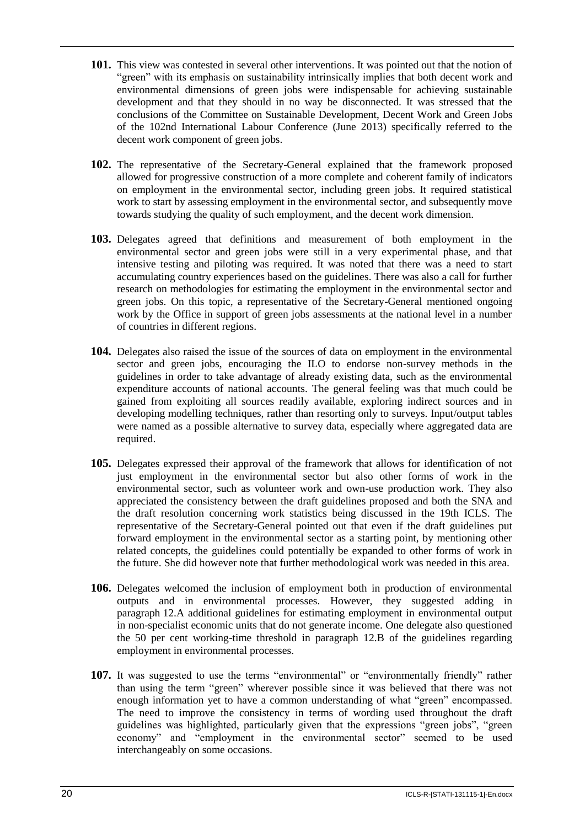- **101.** This view was contested in several other interventions. It was pointed out that the notion of "green" with its emphasis on sustainability intrinsically implies that both decent work and environmental dimensions of green jobs were indispensable for achieving sustainable development and that they should in no way be disconnected. It was stressed that the conclusions of the Committee on Sustainable Development, Decent Work and Green Jobs of the 102nd International Labour Conference (June 2013) specifically referred to the decent work component of green jobs.
- **102.** The representative of the Secretary-General explained that the framework proposed allowed for progressive construction of a more complete and coherent family of indicators on employment in the environmental sector, including green jobs. It required statistical work to start by assessing employment in the environmental sector, and subsequently move towards studying the quality of such employment, and the decent work dimension.
- **103.** Delegates agreed that definitions and measurement of both employment in the environmental sector and green jobs were still in a very experimental phase, and that intensive testing and piloting was required. It was noted that there was a need to start accumulating country experiences based on the guidelines. There was also a call for further research on methodologies for estimating the employment in the environmental sector and green jobs. On this topic, a representative of the Secretary-General mentioned ongoing work by the Office in support of green jobs assessments at the national level in a number of countries in different regions.
- **104.** Delegates also raised the issue of the sources of data on employment in the environmental sector and green jobs, encouraging the ILO to endorse non-survey methods in the guidelines in order to take advantage of already existing data, such as the environmental expenditure accounts of national accounts. The general feeling was that much could be gained from exploiting all sources readily available, exploring indirect sources and in developing modelling techniques, rather than resorting only to surveys. Input/output tables were named as a possible alternative to survey data, especially where aggregated data are required.
- **105.** Delegates expressed their approval of the framework that allows for identification of not just employment in the environmental sector but also other forms of work in the environmental sector, such as volunteer work and own-use production work. They also appreciated the consistency between the draft guidelines proposed and both the SNA and the draft resolution concerning work statistics being discussed in the 19th ICLS. The representative of the Secretary-General pointed out that even if the draft guidelines put forward employment in the environmental sector as a starting point, by mentioning other related concepts, the guidelines could potentially be expanded to other forms of work in the future. She did however note that further methodological work was needed in this area.
- **106.** Delegates welcomed the inclusion of employment both in production of environmental outputs and in environmental processes. However, they suggested adding in paragraph 12.A additional guidelines for estimating employment in environmental output in non-specialist economic units that do not generate income. One delegate also questioned the 50 per cent working-time threshold in paragraph 12.B of the guidelines regarding employment in environmental processes.
- **107.** It was suggested to use the terms "environmental" or "environmentally friendly" rather than using the term "green" wherever possible since it was believed that there was not enough information yet to have a common understanding of what "green" encompassed. The need to improve the consistency in terms of wording used throughout the draft guidelines was highlighted, particularly given that the expressions "green jobs", "green economy" and "employment in the environmental sector" seemed to be used interchangeably on some occasions.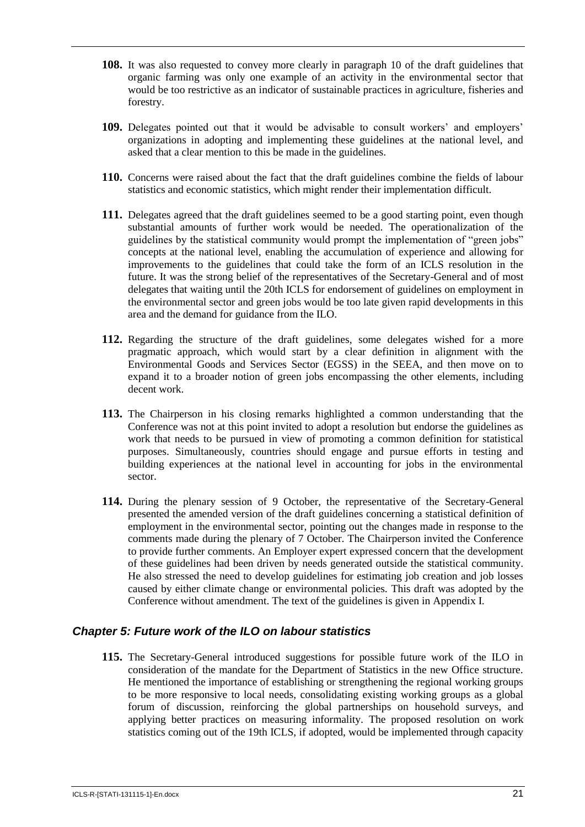- **108.** It was also requested to convey more clearly in paragraph 10 of the draft guidelines that organic farming was only one example of an activity in the environmental sector that would be too restrictive as an indicator of sustainable practices in agriculture, fisheries and forestry.
- **109.** Delegates pointed out that it would be advisable to consult workers' and employers' organizations in adopting and implementing these guidelines at the national level, and asked that a clear mention to this be made in the guidelines.
- **110.** Concerns were raised about the fact that the draft guidelines combine the fields of labour statistics and economic statistics, which might render their implementation difficult.
- **111.** Delegates agreed that the draft guidelines seemed to be a good starting point, even though substantial amounts of further work would be needed. The operationalization of the guidelines by the statistical community would prompt the implementation of "green jobs" concepts at the national level, enabling the accumulation of experience and allowing for improvements to the guidelines that could take the form of an ICLS resolution in the future. It was the strong belief of the representatives of the Secretary-General and of most delegates that waiting until the 20th ICLS for endorsement of guidelines on employment in the environmental sector and green jobs would be too late given rapid developments in this area and the demand for guidance from the ILO.
- **112.** Regarding the structure of the draft guidelines, some delegates wished for a more pragmatic approach, which would start by a clear definition in alignment with the Environmental Goods and Services Sector (EGSS) in the SEEA, and then move on to expand it to a broader notion of green jobs encompassing the other elements, including decent work.
- **113.** The Chairperson in his closing remarks highlighted a common understanding that the Conference was not at this point invited to adopt a resolution but endorse the guidelines as work that needs to be pursued in view of promoting a common definition for statistical purposes. Simultaneously, countries should engage and pursue efforts in testing and building experiences at the national level in accounting for jobs in the environmental sector.
- **114.** During the plenary session of 9 October, the representative of the Secretary-General presented the amended version of the draft guidelines concerning a statistical definition of employment in the environmental sector, pointing out the changes made in response to the comments made during the plenary of 7 October. The Chairperson invited the Conference to provide further comments. An Employer expert expressed concern that the development of these guidelines had been driven by needs generated outside the statistical community. He also stressed the need to develop guidelines for estimating job creation and job losses caused by either climate change or environmental policies. This draft was adopted by the Conference without amendment. The text of the guidelines is given in Appendix I.

# <span id="page-25-0"></span>*Chapter 5: Future work of the ILO on labour statistics*

**115.** The Secretary-General introduced suggestions for possible future work of the ILO in consideration of the mandate for the Department of Statistics in the new Office structure. He mentioned the importance of establishing or strengthening the regional working groups to be more responsive to local needs, consolidating existing working groups as a global forum of discussion, reinforcing the global partnerships on household surveys, and applying better practices on measuring informality. The proposed resolution on work statistics coming out of the 19th ICLS, if adopted, would be implemented through capacity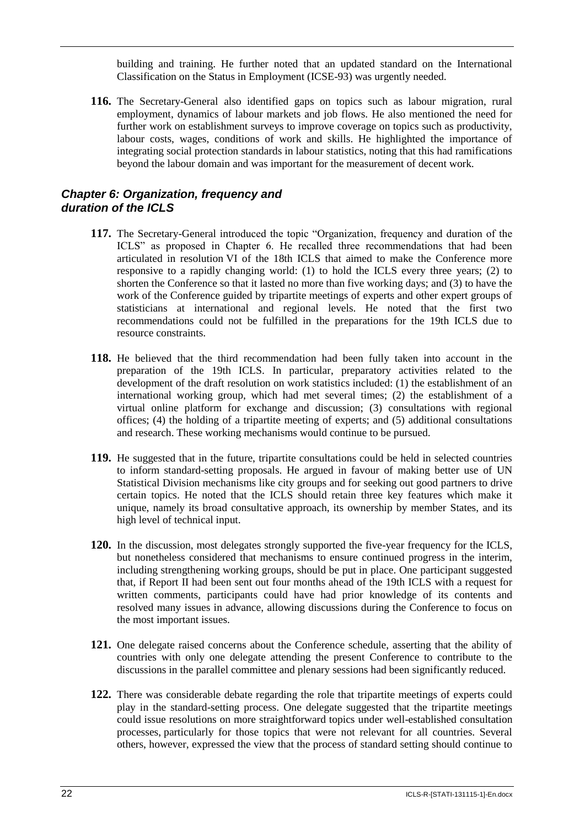building and training. He further noted that an updated standard on the International Classification on the Status in Employment (ICSE-93) was urgently needed.

**116.** The Secretary-General also identified gaps on topics such as labour migration, rural employment, dynamics of labour markets and job flows. He also mentioned the need for further work on establishment surveys to improve coverage on topics such as productivity, labour costs, wages, conditions of work and skills. He highlighted the importance of integrating social protection standards in labour statistics, noting that this had ramifications beyond the labour domain and was important for the measurement of decent work.

# <span id="page-26-0"></span>*Chapter 6: Organization, frequency and duration of the ICLS*

- **117.** The Secretary-General introduced the topic "Organization, frequency and duration of the ICLS" as proposed in Chapter 6. He recalled three recommendations that had been articulated in resolution VI of the 18th ICLS that aimed to make the Conference more responsive to a rapidly changing world: (1) to hold the ICLS every three years; (2) to shorten the Conference so that it lasted no more than five working days; and (3) to have the work of the Conference guided by tripartite meetings of experts and other expert groups of statisticians at international and regional levels. He noted that the first two recommendations could not be fulfilled in the preparations for the 19th ICLS due to resource constraints.
- **118.** He believed that the third recommendation had been fully taken into account in the preparation of the 19th ICLS. In particular, preparatory activities related to the development of the draft resolution on work statistics included: (1) the establishment of an international working group, which had met several times; (2) the establishment of a virtual online platform for exchange and discussion; (3) consultations with regional offices; (4) the holding of a tripartite meeting of experts; and (5) additional consultations and research. These working mechanisms would continue to be pursued.
- **119.** He suggested that in the future, tripartite consultations could be held in selected countries to inform standard-setting proposals. He argued in favour of making better use of UN Statistical Division mechanisms like city groups and for seeking out good partners to drive certain topics. He noted that the ICLS should retain three key features which make it unique, namely its broad consultative approach, its ownership by member States, and its high level of technical input.
- **120.** In the discussion, most delegates strongly supported the five-year frequency for the ICLS, but nonetheless considered that mechanisms to ensure continued progress in the interim, including strengthening working groups, should be put in place. One participant suggested that, if Report II had been sent out four months ahead of the 19th ICLS with a request for written comments, participants could have had prior knowledge of its contents and resolved many issues in advance, allowing discussions during the Conference to focus on the most important issues.
- **121.** One delegate raised concerns about the Conference schedule, asserting that the ability of countries with only one delegate attending the present Conference to contribute to the discussions in the parallel committee and plenary sessions had been significantly reduced.
- **122.** There was considerable debate regarding the role that tripartite meetings of experts could play in the standard-setting process. One delegate suggested that the tripartite meetings could issue resolutions on more straightforward topics under well-established consultation processes, particularly for those topics that were not relevant for all countries. Several others, however, expressed the view that the process of standard setting should continue to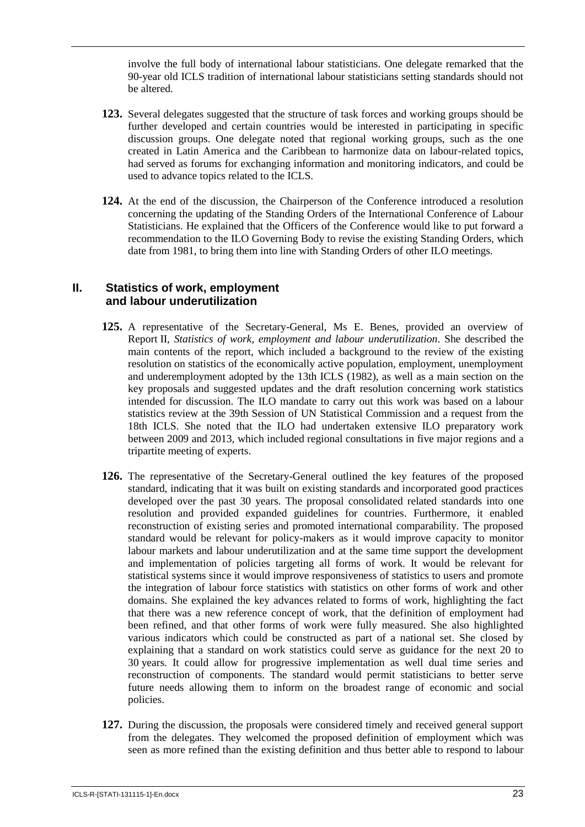involve the full body of international labour statisticians. One delegate remarked that the 90-year old ICLS tradition of international labour statisticians setting standards should not be altered.

- **123.** Several delegates suggested that the structure of task forces and working groups should be further developed and certain countries would be interested in participating in specific discussion groups. One delegate noted that regional working groups, such as the one created in Latin America and the Caribbean to harmonize data on labour-related topics, had served as forums for exchanging information and monitoring indicators, and could be used to advance topics related to the ICLS.
- **124.** At the end of the discussion, the Chairperson of the Conference introduced a resolution concerning the updating of the Standing Orders of the International Conference of Labour Statisticians. He explained that the Officers of the Conference would like to put forward a recommendation to the ILO Governing Body to revise the existing Standing Orders, which date from 1981, to bring them into line with Standing Orders of other ILO meetings.

### <span id="page-27-0"></span>**II. Statistics of work, employment and labour underutilization**

- **125.** A representative of the Secretary-General, Ms E. Benes, provided an overview of Report II, *Statistics of work, employment and labour underutilization*. She described the main contents of the report, which included a background to the review of the existing resolution on statistics of the economically active population, employment, unemployment and underemployment adopted by the 13th ICLS (1982), as well as a main section on the key proposals and suggested updates and the draft resolution concerning work statistics intended for discussion. The ILO mandate to carry out this work was based on a labour statistics review at the 39th Session of UN Statistical Commission and a request from the 18th ICLS. She noted that the ILO had undertaken extensive ILO preparatory work between 2009 and 2013, which included regional consultations in five major regions and a tripartite meeting of experts.
- **126.** The representative of the Secretary-General outlined the key features of the proposed standard, indicating that it was built on existing standards and incorporated good practices developed over the past 30 years. The proposal consolidated related standards into one resolution and provided expanded guidelines for countries. Furthermore, it enabled reconstruction of existing series and promoted international comparability. The proposed standard would be relevant for policy-makers as it would improve capacity to monitor labour markets and labour underutilization and at the same time support the development and implementation of policies targeting all forms of work. It would be relevant for statistical systems since it would improve responsiveness of statistics to users and promote the integration of labour force statistics with statistics on other forms of work and other domains. She explained the key advances related to forms of work, highlighting the fact that there was a new reference concept of work, that the definition of employment had been refined, and that other forms of work were fully measured. She also highlighted various indicators which could be constructed as part of a national set. She closed by explaining that a standard on work statistics could serve as guidance for the next 20 to 30 years. It could allow for progressive implementation as well dual time series and reconstruction of components. The standard would permit statisticians to better serve future needs allowing them to inform on the broadest range of economic and social policies.
- **127.** During the discussion, the proposals were considered timely and received general support from the delegates. They welcomed the proposed definition of employment which was seen as more refined than the existing definition and thus better able to respond to labour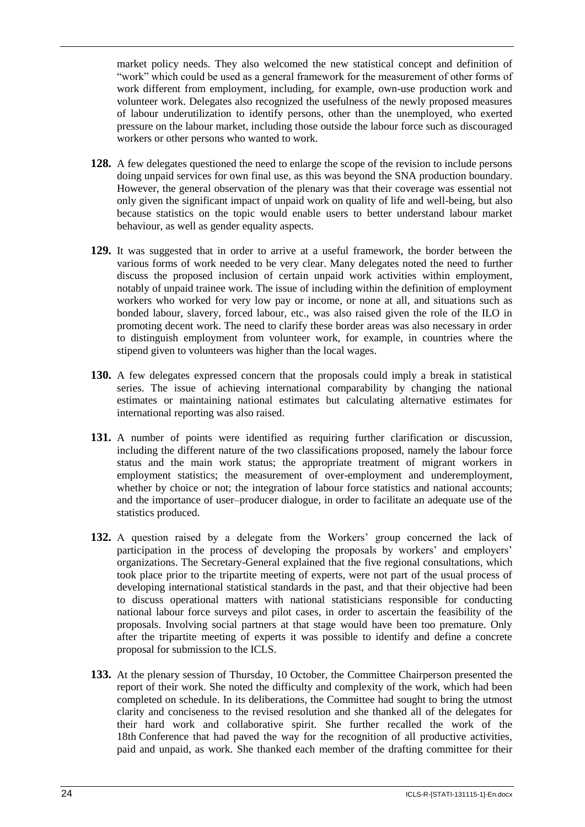market policy needs. They also welcomed the new statistical concept and definition of "work" which could be used as a general framework for the measurement of other forms of work different from employment, including, for example, own-use production work and volunteer work. Delegates also recognized the usefulness of the newly proposed measures of labour underutilization to identify persons, other than the unemployed, who exerted pressure on the labour market, including those outside the labour force such as discouraged workers or other persons who wanted to work.

- **128.** A few delegates questioned the need to enlarge the scope of the revision to include persons doing unpaid services for own final use, as this was beyond the SNA production boundary. However, the general observation of the plenary was that their coverage was essential not only given the significant impact of unpaid work on quality of life and well-being, but also because statistics on the topic would enable users to better understand labour market behaviour, as well as gender equality aspects.
- **129.** It was suggested that in order to arrive at a useful framework, the border between the various forms of work needed to be very clear. Many delegates noted the need to further discuss the proposed inclusion of certain unpaid work activities within employment, notably of unpaid trainee work. The issue of including within the definition of employment workers who worked for very low pay or income, or none at all, and situations such as bonded labour, slavery, forced labour, etc., was also raised given the role of the ILO in promoting decent work. The need to clarify these border areas was also necessary in order to distinguish employment from volunteer work, for example, in countries where the stipend given to volunteers was higher than the local wages.
- **130.** A few delegates expressed concern that the proposals could imply a break in statistical series. The issue of achieving international comparability by changing the national estimates or maintaining national estimates but calculating alternative estimates for international reporting was also raised.
- **131.** A number of points were identified as requiring further clarification or discussion, including the different nature of the two classifications proposed, namely the labour force status and the main work status; the appropriate treatment of migrant workers in employment statistics; the measurement of over-employment and underemployment, whether by choice or not; the integration of labour force statistics and national accounts; and the importance of user–producer dialogue, in order to facilitate an adequate use of the statistics produced.
- **132.** A question raised by a delegate from the Workers' group concerned the lack of participation in the process of developing the proposals by workers' and employers' organizations. The Secretary-General explained that the five regional consultations, which took place prior to the tripartite meeting of experts, were not part of the usual process of developing international statistical standards in the past, and that their objective had been to discuss operational matters with national statisticians responsible for conducting national labour force surveys and pilot cases, in order to ascertain the feasibility of the proposals. Involving social partners at that stage would have been too premature. Only after the tripartite meeting of experts it was possible to identify and define a concrete proposal for submission to the ICLS.
- **133.** At the plenary session of Thursday, 10 October, the Committee Chairperson presented the report of their work. She noted the difficulty and complexity of the work, which had been completed on schedule. In its deliberations, the Committee had sought to bring the utmost clarity and conciseness to the revised resolution and she thanked all of the delegates for their hard work and collaborative spirit. She further recalled the work of the 18th Conference that had paved the way for the recognition of all productive activities, paid and unpaid, as work. She thanked each member of the drafting committee for their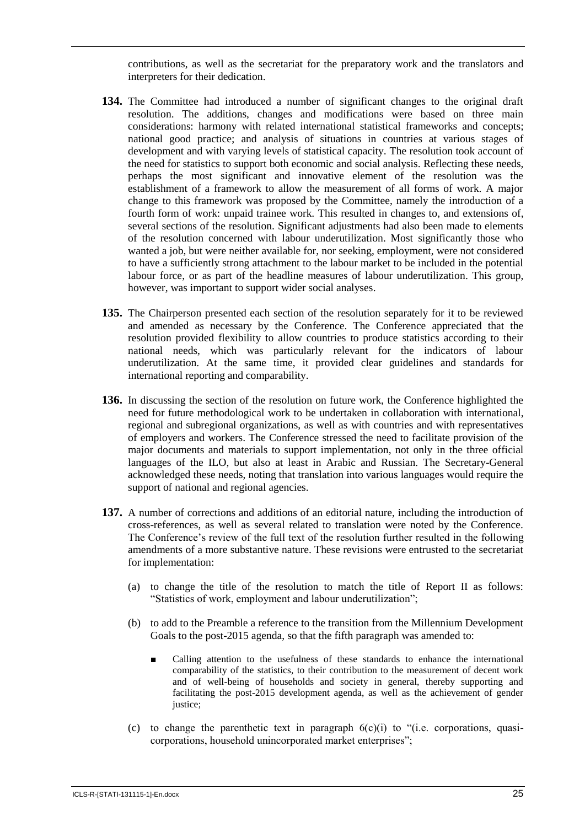contributions, as well as the secretariat for the preparatory work and the translators and interpreters for their dedication.

- **134.** The Committee had introduced a number of significant changes to the original draft resolution. The additions, changes and modifications were based on three main considerations: harmony with related international statistical frameworks and concepts; national good practice; and analysis of situations in countries at various stages of development and with varying levels of statistical capacity. The resolution took account of the need for statistics to support both economic and social analysis. Reflecting these needs, perhaps the most significant and innovative element of the resolution was the establishment of a framework to allow the measurement of all forms of work. A major change to this framework was proposed by the Committee, namely the introduction of a fourth form of work: unpaid trainee work. This resulted in changes to, and extensions of, several sections of the resolution. Significant adjustments had also been made to elements of the resolution concerned with labour underutilization. Most significantly those who wanted a job, but were neither available for, nor seeking, employment, were not considered to have a sufficiently strong attachment to the labour market to be included in the potential labour force, or as part of the headline measures of labour underutilization. This group, however, was important to support wider social analyses.
- **135.** The Chairperson presented each section of the resolution separately for it to be reviewed and amended as necessary by the Conference. The Conference appreciated that the resolution provided flexibility to allow countries to produce statistics according to their national needs, which was particularly relevant for the indicators of labour underutilization. At the same time, it provided clear guidelines and standards for international reporting and comparability.
- **136.** In discussing the section of the resolution on future work, the Conference highlighted the need for future methodological work to be undertaken in collaboration with international, regional and subregional organizations, as well as with countries and with representatives of employers and workers. The Conference stressed the need to facilitate provision of the major documents and materials to support implementation, not only in the three official languages of the ILO, but also at least in Arabic and Russian. The Secretary-General acknowledged these needs, noting that translation into various languages would require the support of national and regional agencies.
- **137.** A number of corrections and additions of an editorial nature, including the introduction of cross-references, as well as several related to translation were noted by the Conference. The Conference's review of the full text of the resolution further resulted in the following amendments of a more substantive nature. These revisions were entrusted to the secretariat for implementation:
	- (a) to change the title of the resolution to match the title of Report II as follows: "Statistics of work, employment and labour underutilization";
	- (b) to add to the Preamble a reference to the transition from the Millennium Development Goals to the post-2015 agenda, so that the fifth paragraph was amended to:
		- Calling attention to the usefulness of these standards to enhance the international comparability of the statistics, to their contribution to the measurement of decent work and of well-being of households and society in general, thereby supporting and facilitating the post-2015 development agenda, as well as the achievement of gender justice;
	- (c) to change the parenthetic text in paragraph  $6(c)(i)$  to "(i.e. corporations, quasicorporations, household unincorporated market enterprises";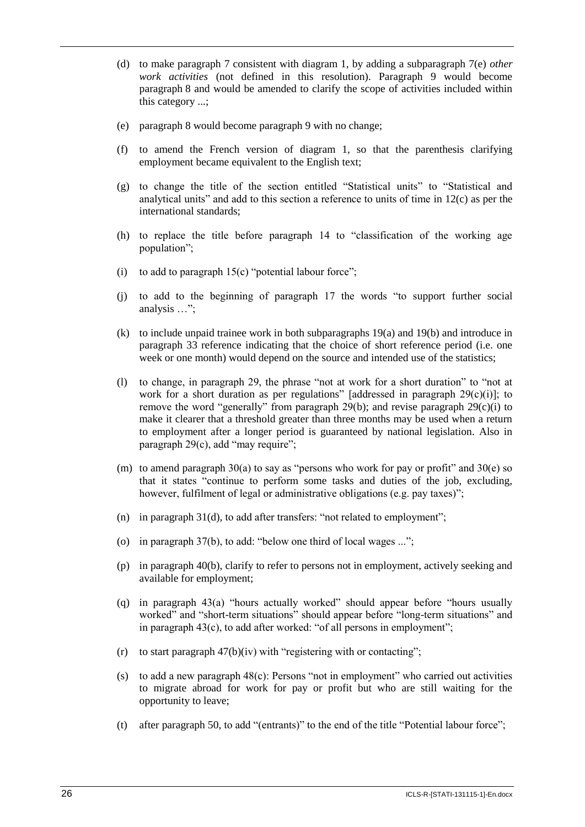- (d) to make paragraph 7 consistent with diagram 1, by adding a subparagraph 7(e) *other work activities* (not defined in this resolution). Paragraph 9 would become paragraph 8 and would be amended to clarify the scope of activities included within this category ...;
- (e) paragraph 8 would become paragraph 9 with no change;
- (f) to amend the French version of diagram 1, so that the parenthesis clarifying employment became equivalent to the English text;
- (g) to change the title of the section entitled "Statistical units" to "Statistical and analytical units" and add to this section a reference to units of time in 12(c) as per the international standards;
- (h) to replace the title before paragraph 14 to "classification of the working age population";
- (i) to add to paragraph  $15(c)$  "potential labour force";
- (j) to add to the beginning of paragraph 17 the words "to support further social analysis …";
- (k) to include unpaid trainee work in both subparagraphs 19(a) and 19(b) and introduce in paragraph 33 reference indicating that the choice of short reference period (i.e. one week or one month) would depend on the source and intended use of the statistics;
- (l) to change, in paragraph 29, the phrase "not at work for a short duration" to "not at work for a short duration as per regulations" [addressed in paragraph  $29(c)(i)$ ]; to remove the word "generally" from paragraph 29(b); and revise paragraph 29(c)(i) to make it clearer that a threshold greater than three months may be used when a return to employment after a longer period is guaranteed by national legislation. Also in paragraph 29(c), add "may require";
- (m) to amend paragraph  $30(a)$  to say as "persons who work for pay or profit" and  $30(e)$  so that it states "continue to perform some tasks and duties of the job, excluding, however, fulfilment of legal or administrative obligations (e.g. pay taxes)";
- (n) in paragraph 31(d), to add after transfers: "not related to employment";
- (o) in paragraph 37(b), to add: "below one third of local wages ...";
- (p) in paragraph 40(b), clarify to refer to persons not in employment, actively seeking and available for employment;
- (q) in paragraph 43(a) "hours actually worked" should appear before "hours usually worked" and "short-term situations" should appear before "long-term situations" and in paragraph 43(c), to add after worked: "of all persons in employment";
- (r) to start paragraph  $47(b)(iv)$  with "registering with or contacting";
- (s) to add a new paragraph 48(c): Persons "not in employment" who carried out activities to migrate abroad for work for pay or profit but who are still waiting for the opportunity to leave;
- (t) after paragraph 50, to add "(entrants)" to the end of the title "Potential labour force";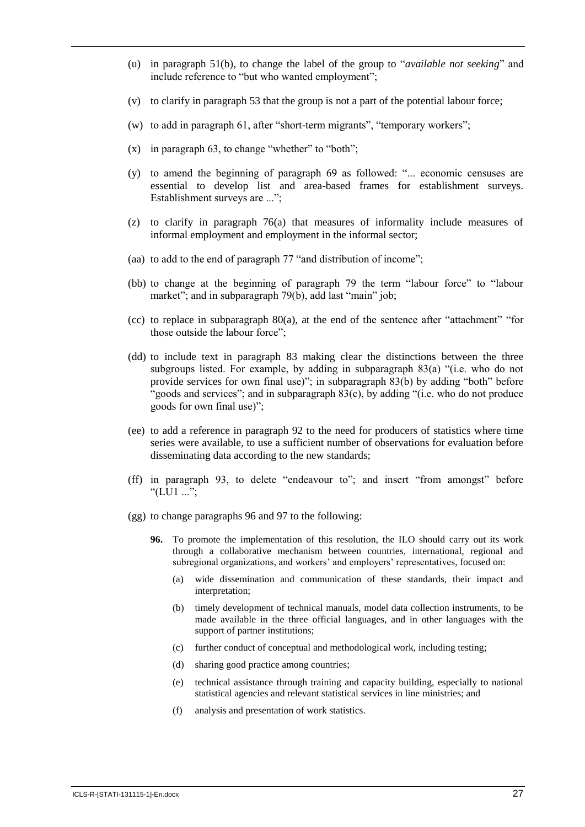- (u) in paragraph 51(b), to change the label of the group to "*available not seeking*" and include reference to "but who wanted employment";
- (v) to clarify in paragraph 53 that the group is not a part of the potential labour force;
- (w) to add in paragraph 61, after "short-term migrants", "temporary workers";
- $(x)$  in paragraph 63, to change "whether" to "both";
- (y) to amend the beginning of paragraph 69 as followed: "... economic censuses are essential to develop list and area-based frames for establishment surveys. Establishment surveys are ...";
- (z) to clarify in paragraph 76(a) that measures of informality include measures of informal employment and employment in the informal sector;
- (aa) to add to the end of paragraph 77 "and distribution of income";
- (bb) to change at the beginning of paragraph 79 the term "labour force" to "labour market"; and in subparagraph 79(b), add last "main" job;
- (cc) to replace in subparagraph 80(a), at the end of the sentence after "attachment" "for those outside the labour force";
- (dd) to include text in paragraph 83 making clear the distinctions between the three subgroups listed. For example, by adding in subparagraph 83(a) "(i.e. who do not provide services for own final use)"; in subparagraph 83(b) by adding "both" before "goods and services"; and in subparagraph 83(c), by adding "(i.e. who do not produce goods for own final use)";
- (ee) to add a reference in paragraph 92 to the need for producers of statistics where time series were available, to use a sufficient number of observations for evaluation before disseminating data according to the new standards;
- (ff) in paragraph 93, to delete "endeavour to"; and insert "from amongst" before "(LU1 ...";
- (gg) to change paragraphs 96 and 97 to the following:
	- **96.** To promote the implementation of this resolution, the ILO should carry out its work through a collaborative mechanism between countries, international, regional and subregional organizations, and workers' and employers' representatives, focused on:
		- (a) wide dissemination and communication of these standards, their impact and interpretation;
		- (b) timely development of technical manuals, model data collection instruments, to be made available in the three official languages, and in other languages with the support of partner institutions;
		- (c) further conduct of conceptual and methodological work, including testing;
		- (d) sharing good practice among countries;
		- (e) technical assistance through training and capacity building, especially to national statistical agencies and relevant statistical services in line ministries; and
		- (f) analysis and presentation of work statistics.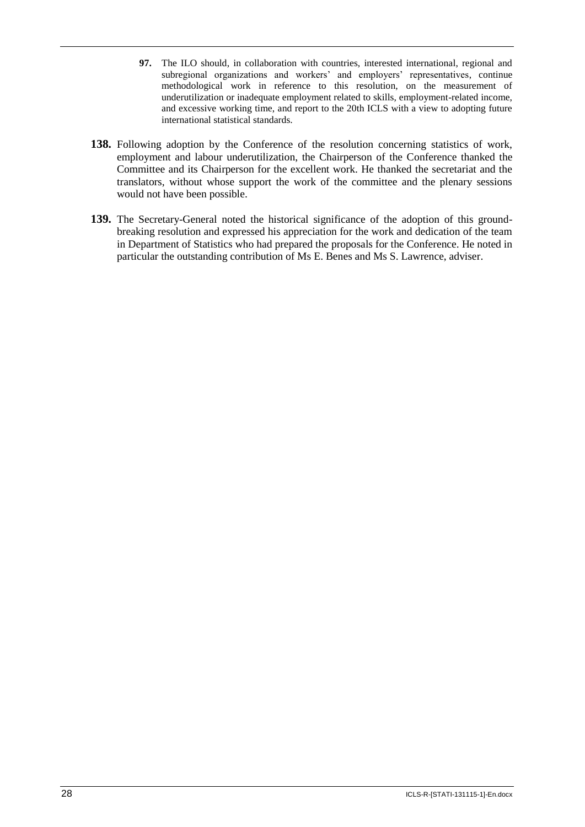- **97.** The ILO should, in collaboration with countries, interested international, regional and subregional organizations and workers' and employers' representatives, continue methodological work in reference to this resolution, on the measurement of underutilization or inadequate employment related to skills, employment-related income, and excessive working time, and report to the 20th ICLS with a view to adopting future international statistical standards.
- **138.** Following adoption by the Conference of the resolution concerning statistics of work, employment and labour underutilization, the Chairperson of the Conference thanked the Committee and its Chairperson for the excellent work. He thanked the secretariat and the translators, without whose support the work of the committee and the plenary sessions would not have been possible.
- **139.** The Secretary-General noted the historical significance of the adoption of this groundbreaking resolution and expressed his appreciation for the work and dedication of the team in Department of Statistics who had prepared the proposals for the Conference. He noted in particular the outstanding contribution of Ms E. Benes and Ms S. Lawrence, adviser.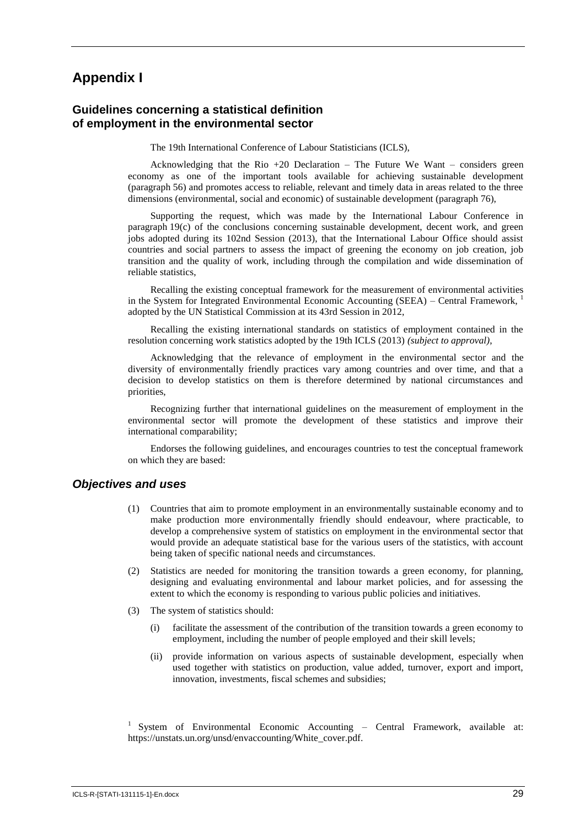# **Appendix I**

#### <span id="page-33-0"></span>**Guidelines concerning a statistical definition of employment in the environmental sector**

The 19th International Conference of Labour Statisticians (ICLS),

Acknowledging that the Rio  $+20$  Declaration – The Future We Want – considers green economy as one of the important tools available for achieving sustainable development (paragraph 56) and promotes access to reliable, relevant and timely data in areas related to the three dimensions (environmental, social and economic) of sustainable development (paragraph 76),

Supporting the request, which was made by the International Labour Conference in paragraph 19(c) of the conclusions concerning sustainable development, decent work, and green jobs adopted during its 102nd Session (2013), that the International Labour Office should assist countries and social partners to assess the impact of greening the economy on job creation, job transition and the quality of work, including through the compilation and wide dissemination of reliable statistics,

Recalling the existing conceptual framework for the measurement of environmental activities in the System for Integrated Environmental Economic Accounting (SEEA) – Central Framework,  $^1$ adopted by the UN Statistical Commission at its 43rd Session in 2012,

Recalling the existing international standards on statistics of employment contained in the resolution concerning work statistics adopted by the 19th ICLS (2013) *(subject to approval)*,

Acknowledging that the relevance of employment in the environmental sector and the diversity of environmentally friendly practices vary among countries and over time, and that a decision to develop statistics on them is therefore determined by national circumstances and priorities,

Recognizing further that international guidelines on the measurement of employment in the environmental sector will promote the development of these statistics and improve their international comparability;

Endorses the following guidelines, and encourages countries to test the conceptual framework on which they are based:

#### *Objectives and uses*

- (1) Countries that aim to promote employment in an environmentally sustainable economy and to make production more environmentally friendly should endeavour, where practicable, to develop a comprehensive system of statistics on employment in the environmental sector that would provide an adequate statistical base for the various users of the statistics, with account being taken of specific national needs and circumstances.
- (2) Statistics are needed for monitoring the transition towards a green economy, for planning, designing and evaluating environmental and labour market policies, and for assessing the extent to which the economy is responding to various public policies and initiatives.
- (3) The system of statistics should:
	- (i) facilitate the assessment of the contribution of the transition towards a green economy to employment, including the number of people employed and their skill levels;
	- (ii) provide information on various aspects of sustainable development, especially when used together with statistics on production, value added, turnover, export and import, innovation, investments, fiscal schemes and subsidies;

<sup>1</sup> System of Environmental Economic Accounting - Central Framework, available at: https://unstats.un.org/unsd/envaccounting/White\_cover.pdf.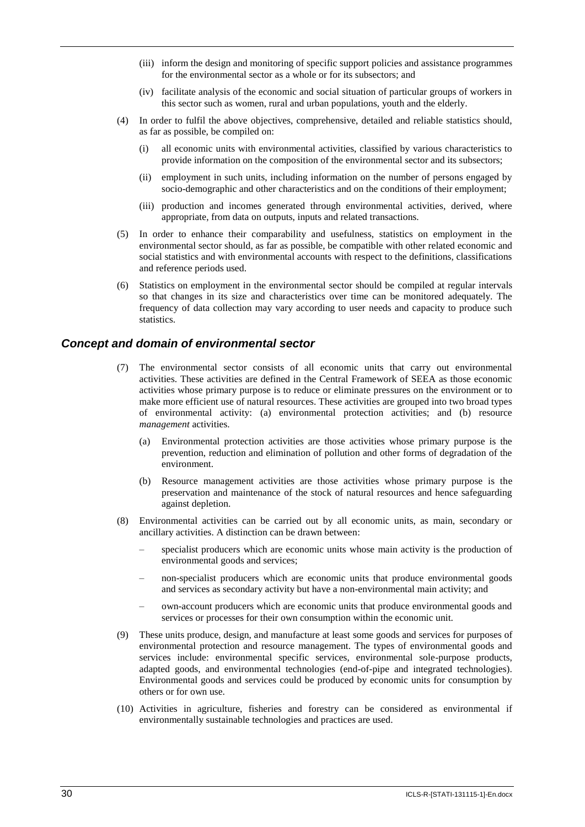- (iii) inform the design and monitoring of specific support policies and assistance programmes for the environmental sector as a whole or for its subsectors; and
- (iv) facilitate analysis of the economic and social situation of particular groups of workers in this sector such as women, rural and urban populations, youth and the elderly.
- (4) In order to fulfil the above objectives, comprehensive, detailed and reliable statistics should, as far as possible, be compiled on:
	- (i) all economic units with environmental activities, classified by various characteristics to provide information on the composition of the environmental sector and its subsectors;
	- (ii) employment in such units, including information on the number of persons engaged by socio-demographic and other characteristics and on the conditions of their employment;
	- (iii) production and incomes generated through environmental activities, derived, where appropriate, from data on outputs, inputs and related transactions.
- (5) In order to enhance their comparability and usefulness, statistics on employment in the environmental sector should, as far as possible, be compatible with other related economic and social statistics and with environmental accounts with respect to the definitions, classifications and reference periods used.
- (6) Statistics on employment in the environmental sector should be compiled at regular intervals so that changes in its size and characteristics over time can be monitored adequately. The frequency of data collection may vary according to user needs and capacity to produce such statistics.

#### *Concept and domain of environmental sector*

- (7) The environmental sector consists of all economic units that carry out environmental activities. These activities are defined in the Central Framework of SEEA as those economic activities whose primary purpose is to reduce or eliminate pressures on the environment or to make more efficient use of natural resources. These activities are grouped into two broad types of environmental activity: (a) environmental protection activities; and (b) resource *management* activities.
	- (a) Environmental protection activities are those activities whose primary purpose is the prevention, reduction and elimination of pollution and other forms of degradation of the environment.
	- (b) Resource management activities are those activities whose primary purpose is the preservation and maintenance of the stock of natural resources and hence safeguarding against depletion.
- (8) Environmental activities can be carried out by all economic units, as main, secondary or ancillary activities. A distinction can be drawn between:
	- specialist producers which are economic units whose main activity is the production of environmental goods and services;
	- non-specialist producers which are economic units that produce environmental goods and services as secondary activity but have a non-environmental main activity; and
	- own-account producers which are economic units that produce environmental goods and services or processes for their own consumption within the economic unit.
- (9) These units produce, design, and manufacture at least some goods and services for purposes of environmental protection and resource management. The types of environmental goods and services include: environmental specific services, environmental sole-purpose products, adapted goods, and environmental technologies (end-of-pipe and integrated technologies). Environmental goods and services could be produced by economic units for consumption by others or for own use.
- (10) Activities in agriculture, fisheries and forestry can be considered as environmental if environmentally sustainable technologies and practices are used.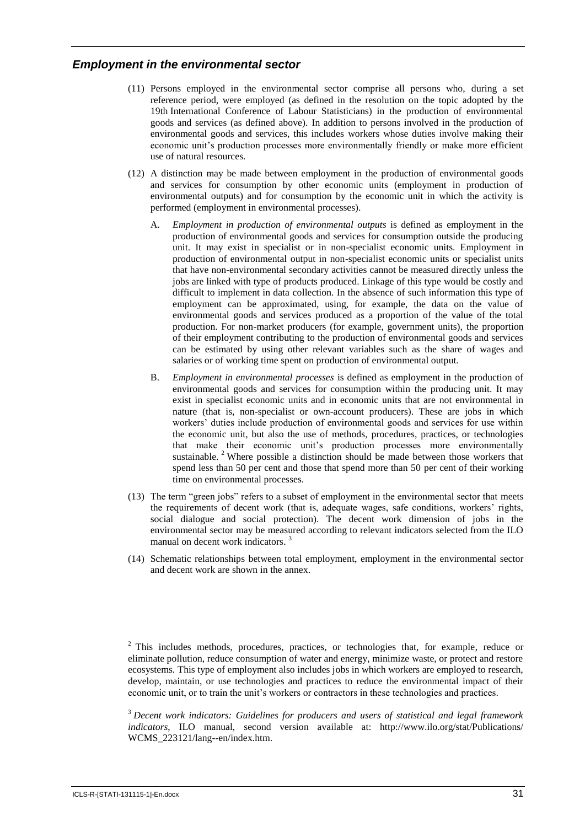#### *Employment in the environmental sector*

- (11) Persons employed in the environmental sector comprise all persons who, during a set reference period, were employed (as defined in the resolution on the topic adopted by the 19th International Conference of Labour Statisticians) in the production of environmental goods and services (as defined above). In addition to persons involved in the production of environmental goods and services, this includes workers whose duties involve making their economic unit's production processes more environmentally friendly or make more efficient use of natural resources.
- (12) A distinction may be made between employment in the production of environmental goods and services for consumption by other economic units (employment in production of environmental outputs) and for consumption by the economic unit in which the activity is performed (employment in environmental processes).
	- A. *Employment in production of environmental outputs* is defined as employment in the production of environmental goods and services for consumption outside the producing unit. It may exist in specialist or in non-specialist economic units. Employment in production of environmental output in non-specialist economic units or specialist units that have non-environmental secondary activities cannot be measured directly unless the jobs are linked with type of products produced. Linkage of this type would be costly and difficult to implement in data collection. In the absence of such information this type of employment can be approximated, using, for example, the data on the value of environmental goods and services produced as a proportion of the value of the total production. For non-market producers (for example, government units), the proportion of their employment contributing to the production of environmental goods and services can be estimated by using other relevant variables such as the share of wages and salaries or of working time spent on production of environmental output.
	- B. *Employment in environmental processes* is defined as employment in the production of environmental goods and services for consumption within the producing unit. It may exist in specialist economic units and in economic units that are not environmental in nature (that is, non-specialist or own-account producers). These are jobs in which workers' duties include production of environmental goods and services for use within the economic unit, but also the use of methods, procedures, practices, or technologies that make their economic unit's production processes more environmentally sustainable. <sup>2</sup> Where possible a distinction should be made between those workers that spend less than 50 per cent and those that spend more than 50 per cent of their working time on environmental processes.
- (13) The term "green jobs" refers to a subset of employment in the environmental sector that meets the requirements of decent work (that is, adequate wages, safe conditions, workers' rights, social dialogue and social protection). The decent work dimension of jobs in the environmental sector may be measured according to relevant indicators selected from the ILO manual on decent work indicators.<sup>3</sup>
- (14) Schematic relationships between total employment, employment in the environmental sector and decent work are shown in the annex.

<sup>3</sup> *Decent work indicators: Guidelines for producers and users of statistical and legal framework indicators*, ILO manual, second version available at: http://www.ilo.org/stat/Publications/ WCMS\_223121/lang--en/index.htm.

 $2$  This includes methods, procedures, practices, or technologies that, for example, reduce or eliminate pollution, reduce consumption of water and energy, minimize waste, or protect and restore ecosystems. This type of employment also includes jobs in which workers are employed to research, develop, maintain, or use technologies and practices to reduce the environmental impact of their economic unit, or to train the unit's workers or contractors in these technologies and practices.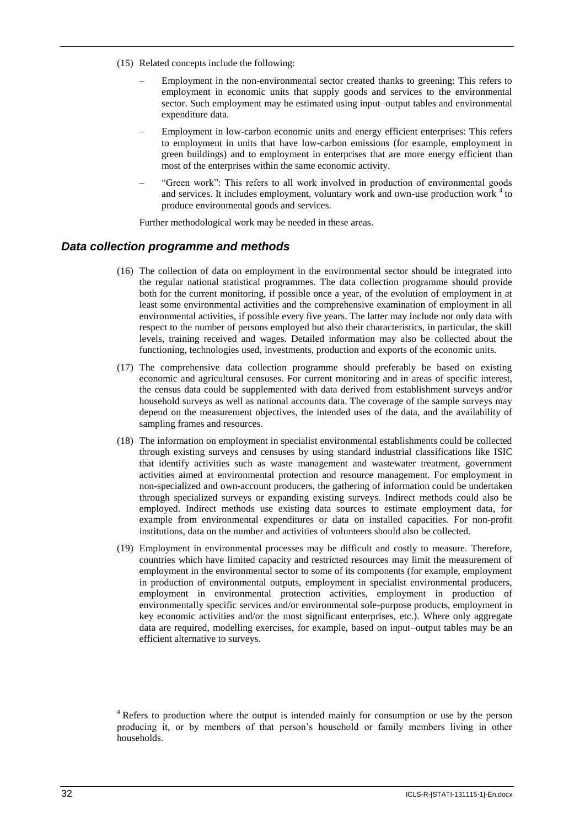- (15) Related concepts include the following:
	- Employment in the non-environmental sector created thanks to greening: This refers to employment in economic units that supply goods and services to the environmental sector. Such employment may be estimated using input–output tables and environmental expenditure data.
	- Employment in low-carbon economic units and energy efficient enterprises: This refers to employment in units that have low-carbon emissions (for example, employment in green buildings) and to employment in enterprises that are more energy efficient than most of the enterprises within the same economic activity.
	- "Green work": This refers to all work involved in production of environmental goods and services. It includes employment, voluntary work and own-use production work<sup>4</sup> to produce environmental goods and services.

Further methodological work may be needed in these areas.

#### *Data collection programme and methods*

- (16) The collection of data on employment in the environmental sector should be integrated into the regular national statistical programmes. The data collection programme should provide both for the current monitoring, if possible once a year, of the evolution of employment in at least some environmental activities and the comprehensive examination of employment in all environmental activities, if possible every five years. The latter may include not only data with respect to the number of persons employed but also their characteristics, in particular, the skill levels, training received and wages. Detailed information may also be collected about the functioning, technologies used, investments, production and exports of the economic units.
- (17) The comprehensive data collection programme should preferably be based on existing economic and agricultural censuses. For current monitoring and in areas of specific interest, the census data could be supplemented with data derived from establishment surveys and/or household surveys as well as national accounts data. The coverage of the sample surveys may depend on the measurement objectives, the intended uses of the data, and the availability of sampling frames and resources.
- (18) The information on employment in specialist environmental establishments could be collected through existing surveys and censuses by using standard industrial classifications like ISIC that identify activities such as waste management and wastewater treatment, government activities aimed at environmental protection and resource management. For employment in non-specialized and own-account producers, the gathering of information could be undertaken through specialized surveys or expanding existing surveys. Indirect methods could also be employed. Indirect methods use existing data sources to estimate employment data, for example from environmental expenditures or data on installed capacities. For non-profit institutions, data on the number and activities of volunteers should also be collected.
- (19) Employment in environmental processes may be difficult and costly to measure. Therefore, countries which have limited capacity and restricted resources may limit the measurement of employment in the environmental sector to some of its components (for example, employment in production of environmental outputs, employment in specialist environmental producers, employment in environmental protection activities, employment in production of environmentally specific services and/or environmental sole-purpose products, employment in key economic activities and/or the most significant enterprises, etc.). Where only aggregate data are required, modelling exercises, for example, based on input–output tables may be an efficient alternative to surveys.

<sup>&</sup>lt;sup>4</sup> Refers to production where the output is intended mainly for consumption or use by the person producing it, or by members of that person's household or family members living in other households.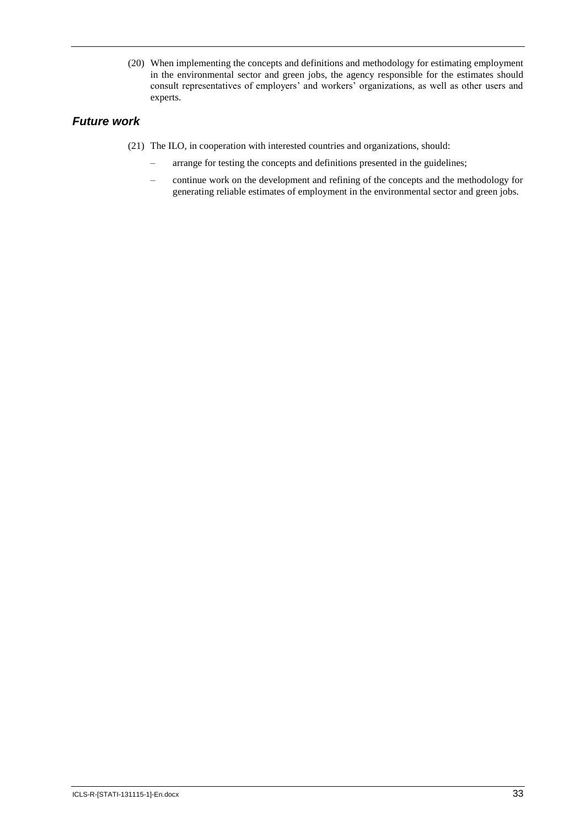(20) When implementing the concepts and definitions and methodology for estimating employment in the environmental sector and green jobs, the agency responsible for the estimates should consult representatives of employers' and workers' organizations, as well as other users and experts.

# *Future work*

- (21) The ILO, in cooperation with interested countries and organizations, should:
	- arrange for testing the concepts and definitions presented in the guidelines;
	- continue work on the development and refining of the concepts and the methodology for generating reliable estimates of employment in the environmental sector and green jobs.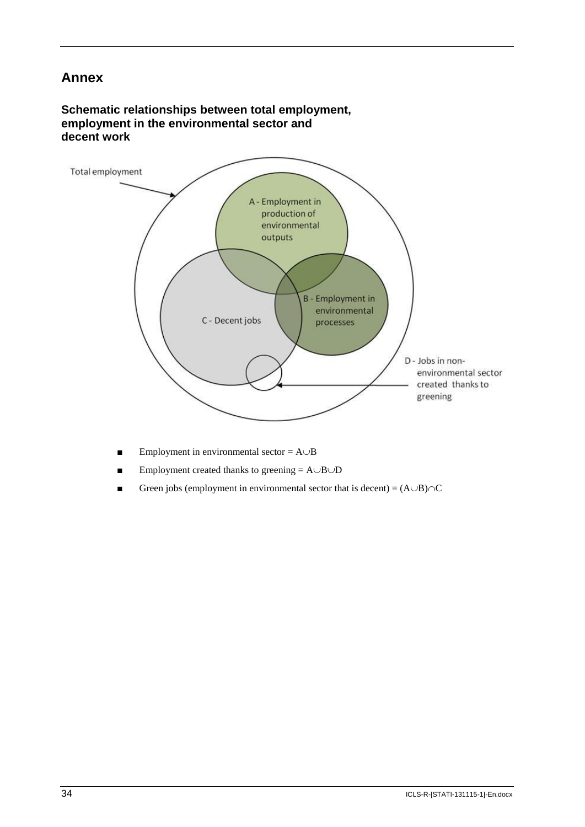# **Annex**

# **Schematic relationships between total employment, employment in the environmental sector and decent work**



- **Employment in environmental sector =**  $A \cup B$
- **Employment created thanks to greening =**  $A \cup B \cup D$
- Green jobs (employment in environmental sector that is decent) =  $(A \cup B) \cap C$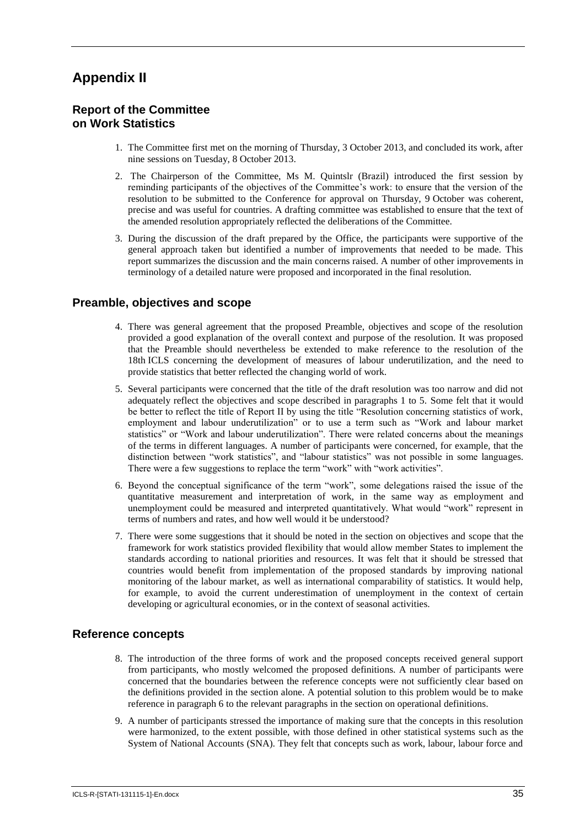# **Appendix II**

# **Report of the Committee on Work Statistics**

- 1. The Committee first met on the morning of Thursday, 3 October 2013, and concluded its work, after nine sessions on Tuesday, 8 October 2013.
- 2. The Chairperson of the Committee, Ms M. Quintslr (Brazil) introduced the first session by reminding participants of the objectives of the Committee's work: to ensure that the version of the resolution to be submitted to the Conference for approval on Thursday, 9 October was coherent, precise and was useful for countries. A drafting committee was established to ensure that the text of the amended resolution appropriately reflected the deliberations of the Committee.
- 3. During the discussion of the draft prepared by the Office, the participants were supportive of the general approach taken but identified a number of improvements that needed to be made. This report summarizes the discussion and the main concerns raised. A number of other improvements in terminology of a detailed nature were proposed and incorporated in the final resolution.

# **Preamble, objectives and scope**

- 4. There was general agreement that the proposed Preamble, objectives and scope of the resolution provided a good explanation of the overall context and purpose of the resolution. It was proposed that the Preamble should nevertheless be extended to make reference to the resolution of the 18th ICLS concerning the development of measures of labour underutilization, and the need to provide statistics that better reflected the changing world of work.
- 5. Several participants were concerned that the title of the draft resolution was too narrow and did not adequately reflect the objectives and scope described in paragraphs 1 to 5. Some felt that it would be better to reflect the title of Report II by using the title "Resolution concerning statistics of work, employment and labour underutilization" or to use a term such as "Work and labour market statistics" or "Work and labour underutilization". There were related concerns about the meanings of the terms in different languages. A number of participants were concerned, for example, that the distinction between "work statistics", and "labour statistics" was not possible in some languages. There were a few suggestions to replace the term "work" with "work activities".
- 6. Beyond the conceptual significance of the term "work", some delegations raised the issue of the quantitative measurement and interpretation of work, in the same way as employment and unemployment could be measured and interpreted quantitatively. What would "work" represent in terms of numbers and rates, and how well would it be understood?
- 7. There were some suggestions that it should be noted in the section on objectives and scope that the framework for work statistics provided flexibility that would allow member States to implement the standards according to national priorities and resources. It was felt that it should be stressed that countries would benefit from implementation of the proposed standards by improving national monitoring of the labour market, as well as international comparability of statistics. It would help, for example, to avoid the current underestimation of unemployment in the context of certain developing or agricultural economies, or in the context of seasonal activities.

## **Reference concepts**

- 8. The introduction of the three forms of work and the proposed concepts received general support from participants, who mostly welcomed the proposed definitions. A number of participants were concerned that the boundaries between the reference concepts were not sufficiently clear based on the definitions provided in the section alone. A potential solution to this problem would be to make reference in paragraph 6 to the relevant paragraphs in the section on operational definitions.
- 9. A number of participants stressed the importance of making sure that the concepts in this resolution were harmonized, to the extent possible, with those defined in other statistical systems such as the System of National Accounts (SNA). They felt that concepts such as work, labour, labour force and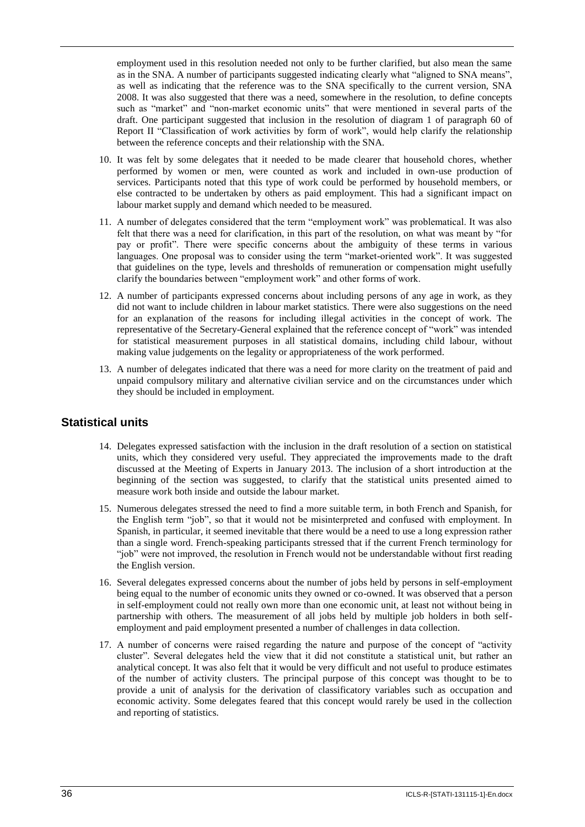employment used in this resolution needed not only to be further clarified, but also mean the same as in the SNA. A number of participants suggested indicating clearly what "aligned to SNA means", as well as indicating that the reference was to the SNA specifically to the current version, SNA 2008. It was also suggested that there was a need, somewhere in the resolution, to define concepts such as "market" and "non-market economic units" that were mentioned in several parts of the draft. One participant suggested that inclusion in the resolution of diagram 1 of paragraph 60 of Report II "Classification of work activities by form of work", would help clarify the relationship between the reference concepts and their relationship with the SNA.

- 10. It was felt by some delegates that it needed to be made clearer that household chores, whether performed by women or men, were counted as work and included in own-use production of services. Participants noted that this type of work could be performed by household members, or else contracted to be undertaken by others as paid employment. This had a significant impact on labour market supply and demand which needed to be measured.
- 11. A number of delegates considered that the term "employment work" was problematical. It was also felt that there was a need for clarification, in this part of the resolution, on what was meant by "for pay or profit". There were specific concerns about the ambiguity of these terms in various languages. One proposal was to consider using the term "market-oriented work". It was suggested that guidelines on the type, levels and thresholds of remuneration or compensation might usefully clarify the boundaries between "employment work" and other forms of work.
- 12. A number of participants expressed concerns about including persons of any age in work, as they did not want to include children in labour market statistics. There were also suggestions on the need for an explanation of the reasons for including illegal activities in the concept of work. The representative of the Secretary-General explained that the reference concept of "work" was intended for statistical measurement purposes in all statistical domains, including child labour, without making value judgements on the legality or appropriateness of the work performed.
- 13. A number of delegates indicated that there was a need for more clarity on the treatment of paid and unpaid compulsory military and alternative civilian service and on the circumstances under which they should be included in employment.

## **Statistical units**

- 14. Delegates expressed satisfaction with the inclusion in the draft resolution of a section on statistical units, which they considered very useful. They appreciated the improvements made to the draft discussed at the Meeting of Experts in January 2013. The inclusion of a short introduction at the beginning of the section was suggested, to clarify that the statistical units presented aimed to measure work both inside and outside the labour market.
- 15. Numerous delegates stressed the need to find a more suitable term, in both French and Spanish, for the English term "job", so that it would not be misinterpreted and confused with employment. In Spanish, in particular, it seemed inevitable that there would be a need to use a long expression rather than a single word. French-speaking participants stressed that if the current French terminology for "job" were not improved, the resolution in French would not be understandable without first reading the English version.
- 16. Several delegates expressed concerns about the number of jobs held by persons in self-employment being equal to the number of economic units they owned or co-owned. It was observed that a person in self-employment could not really own more than one economic unit, at least not without being in partnership with others. The measurement of all jobs held by multiple job holders in both selfemployment and paid employment presented a number of challenges in data collection.
- 17. A number of concerns were raised regarding the nature and purpose of the concept of "activity cluster". Several delegates held the view that it did not constitute a statistical unit, but rather an analytical concept. It was also felt that it would be very difficult and not useful to produce estimates of the number of activity clusters. The principal purpose of this concept was thought to be to provide a unit of analysis for the derivation of classificatory variables such as occupation and economic activity. Some delegates feared that this concept would rarely be used in the collection and reporting of statistics.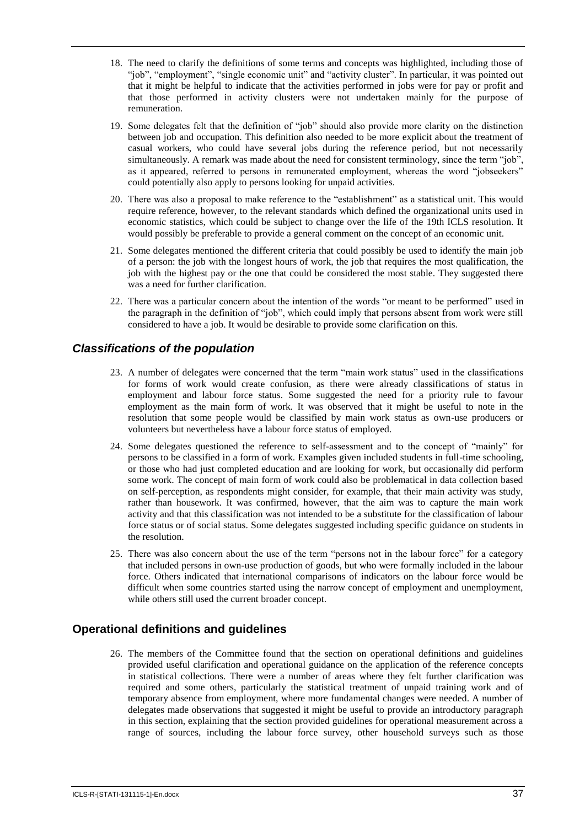- 18. The need to clarify the definitions of some terms and concepts was highlighted, including those of "job", "employment", "single economic unit" and "activity cluster". In particular, it was pointed out that it might be helpful to indicate that the activities performed in jobs were for pay or profit and that those performed in activity clusters were not undertaken mainly for the purpose of remuneration.
- 19. Some delegates felt that the definition of "job" should also provide more clarity on the distinction between job and occupation. This definition also needed to be more explicit about the treatment of casual workers, who could have several jobs during the reference period, but not necessarily simultaneously. A remark was made about the need for consistent terminology, since the term "job" as it appeared, referred to persons in remunerated employment, whereas the word "jobseekers" could potentially also apply to persons looking for unpaid activities.
- 20. There was also a proposal to make reference to the "establishment" as a statistical unit. This would require reference, however, to the relevant standards which defined the organizational units used in economic statistics, which could be subject to change over the life of the 19th ICLS resolution. It would possibly be preferable to provide a general comment on the concept of an economic unit.
- 21. Some delegates mentioned the different criteria that could possibly be used to identify the main job of a person: the job with the longest hours of work, the job that requires the most qualification, the job with the highest pay or the one that could be considered the most stable. They suggested there was a need for further clarification.
- 22. There was a particular concern about the intention of the words "or meant to be performed" used in the paragraph in the definition of "job", which could imply that persons absent from work were still considered to have a job. It would be desirable to provide some clarification on this.

# *Classifications of the population*

- 23. A number of delegates were concerned that the term "main work status" used in the classifications for forms of work would create confusion, as there were already classifications of status in employment and labour force status. Some suggested the need for a priority rule to favour employment as the main form of work. It was observed that it might be useful to note in the resolution that some people would be classified by main work status as own-use producers or volunteers but nevertheless have a labour force status of employed.
- 24. Some delegates questioned the reference to self-assessment and to the concept of "mainly" for persons to be classified in a form of work. Examples given included students in full-time schooling, or those who had just completed education and are looking for work, but occasionally did perform some work. The concept of main form of work could also be problematical in data collection based on self-perception, as respondents might consider, for example, that their main activity was study, rather than housework. It was confirmed, however, that the aim was to capture the main work activity and that this classification was not intended to be a substitute for the classification of labour force status or of social status. Some delegates suggested including specific guidance on students in the resolution.
- 25. There was also concern about the use of the term "persons not in the labour force" for a category that included persons in own-use production of goods, but who were formally included in the labour force. Others indicated that international comparisons of indicators on the labour force would be difficult when some countries started using the narrow concept of employment and unemployment. while others still used the current broader concept.

# **Operational definitions and guidelines**

26. The members of the Committee found that the section on operational definitions and guidelines provided useful clarification and operational guidance on the application of the reference concepts in statistical collections. There were a number of areas where they felt further clarification was required and some others, particularly the statistical treatment of unpaid training work and of temporary absence from employment, where more fundamental changes were needed. A number of delegates made observations that suggested it might be useful to provide an introductory paragraph in this section, explaining that the section provided guidelines for operational measurement across a range of sources, including the labour force survey, other household surveys such as those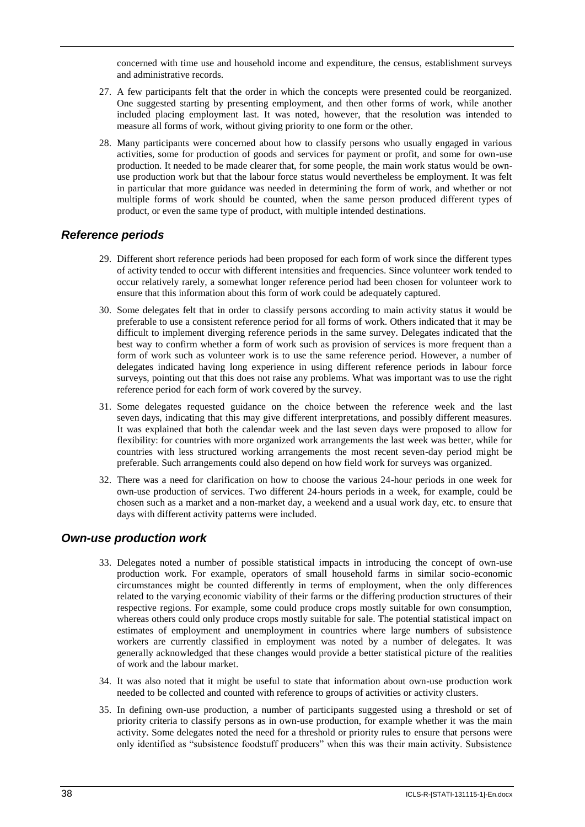concerned with time use and household income and expenditure, the census, establishment surveys and administrative records.

- 27. A few participants felt that the order in which the concepts were presented could be reorganized. One suggested starting by presenting employment, and then other forms of work, while another included placing employment last. It was noted, however, that the resolution was intended to measure all forms of work, without giving priority to one form or the other.
- 28. Many participants were concerned about how to classify persons who usually engaged in various activities, some for production of goods and services for payment or profit, and some for own-use production. It needed to be made clearer that, for some people, the main work status would be ownuse production work but that the labour force status would nevertheless be employment. It was felt in particular that more guidance was needed in determining the form of work, and whether or not multiple forms of work should be counted, when the same person produced different types of product, or even the same type of product, with multiple intended destinations.

# *Reference periods*

- 29. Different short reference periods had been proposed for each form of work since the different types of activity tended to occur with different intensities and frequencies. Since volunteer work tended to occur relatively rarely, a somewhat longer reference period had been chosen for volunteer work to ensure that this information about this form of work could be adequately captured.
- 30. Some delegates felt that in order to classify persons according to main activity status it would be preferable to use a consistent reference period for all forms of work. Others indicated that it may be difficult to implement diverging reference periods in the same survey. Delegates indicated that the best way to confirm whether a form of work such as provision of services is more frequent than a form of work such as volunteer work is to use the same reference period. However, a number of delegates indicated having long experience in using different reference periods in labour force surveys, pointing out that this does not raise any problems. What was important was to use the right reference period for each form of work covered by the survey.
- 31. Some delegates requested guidance on the choice between the reference week and the last seven days, indicating that this may give different interpretations, and possibly different measures. It was explained that both the calendar week and the last seven days were proposed to allow for flexibility: for countries with more organized work arrangements the last week was better, while for countries with less structured working arrangements the most recent seven-day period might be preferable. Such arrangements could also depend on how field work for surveys was organized.
- 32. There was a need for clarification on how to choose the various 24-hour periods in one week for own-use production of services. Two different 24-hours periods in a week, for example, could be chosen such as a market and a non-market day, a weekend and a usual work day, etc. to ensure that days with different activity patterns were included.

## *Own-use production work*

- 33. Delegates noted a number of possible statistical impacts in introducing the concept of own-use production work. For example, operators of small household farms in similar socio-economic circumstances might be counted differently in terms of employment, when the only differences related to the varying economic viability of their farms or the differing production structures of their respective regions. For example, some could produce crops mostly suitable for own consumption, whereas others could only produce crops mostly suitable for sale. The potential statistical impact on estimates of employment and unemployment in countries where large numbers of subsistence workers are currently classified in employment was noted by a number of delegates. It was generally acknowledged that these changes would provide a better statistical picture of the realities of work and the labour market.
- 34. It was also noted that it might be useful to state that information about own-use production work needed to be collected and counted with reference to groups of activities or activity clusters.
- 35. In defining own-use production, a number of participants suggested using a threshold or set of priority criteria to classify persons as in own-use production, for example whether it was the main activity. Some delegates noted the need for a threshold or priority rules to ensure that persons were only identified as "subsistence foodstuff producers" when this was their main activity. Subsistence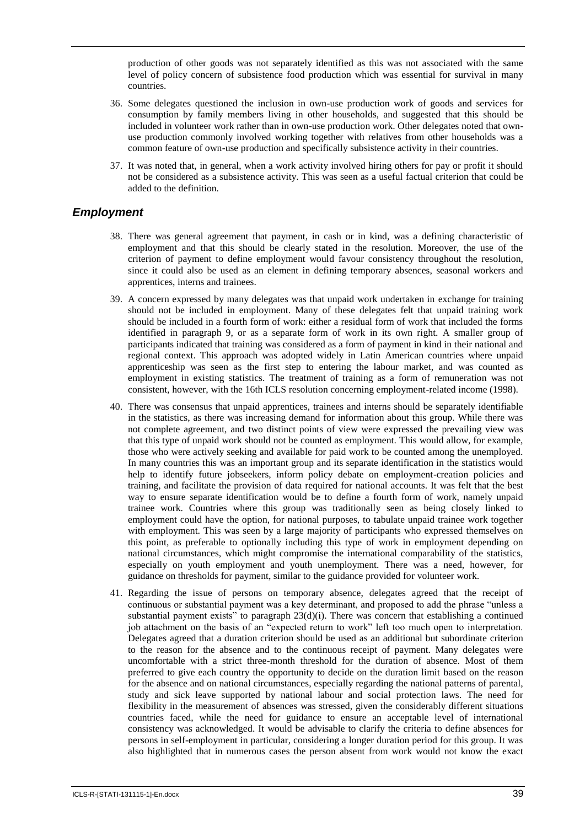production of other goods was not separately identified as this was not associated with the same level of policy concern of subsistence food production which was essential for survival in many countries.

- 36. Some delegates questioned the inclusion in own-use production work of goods and services for consumption by family members living in other households, and suggested that this should be included in volunteer work rather than in own-use production work. Other delegates noted that ownuse production commonly involved working together with relatives from other households was a common feature of own-use production and specifically subsistence activity in their countries.
- 37. It was noted that, in general, when a work activity involved hiring others for pay or profit it should not be considered as a subsistence activity. This was seen as a useful factual criterion that could be added to the definition.

## *Employment*

- 38. There was general agreement that payment, in cash or in kind, was a defining characteristic of employment and that this should be clearly stated in the resolution. Moreover, the use of the criterion of payment to define employment would favour consistency throughout the resolution, since it could also be used as an element in defining temporary absences, seasonal workers and apprentices, interns and trainees.
- 39. A concern expressed by many delegates was that unpaid work undertaken in exchange for training should not be included in employment. Many of these delegates felt that unpaid training work should be included in a fourth form of work: either a residual form of work that included the forms identified in paragraph 9, or as a separate form of work in its own right. A smaller group of participants indicated that training was considered as a form of payment in kind in their national and regional context. This approach was adopted widely in Latin American countries where unpaid apprenticeship was seen as the first step to entering the labour market, and was counted as employment in existing statistics. The treatment of training as a form of remuneration was not consistent, however, with the 16th ICLS resolution concerning employment-related income (1998).
- 40. There was consensus that unpaid apprentices, trainees and interns should be separately identifiable in the statistics, as there was increasing demand for information about this group. While there was not complete agreement, and two distinct points of view were expressed the prevailing view was that this type of unpaid work should not be counted as employment. This would allow, for example, those who were actively seeking and available for paid work to be counted among the unemployed. In many countries this was an important group and its separate identification in the statistics would help to identify future jobseekers, inform policy debate on employment-creation policies and training, and facilitate the provision of data required for national accounts. It was felt that the best way to ensure separate identification would be to define a fourth form of work, namely unpaid trainee work. Countries where this group was traditionally seen as being closely linked to employment could have the option, for national purposes, to tabulate unpaid trainee work together with employment. This was seen by a large majority of participants who expressed themselves on this point, as preferable to optionally including this type of work in employment depending on national circumstances, which might compromise the international comparability of the statistics, especially on youth employment and youth unemployment. There was a need, however, for guidance on thresholds for payment, similar to the guidance provided for volunteer work.
- 41. Regarding the issue of persons on temporary absence, delegates agreed that the receipt of continuous or substantial payment was a key determinant, and proposed to add the phrase "unless a substantial payment exists" to paragraph  $23(d)(i)$ . There was concern that establishing a continued job attachment on the basis of an "expected return to work" left too much open to interpretation. Delegates agreed that a duration criterion should be used as an additional but subordinate criterion to the reason for the absence and to the continuous receipt of payment. Many delegates were uncomfortable with a strict three-month threshold for the duration of absence. Most of them preferred to give each country the opportunity to decide on the duration limit based on the reason for the absence and on national circumstances, especially regarding the national patterns of parental, study and sick leave supported by national labour and social protection laws. The need for flexibility in the measurement of absences was stressed, given the considerably different situations countries faced, while the need for guidance to ensure an acceptable level of international consistency was acknowledged. It would be advisable to clarify the criteria to define absences for persons in self-employment in particular, considering a longer duration period for this group. It was also highlighted that in numerous cases the person absent from work would not know the exact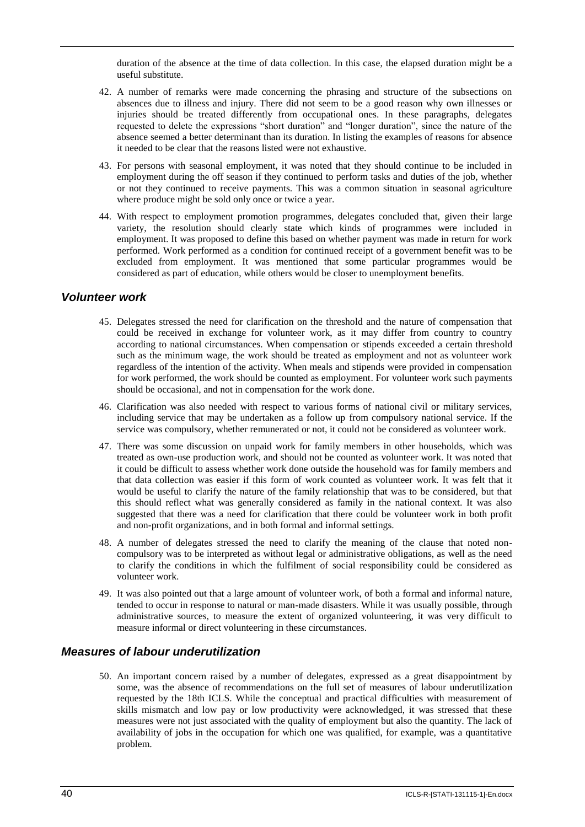duration of the absence at the time of data collection. In this case, the elapsed duration might be a useful substitute.

- 42. A number of remarks were made concerning the phrasing and structure of the subsections on absences due to illness and injury. There did not seem to be a good reason why own illnesses or injuries should be treated differently from occupational ones. In these paragraphs, delegates requested to delete the expressions "short duration" and "longer duration", since the nature of the absence seemed a better determinant than its duration. In listing the examples of reasons for absence it needed to be clear that the reasons listed were not exhaustive.
- 43. For persons with seasonal employment, it was noted that they should continue to be included in employment during the off season if they continued to perform tasks and duties of the job, whether or not they continued to receive payments. This was a common situation in seasonal agriculture where produce might be sold only once or twice a year.
- 44. With respect to employment promotion programmes, delegates concluded that, given their large variety, the resolution should clearly state which kinds of programmes were included in employment. It was proposed to define this based on whether payment was made in return for work performed. Work performed as a condition for continued receipt of a government benefit was to be excluded from employment. It was mentioned that some particular programmes would be considered as part of education, while others would be closer to unemployment benefits.

#### *Volunteer work*

- 45. Delegates stressed the need for clarification on the threshold and the nature of compensation that could be received in exchange for volunteer work, as it may differ from country to country according to national circumstances. When compensation or stipends exceeded a certain threshold such as the minimum wage, the work should be treated as employment and not as volunteer work regardless of the intention of the activity. When meals and stipends were provided in compensation for work performed, the work should be counted as employment. For volunteer work such payments should be occasional, and not in compensation for the work done.
- 46. Clarification was also needed with respect to various forms of national civil or military services, including service that may be undertaken as a follow up from compulsory national service. If the service was compulsory, whether remunerated or not, it could not be considered as volunteer work.
- 47. There was some discussion on unpaid work for family members in other households, which was treated as own-use production work, and should not be counted as volunteer work. It was noted that it could be difficult to assess whether work done outside the household was for family members and that data collection was easier if this form of work counted as volunteer work. It was felt that it would be useful to clarify the nature of the family relationship that was to be considered, but that this should reflect what was generally considered as family in the national context. It was also suggested that there was a need for clarification that there could be volunteer work in both profit and non-profit organizations, and in both formal and informal settings.
- 48. A number of delegates stressed the need to clarify the meaning of the clause that noted noncompulsory was to be interpreted as without legal or administrative obligations, as well as the need to clarify the conditions in which the fulfilment of social responsibility could be considered as volunteer work.
- 49. It was also pointed out that a large amount of volunteer work, of both a formal and informal nature, tended to occur in response to natural or man-made disasters. While it was usually possible, through administrative sources, to measure the extent of organized volunteering, it was very difficult to measure informal or direct volunteering in these circumstances.

## *Measures of labour underutilization*

50. An important concern raised by a number of delegates, expressed as a great disappointment by some, was the absence of recommendations on the full set of measures of labour underutilization requested by the 18th ICLS. While the conceptual and practical difficulties with measurement of skills mismatch and low pay or low productivity were acknowledged, it was stressed that these measures were not just associated with the quality of employment but also the quantity. The lack of availability of jobs in the occupation for which one was qualified, for example, was a quantitative problem.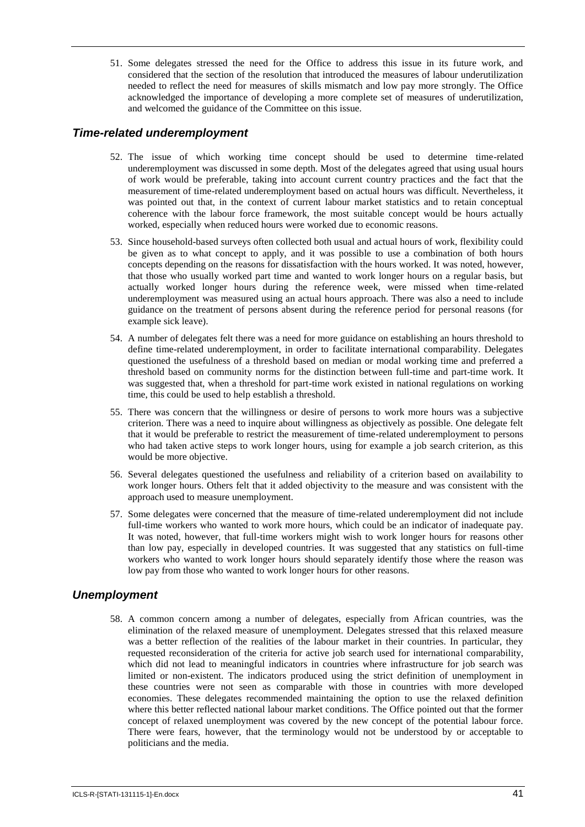51. Some delegates stressed the need for the Office to address this issue in its future work, and considered that the section of the resolution that introduced the measures of labour underutilization needed to reflect the need for measures of skills mismatch and low pay more strongly. The Office acknowledged the importance of developing a more complete set of measures of underutilization, and welcomed the guidance of the Committee on this issue.

## *Time-related underemployment*

- 52. The issue of which working time concept should be used to determine time-related underemployment was discussed in some depth. Most of the delegates agreed that using usual hours of work would be preferable, taking into account current country practices and the fact that the measurement of time-related underemployment based on actual hours was difficult. Nevertheless, it was pointed out that, in the context of current labour market statistics and to retain conceptual coherence with the labour force framework, the most suitable concept would be hours actually worked, especially when reduced hours were worked due to economic reasons.
- 53. Since household-based surveys often collected both usual and actual hours of work, flexibility could be given as to what concept to apply, and it was possible to use a combination of both hours concepts depending on the reasons for dissatisfaction with the hours worked. It was noted, however, that those who usually worked part time and wanted to work longer hours on a regular basis, but actually worked longer hours during the reference week, were missed when time-related underemployment was measured using an actual hours approach. There was also a need to include guidance on the treatment of persons absent during the reference period for personal reasons (for example sick leave).
- 54. A number of delegates felt there was a need for more guidance on establishing an hours threshold to define time-related underemployment, in order to facilitate international comparability. Delegates questioned the usefulness of a threshold based on median or modal working time and preferred a threshold based on community norms for the distinction between full-time and part-time work. It was suggested that, when a threshold for part-time work existed in national regulations on working time, this could be used to help establish a threshold.
- 55. There was concern that the willingness or desire of persons to work more hours was a subjective criterion. There was a need to inquire about willingness as objectively as possible. One delegate felt that it would be preferable to restrict the measurement of time-related underemployment to persons who had taken active steps to work longer hours, using for example a job search criterion, as this would be more objective.
- 56. Several delegates questioned the usefulness and reliability of a criterion based on availability to work longer hours. Others felt that it added objectivity to the measure and was consistent with the approach used to measure unemployment.
- 57. Some delegates were concerned that the measure of time-related underemployment did not include full-time workers who wanted to work more hours, which could be an indicator of inadequate pay. It was noted, however, that full-time workers might wish to work longer hours for reasons other than low pay, especially in developed countries. It was suggested that any statistics on full-time workers who wanted to work longer hours should separately identify those where the reason was low pay from those who wanted to work longer hours for other reasons.

## *Unemployment*

58. A common concern among a number of delegates, especially from African countries, was the elimination of the relaxed measure of unemployment. Delegates stressed that this relaxed measure was a better reflection of the realities of the labour market in their countries. In particular, they requested reconsideration of the criteria for active job search used for international comparability, which did not lead to meaningful indicators in countries where infrastructure for job search was limited or non-existent. The indicators produced using the strict definition of unemployment in these countries were not seen as comparable with those in countries with more developed economies. These delegates recommended maintaining the option to use the relaxed definition where this better reflected national labour market conditions. The Office pointed out that the former concept of relaxed unemployment was covered by the new concept of the potential labour force. There were fears, however, that the terminology would not be understood by or acceptable to politicians and the media.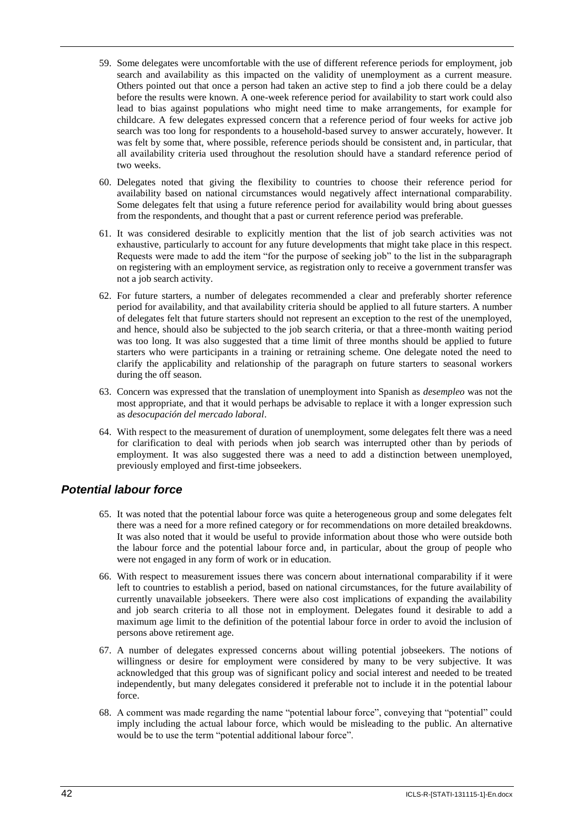- 59. Some delegates were uncomfortable with the use of different reference periods for employment, job search and availability as this impacted on the validity of unemployment as a current measure. Others pointed out that once a person had taken an active step to find a job there could be a delay before the results were known. A one-week reference period for availability to start work could also lead to bias against populations who might need time to make arrangements, for example for childcare. A few delegates expressed concern that a reference period of four weeks for active job search was too long for respondents to a household-based survey to answer accurately, however. It was felt by some that, where possible, reference periods should be consistent and, in particular, that all availability criteria used throughout the resolution should have a standard reference period of two weeks.
- 60. Delegates noted that giving the flexibility to countries to choose their reference period for availability based on national circumstances would negatively affect international comparability. Some delegates felt that using a future reference period for availability would bring about guesses from the respondents, and thought that a past or current reference period was preferable.
- 61. It was considered desirable to explicitly mention that the list of job search activities was not exhaustive, particularly to account for any future developments that might take place in this respect. Requests were made to add the item "for the purpose of seeking job" to the list in the subparagraph on registering with an employment service, as registration only to receive a government transfer was not a job search activity.
- 62. For future starters, a number of delegates recommended a clear and preferably shorter reference period for availability, and that availability criteria should be applied to all future starters. A number of delegates felt that future starters should not represent an exception to the rest of the unemployed, and hence, should also be subjected to the job search criteria, or that a three-month waiting period was too long. It was also suggested that a time limit of three months should be applied to future starters who were participants in a training or retraining scheme. One delegate noted the need to clarify the applicability and relationship of the paragraph on future starters to seasonal workers during the off season.
- 63. Concern was expressed that the translation of unemployment into Spanish as *desempleo* was not the most appropriate, and that it would perhaps be advisable to replace it with a longer expression such as *desocupación del mercado laboral*.
- 64. With respect to the measurement of duration of unemployment, some delegates felt there was a need for clarification to deal with periods when job search was interrupted other than by periods of employment. It was also suggested there was a need to add a distinction between unemployed, previously employed and first-time jobseekers.

# *Potential labour force*

- 65. It was noted that the potential labour force was quite a heterogeneous group and some delegates felt there was a need for a more refined category or for recommendations on more detailed breakdowns. It was also noted that it would be useful to provide information about those who were outside both the labour force and the potential labour force and, in particular, about the group of people who were not engaged in any form of work or in education.
- 66. With respect to measurement issues there was concern about international comparability if it were left to countries to establish a period, based on national circumstances, for the future availability of currently unavailable jobseekers. There were also cost implications of expanding the availability and job search criteria to all those not in employment. Delegates found it desirable to add a maximum age limit to the definition of the potential labour force in order to avoid the inclusion of persons above retirement age.
- 67. A number of delegates expressed concerns about willing potential jobseekers. The notions of willingness or desire for employment were considered by many to be very subjective. It was acknowledged that this group was of significant policy and social interest and needed to be treated independently, but many delegates considered it preferable not to include it in the potential labour force.
- 68. A comment was made regarding the name "potential labour force", conveying that "potential" could imply including the actual labour force, which would be misleading to the public. An alternative would be to use the term "potential additional labour force".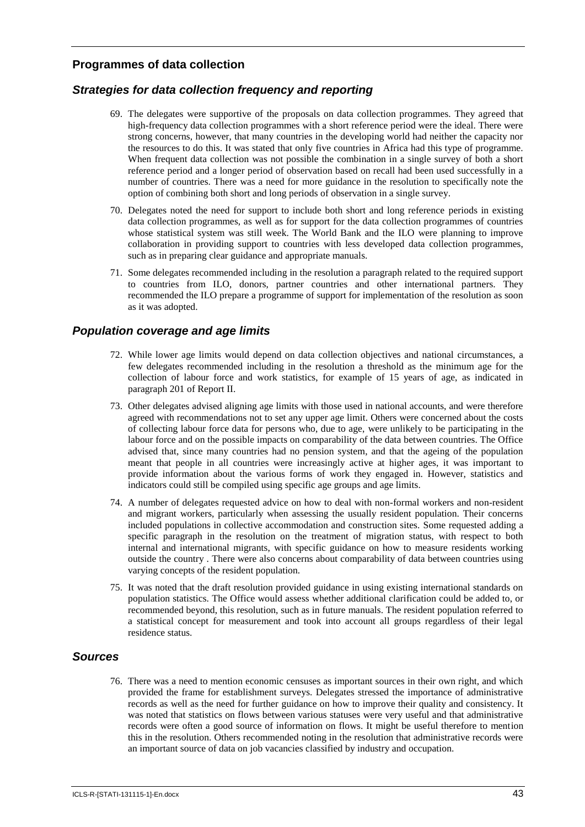# **Programmes of data collection**

# *Strategies for data collection frequency and reporting*

- 69. The delegates were supportive of the proposals on data collection programmes. They agreed that high-frequency data collection programmes with a short reference period were the ideal. There were strong concerns, however, that many countries in the developing world had neither the capacity nor the resources to do this. It was stated that only five countries in Africa had this type of programme. When frequent data collection was not possible the combination in a single survey of both a short reference period and a longer period of observation based on recall had been used successfully in a number of countries. There was a need for more guidance in the resolution to specifically note the option of combining both short and long periods of observation in a single survey.
- 70. Delegates noted the need for support to include both short and long reference periods in existing data collection programmes, as well as for support for the data collection programmes of countries whose statistical system was still week. The World Bank and the ILO were planning to improve collaboration in providing support to countries with less developed data collection programmes, such as in preparing clear guidance and appropriate manuals.
- 71. Some delegates recommended including in the resolution a paragraph related to the required support to countries from ILO, donors, partner countries and other international partners. They recommended the ILO prepare a programme of support for implementation of the resolution as soon as it was adopted.

## *Population coverage and age limits*

- 72. While lower age limits would depend on data collection objectives and national circumstances, a few delegates recommended including in the resolution a threshold as the minimum age for the collection of labour force and work statistics, for example of 15 years of age, as indicated in paragraph 201 of Report II.
- 73. Other delegates advised aligning age limits with those used in national accounts, and were therefore agreed with recommendations not to set any upper age limit. Others were concerned about the costs of collecting labour force data for persons who, due to age, were unlikely to be participating in the labour force and on the possible impacts on comparability of the data between countries. The Office advised that, since many countries had no pension system, and that the ageing of the population meant that people in all countries were increasingly active at higher ages, it was important to provide information about the various forms of work they engaged in. However, statistics and indicators could still be compiled using specific age groups and age limits.
- 74. A number of delegates requested advice on how to deal with non-formal workers and non-resident and migrant workers, particularly when assessing the usually resident population. Their concerns included populations in collective accommodation and construction sites. Some requested adding a specific paragraph in the resolution on the treatment of migration status, with respect to both internal and international migrants, with specific guidance on how to measure residents working outside the country . There were also concerns about comparability of data between countries using varying concepts of the resident population.
- 75. It was noted that the draft resolution provided guidance in using existing international standards on population statistics. The Office would assess whether additional clarification could be added to, or recommended beyond, this resolution, such as in future manuals. The resident population referred to a statistical concept for measurement and took into account all groups regardless of their legal residence status.

## *Sources*

76. There was a need to mention economic censuses as important sources in their own right, and which provided the frame for establishment surveys. Delegates stressed the importance of administrative records as well as the need for further guidance on how to improve their quality and consistency. It was noted that statistics on flows between various statuses were very useful and that administrative records were often a good source of information on flows. It might be useful therefore to mention this in the resolution. Others recommended noting in the resolution that administrative records were an important source of data on job vacancies classified by industry and occupation.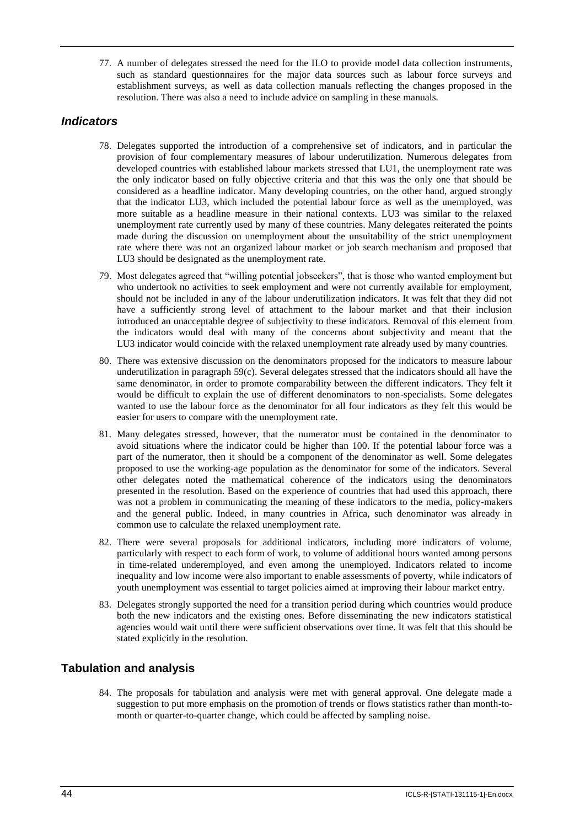77. A number of delegates stressed the need for the ILO to provide model data collection instruments, such as standard questionnaires for the major data sources such as labour force surveys and establishment surveys, as well as data collection manuals reflecting the changes proposed in the resolution. There was also a need to include advice on sampling in these manuals.

# *Indicators*

- 78. Delegates supported the introduction of a comprehensive set of indicators, and in particular the provision of four complementary measures of labour underutilization. Numerous delegates from developed countries with established labour markets stressed that LU1, the unemployment rate was the only indicator based on fully objective criteria and that this was the only one that should be considered as a headline indicator. Many developing countries, on the other hand, argued strongly that the indicator LU3, which included the potential labour force as well as the unemployed, was more suitable as a headline measure in their national contexts. LU3 was similar to the relaxed unemployment rate currently used by many of these countries. Many delegates reiterated the points made during the discussion on unemployment about the unsuitability of the strict unemployment rate where there was not an organized labour market or job search mechanism and proposed that LU3 should be designated as the unemployment rate.
- 79. Most delegates agreed that "willing potential jobseekers", that is those who wanted employment but who undertook no activities to seek employment and were not currently available for employment, should not be included in any of the labour underutilization indicators. It was felt that they did not have a sufficiently strong level of attachment to the labour market and that their inclusion introduced an unacceptable degree of subjectivity to these indicators. Removal of this element from the indicators would deal with many of the concerns about subjectivity and meant that the LU3 indicator would coincide with the relaxed unemployment rate already used by many countries.
- 80. There was extensive discussion on the denominators proposed for the indicators to measure labour underutilization in paragraph 59(c). Several delegates stressed that the indicators should all have the same denominator, in order to promote comparability between the different indicators. They felt it would be difficult to explain the use of different denominators to non-specialists. Some delegates wanted to use the labour force as the denominator for all four indicators as they felt this would be easier for users to compare with the unemployment rate.
- 81. Many delegates stressed, however, that the numerator must be contained in the denominator to avoid situations where the indicator could be higher than 100. If the potential labour force was a part of the numerator, then it should be a component of the denominator as well. Some delegates proposed to use the working-age population as the denominator for some of the indicators. Several other delegates noted the mathematical coherence of the indicators using the denominators presented in the resolution. Based on the experience of countries that had used this approach, there was not a problem in communicating the meaning of these indicators to the media, policy-makers and the general public. Indeed, in many countries in Africa, such denominator was already in common use to calculate the relaxed unemployment rate.
- 82. There were several proposals for additional indicators, including more indicators of volume, particularly with respect to each form of work, to volume of additional hours wanted among persons in time-related underemployed, and even among the unemployed. Indicators related to income inequality and low income were also important to enable assessments of poverty, while indicators of youth unemployment was essential to target policies aimed at improving their labour market entry.
- 83. Delegates strongly supported the need for a transition period during which countries would produce both the new indicators and the existing ones. Before disseminating the new indicators statistical agencies would wait until there were sufficient observations over time. It was felt that this should be stated explicitly in the resolution.

# **Tabulation and analysis**

84. The proposals for tabulation and analysis were met with general approval. One delegate made a suggestion to put more emphasis on the promotion of trends or flows statistics rather than month-tomonth or quarter-to-quarter change, which could be affected by sampling noise.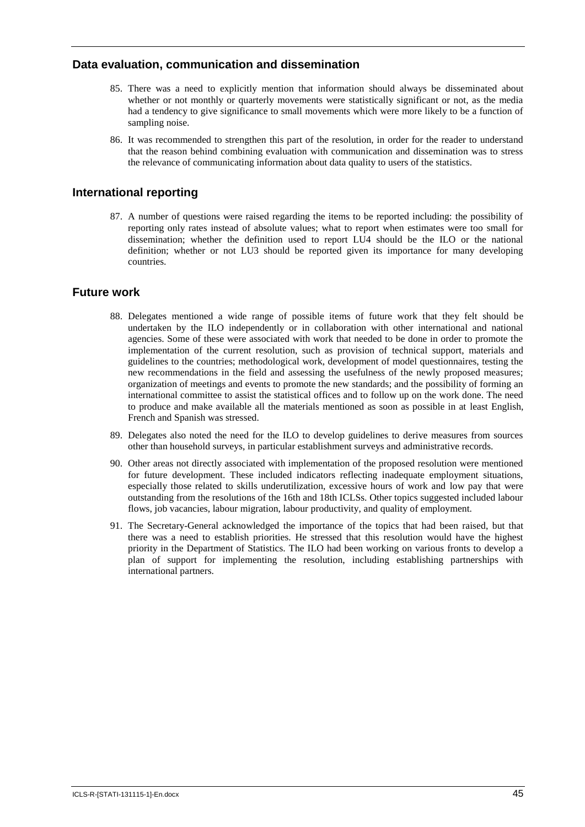## **Data evaluation, communication and dissemination**

- 85. There was a need to explicitly mention that information should always be disseminated about whether or not monthly or quarterly movements were statistically significant or not, as the media had a tendency to give significance to small movements which were more likely to be a function of sampling noise.
- 86. It was recommended to strengthen this part of the resolution, in order for the reader to understand that the reason behind combining evaluation with communication and dissemination was to stress the relevance of communicating information about data quality to users of the statistics.

# **International reporting**

87. A number of questions were raised regarding the items to be reported including: the possibility of reporting only rates instead of absolute values; what to report when estimates were too small for dissemination; whether the definition used to report LU4 should be the ILO or the national definition; whether or not LU3 should be reported given its importance for many developing countries.

# **Future work**

- 88. Delegates mentioned a wide range of possible items of future work that they felt should be undertaken by the ILO independently or in collaboration with other international and national agencies. Some of these were associated with work that needed to be done in order to promote the implementation of the current resolution, such as provision of technical support, materials and guidelines to the countries; methodological work, development of model questionnaires, testing the new recommendations in the field and assessing the usefulness of the newly proposed measures; organization of meetings and events to promote the new standards; and the possibility of forming an international committee to assist the statistical offices and to follow up on the work done. The need to produce and make available all the materials mentioned as soon as possible in at least English, French and Spanish was stressed.
- 89. Delegates also noted the need for the ILO to develop guidelines to derive measures from sources other than household surveys, in particular establishment surveys and administrative records.
- 90. Other areas not directly associated with implementation of the proposed resolution were mentioned for future development. These included indicators reflecting inadequate employment situations, especially those related to skills underutilization, excessive hours of work and low pay that were outstanding from the resolutions of the 16th and 18th ICLSs. Other topics suggested included labour flows, job vacancies, labour migration, labour productivity, and quality of employment.
- 91. The Secretary-General acknowledged the importance of the topics that had been raised, but that there was a need to establish priorities. He stressed that this resolution would have the highest priority in the Department of Statistics. The ILO had been working on various fronts to develop a plan of support for implementing the resolution, including establishing partnerships with international partners.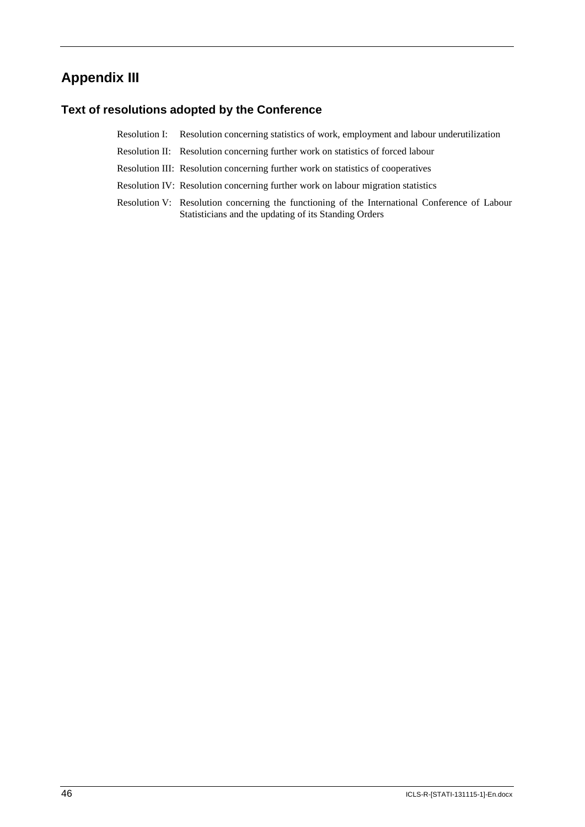# **Appendix III**

# **Text of resolutions adopted by the Conference**

Resolution I: Resolution concerning statistics of work, employment and labour underutilization

Resolution II: Resolution concerning further work on statistics of forced labour

Resolution III: Resolution concerning further work on statistics of cooperatives

- Resolution IV: Resolution concerning further work on labour migration statistics
- Resolution V: Resolution concerning the functioning of the International Conference of Labour Statisticians and the updating of its Standing Orders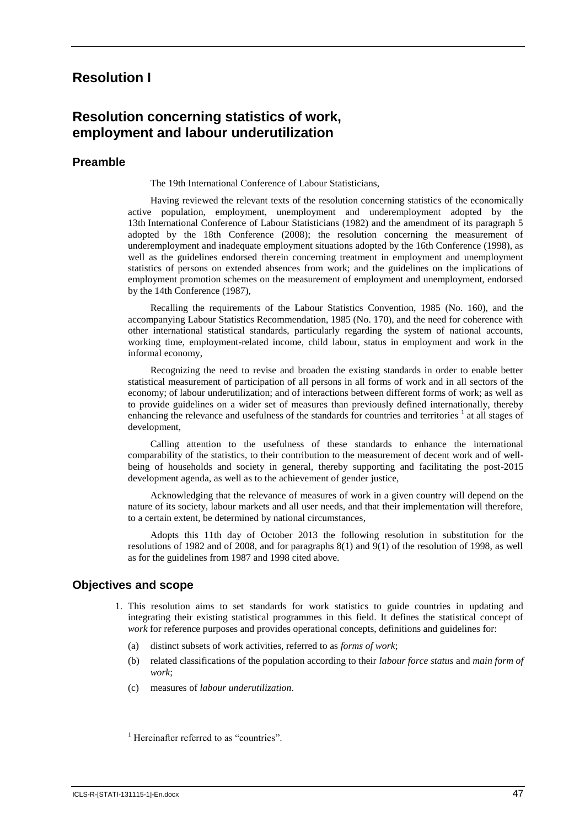# **Resolution I**

# **Resolution concerning statistics of work, employment and labour underutilization**

#### **Preamble**

The 19th International Conference of Labour Statisticians,

Having reviewed the relevant texts of the resolution concerning statistics of the economically active population, employment, unemployment and underemployment adopted by the 13th International Conference of Labour Statisticians (1982) and the amendment of its paragraph 5 adopted by the 18th Conference (2008); the resolution concerning the measurement of underemployment and inadequate employment situations adopted by the 16th Conference (1998), as well as the guidelines endorsed therein concerning treatment in employment and unemployment statistics of persons on extended absences from work; and the guidelines on the implications of employment promotion schemes on the measurement of employment and unemployment, endorsed by the 14th Conference (1987),

Recalling the requirements of the Labour Statistics Convention, 1985 (No. 160), and the accompanying Labour Statistics Recommendation, 1985 (No. 170), and the need for coherence with other international statistical standards, particularly regarding the system of national accounts, working time, employment-related income, child labour, status in employment and work in the informal economy,

Recognizing the need to revise and broaden the existing standards in order to enable better statistical measurement of participation of all persons in all forms of work and in all sectors of the economy; of labour underutilization; and of interactions between different forms of work; as well as to provide guidelines on a wider set of measures than previously defined internationally, thereby enhancing the relevance and usefulness of the standards for countries and territories <sup>1</sup> at all stages of development,

Calling attention to the usefulness of these standards to enhance the international comparability of the statistics, to their contribution to the measurement of decent work and of wellbeing of households and society in general, thereby supporting and facilitating the post-2015 development agenda, as well as to the achievement of gender justice,

Acknowledging that the relevance of measures of work in a given country will depend on the nature of its society, labour markets and all user needs, and that their implementation will therefore, to a certain extent, be determined by national circumstances,

Adopts this 11th day of October 2013 the following resolution in substitution for the resolutions of 1982 and of 2008, and for paragraphs 8(1) and 9(1) of the resolution of 1998, as well as for the guidelines from 1987 and 1998 cited above.

#### **Objectives and scope**

- 1. This resolution aims to set standards for work statistics to guide countries in updating and integrating their existing statistical programmes in this field. It defines the statistical concept of *work* for reference purposes and provides operational concepts, definitions and guidelines for:
	- (a) distinct subsets of work activities, referred to as *forms of work*;
	- (b) related classifications of the population according to their *labour force status* and *main form of work*;
	- (c) measures of *labour underutilization*.

<sup>1</sup> Hereinafter referred to as "countries".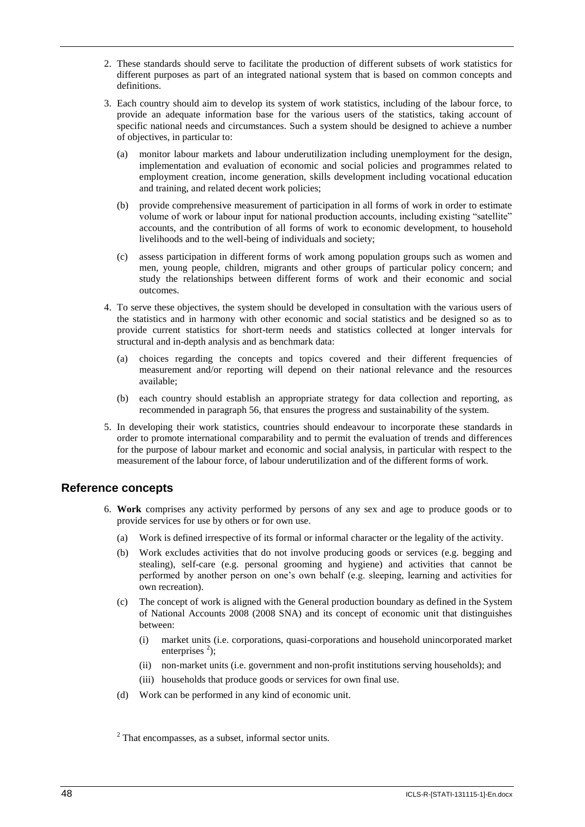- 2. These standards should serve to facilitate the production of different subsets of work statistics for different purposes as part of an integrated national system that is based on common concepts and definitions.
- 3. Each country should aim to develop its system of work statistics, including of the labour force, to provide an adequate information base for the various users of the statistics, taking account of specific national needs and circumstances. Such a system should be designed to achieve a number of objectives, in particular to:
	- (a) monitor labour markets and labour underutilization including unemployment for the design, implementation and evaluation of economic and social policies and programmes related to employment creation, income generation, skills development including vocational education and training, and related decent work policies;
	- (b) provide comprehensive measurement of participation in all forms of work in order to estimate volume of work or labour input for national production accounts, including existing "satellite" accounts, and the contribution of all forms of work to economic development, to household livelihoods and to the well-being of individuals and society;
	- (c) assess participation in different forms of work among population groups such as women and men, young people, children, migrants and other groups of particular policy concern; and study the relationships between different forms of work and their economic and social outcomes.
- 4. To serve these objectives, the system should be developed in consultation with the various users of the statistics and in harmony with other economic and social statistics and be designed so as to provide current statistics for short-term needs and statistics collected at longer intervals for structural and in-depth analysis and as benchmark data:
	- (a) choices regarding the concepts and topics covered and their different frequencies of measurement and/or reporting will depend on their national relevance and the resources available;
	- (b) each country should establish an appropriate strategy for data collection and reporting, as recommended in paragraph 56, that ensures the progress and sustainability of the system.
- 5. In developing their work statistics, countries should endeavour to incorporate these standards in order to promote international comparability and to permit the evaluation of trends and differences for the purpose of labour market and economic and social analysis, in particular with respect to the measurement of the labour force, of labour underutilization and of the different forms of work.

## **Reference concepts**

- 6. **Work** comprises any activity performed by persons of any sex and age to produce goods or to provide services for use by others or for own use.
	- (a) Work is defined irrespective of its formal or informal character or the legality of the activity.
	- (b) Work excludes activities that do not involve producing goods or services (e.g. begging and stealing), self-care (e.g. personal grooming and hygiene) and activities that cannot be performed by another person on one's own behalf (e.g. sleeping, learning and activities for own recreation).
	- (c) The concept of work is aligned with the General production boundary as defined in the System of National Accounts 2008 (2008 SNA) and its concept of economic unit that distinguishes between:
		- (i) market units (i.e. corporations, quasi-corporations and household unincorporated market enterprises  $2$ ;
		- (ii) non-market units (i.e. government and non-profit institutions serving households); and
		- (iii) households that produce goods or services for own final use.
	- (d) Work can be performed in any kind of economic unit.

<sup>&</sup>lt;sup>2</sup> That encompasses, as a subset, informal sector units.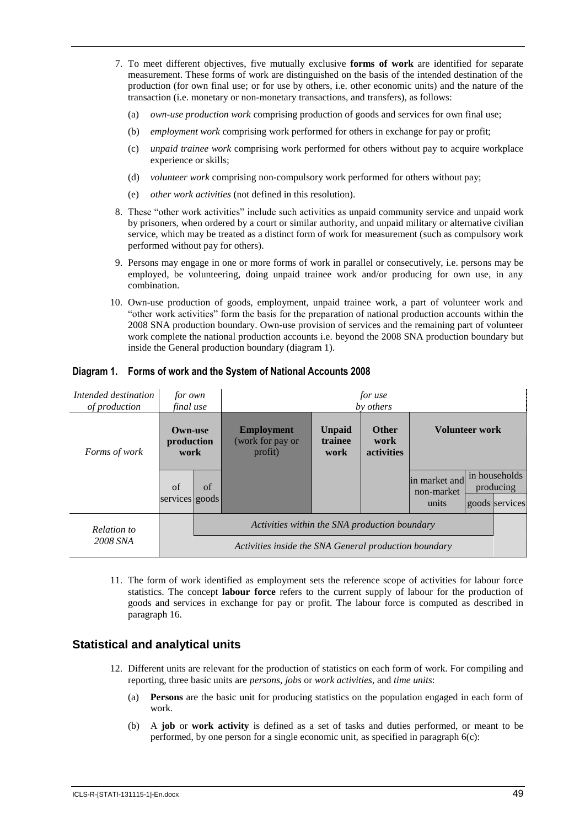- 7. To meet different objectives, five mutually exclusive **forms of work** are identified for separate measurement. These forms of work are distinguished on the basis of the intended destination of the production (for own final use; or for use by others, i.e. other economic units) and the nature of the transaction (i.e. monetary or non-monetary transactions, and transfers), as follows:
	- (a) *own-use production work* comprising production of goods and services for own final use;
	- (b) *employment work* comprising work performed for others in exchange for pay or profit;
	- (c) *unpaid trainee work* comprising work performed for others without pay to acquire workplace experience or skills;
	- (d) *volunteer work* comprising non-compulsory work performed for others without pay;
	- (e) *other work activities* (not defined in this resolution).
- 8. These "other work activities" include such activities as unpaid community service and unpaid work by prisoners, when ordered by a court or similar authority, and unpaid military or alternative civilian service, which may be treated as a distinct form of work for measurement (such as compulsory work performed without pay for others).
- 9. Persons may engage in one or more forms of work in parallel or consecutively, i.e. persons may be employed, be volunteering, doing unpaid trainee work and/or producing for own use, in any combination.
- 10. Own-use production of goods, employment, unpaid trainee work, a part of volunteer work and "other work activities" form the basis for the preparation of national production accounts within the 2008 SNA production boundary. Own-use provision of services and the remaining part of volunteer work complete the national production accounts i.e. beyond the 2008 SNA production boundary but inside the General production boundary (diagram 1).

| Intended destination<br>of production | for own<br>final use                                  |                                               | for use<br>by others                             |                                  |                                           |                                      |  |                                              |
|---------------------------------------|-------------------------------------------------------|-----------------------------------------------|--------------------------------------------------|----------------------------------|-------------------------------------------|--------------------------------------|--|----------------------------------------------|
| Forms of work                         | <b>Own-use</b><br>production<br>work                  |                                               | <b>Employment</b><br>(work for pay or<br>profit) | <b>Unpaid</b><br>trainee<br>work | <b>Other</b><br>work<br><b>activities</b> | <b>Volunteer work</b>                |  |                                              |
|                                       | of<br>services goods                                  | of                                            |                                                  |                                  |                                           | in market and<br>non-market<br>units |  | in households<br>producing<br>goods services |
| Relation to<br>2008 SNA               |                                                       | Activities within the SNA production boundary |                                                  |                                  |                                           |                                      |  |                                              |
|                                       | Activities inside the SNA General production boundary |                                               |                                                  |                                  |                                           |                                      |  |                                              |

#### **Diagram 1. Forms of work and the System of National Accounts 2008**

11. The form of work identified as employment sets the reference scope of activities for labour force statistics. The concept **labour force** refers to the current supply of labour for the production of goods and services in exchange for pay or profit. The labour force is computed as described in paragraph 16.

## **Statistical and analytical units**

- 12. Different units are relevant for the production of statistics on each form of work. For compiling and reporting, three basic units are *persons, jobs* or *work activities*, and *time units*:
	- (a) **Persons** are the basic unit for producing statistics on the population engaged in each form of work.
	- (b) A **job** or **work activity** is defined as a set of tasks and duties performed, or meant to be performed, by one person for a single economic unit, as specified in paragraph 6(c):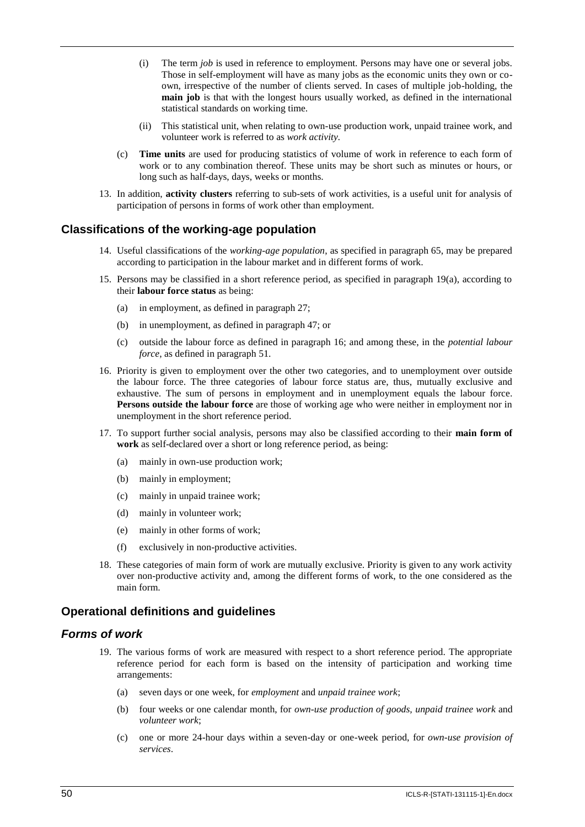- (i) The term *job* is used in reference to employment. Persons may have one or several jobs. Those in self-employment will have as many jobs as the economic units they own or coown, irrespective of the number of clients served. In cases of multiple job-holding, the **main job** is that with the longest hours usually worked, as defined in the international statistical standards on working time.
- (ii) This statistical unit, when relating to own-use production work, unpaid trainee work, and volunteer work is referred to as *work activity.*
- (c) **Time units** are used for producing statistics of volume of work in reference to each form of work or to any combination thereof. These units may be short such as minutes or hours, or long such as half-days, days, weeks or months.
- 13. In addition, **activity clusters** referring to sub-sets of work activities, is a useful unit for analysis of participation of persons in forms of work other than employment.

#### **Classifications of the working-age population**

- 14. Useful classifications of the *working-age population*, as specified in paragraph 65, may be prepared according to participation in the labour market and in different forms of work.
- 15. Persons may be classified in a short reference period, as specified in paragraph 19(a), according to their **labour force status** as being:
	- (a) in employment, as defined in paragraph 27;
	- (b) in unemployment, as defined in paragraph 47; or
	- (c) outside the labour force as defined in paragraph 16; and among these, in the *potential labour force*, as defined in paragraph 51.
- 16. Priority is given to employment over the other two categories, and to unemployment over outside the labour force. The three categories of labour force status are, thus, mutually exclusive and exhaustive. The sum of persons in employment and in unemployment equals the labour force. **Persons outside the labour force** are those of working age who were neither in employment nor in unemployment in the short reference period.
- 17. To support further social analysis, persons may also be classified according to their **main form of work** as self-declared over a short or long reference period, as being:
	- (a) mainly in own-use production work;
	- (b) mainly in employment;
	- (c) mainly in unpaid trainee work;
	- (d) mainly in volunteer work;
	- (e) mainly in other forms of work;
	- (f) exclusively in non-productive activities.
- 18. These categories of main form of work are mutually exclusive. Priority is given to any work activity over non-productive activity and, among the different forms of work, to the one considered as the main form.

#### **Operational definitions and guidelines**

#### *Forms of work*

- 19. The various forms of work are measured with respect to a short reference period. The appropriate reference period for each form is based on the intensity of participation and working time arrangements:
	- (a) seven days or one week, for *employment* and *unpaid trainee work*;
	- (b) four weeks or one calendar month, for *own-use production of goods, unpaid trainee work* and *volunteer work*;
	- (c) one or more 24-hour days within a seven-day or one-week period, for *own-use provision of services*.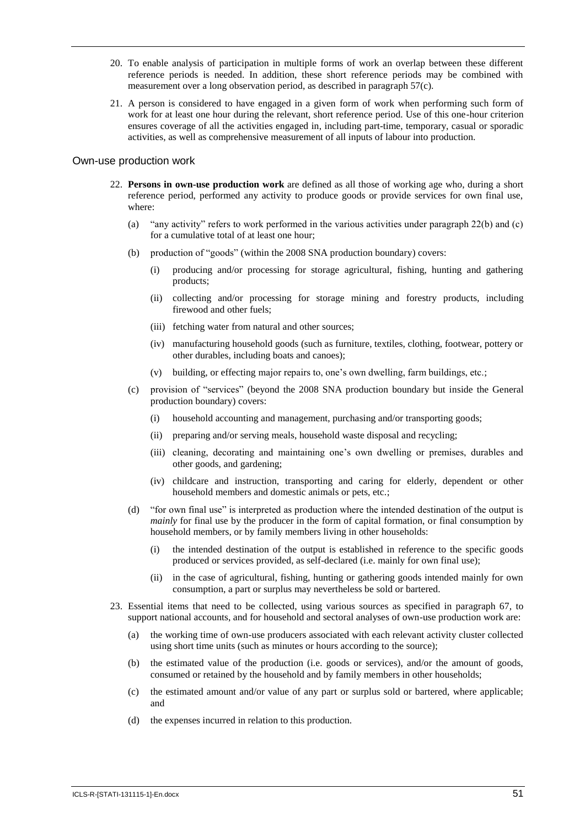- 20. To enable analysis of participation in multiple forms of work an overlap between these different reference periods is needed. In addition, these short reference periods may be combined with measurement over a long observation period, as described in paragraph 57(c).
- 21. A person is considered to have engaged in a given form of work when performing such form of work for at least one hour during the relevant, short reference period. Use of this one-hour criterion ensures coverage of all the activities engaged in, including part-time, temporary, casual or sporadic activities, as well as comprehensive measurement of all inputs of labour into production.

#### Own-use production work

- 22. **Persons in own-use production work** are defined as all those of working age who, during a short reference period, performed any activity to produce goods or provide services for own final use, where:
	- (a) "any activity" refers to work performed in the various activities under paragraph 22(b) and (c) for a cumulative total of at least one hour;
	- (b) production of "goods" (within the 2008 SNA production boundary) covers:
		- (i) producing and/or processing for storage agricultural, fishing, hunting and gathering products;
		- (ii) collecting and/or processing for storage mining and forestry products, including firewood and other fuels;
		- (iii) fetching water from natural and other sources;
		- (iv) manufacturing household goods (such as furniture, textiles, clothing, footwear, pottery or other durables, including boats and canoes);
		- (v) building, or effecting major repairs to, one's own dwelling, farm buildings, etc.;
	- (c) provision of "services" (beyond the 2008 SNA production boundary but inside the General production boundary) covers:
		- (i) household accounting and management, purchasing and/or transporting goods;
		- (ii) preparing and/or serving meals, household waste disposal and recycling;
		- (iii) cleaning, decorating and maintaining one's own dwelling or premises, durables and other goods, and gardening;
		- (iv) childcare and instruction, transporting and caring for elderly, dependent or other household members and domestic animals or pets, etc.;
	- (d) "for own final use" is interpreted as production where the intended destination of the output is *mainly* for final use by the producer in the form of capital formation, or final consumption by household members, or by family members living in other households:
		- (i) the intended destination of the output is established in reference to the specific goods produced or services provided, as self-declared (i.e. mainly for own final use);
		- (ii) in the case of agricultural, fishing, hunting or gathering goods intended mainly for own consumption, a part or surplus may nevertheless be sold or bartered.
- 23. Essential items that need to be collected, using various sources as specified in paragraph 67, to support national accounts, and for household and sectoral analyses of own-use production work are:
	- (a) the working time of own-use producers associated with each relevant activity cluster collected using short time units (such as minutes or hours according to the source);
	- (b) the estimated value of the production (i.e. goods or services), and/or the amount of goods, consumed or retained by the household and by family members in other households;
	- (c) the estimated amount and/or value of any part or surplus sold or bartered, where applicable; and
	- (d) the expenses incurred in relation to this production.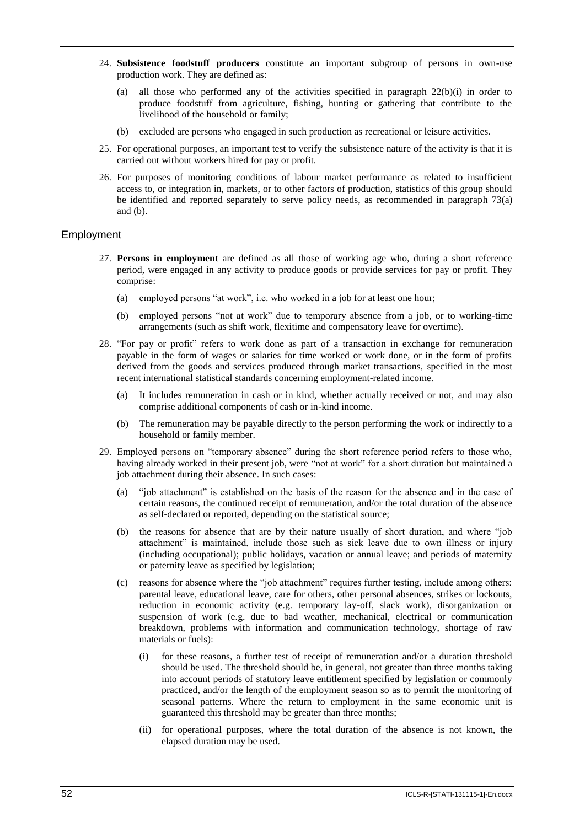- 24. **Subsistence foodstuff producers** constitute an important subgroup of persons in own-use production work. They are defined as:
	- (a) all those who performed any of the activities specified in paragraph 22(b)(i) in order to produce foodstuff from agriculture, fishing, hunting or gathering that contribute to the livelihood of the household or family;
	- (b) excluded are persons who engaged in such production as recreational or leisure activities.
- 25. For operational purposes, an important test to verify the subsistence nature of the activity is that it is carried out without workers hired for pay or profit.
- 26. For purposes of monitoring conditions of labour market performance as related to insufficient access to, or integration in, markets, or to other factors of production, statistics of this group should be identified and reported separately to serve policy needs, as recommended in paragraph 73(a) and (b).

#### Employment

- 27. **Persons in employment** are defined as all those of working age who, during a short reference period, were engaged in any activity to produce goods or provide services for pay or profit. They comprise:
	- (a) employed persons "at work", i.e. who worked in a job for at least one hour;
	- (b) employed persons "not at work" due to temporary absence from a job, or to working-time arrangements (such as shift work, flexitime and compensatory leave for overtime).
- 28. "For pay or profit" refers to work done as part of a transaction in exchange for remuneration payable in the form of wages or salaries for time worked or work done, or in the form of profits derived from the goods and services produced through market transactions, specified in the most recent international statistical standards concerning employment-related income.
	- (a) It includes remuneration in cash or in kind, whether actually received or not, and may also comprise additional components of cash or in-kind income.
	- (b) The remuneration may be payable directly to the person performing the work or indirectly to a household or family member.
- 29. Employed persons on "temporary absence" during the short reference period refers to those who, having already worked in their present job, were "not at work" for a short duration but maintained a job attachment during their absence. In such cases:
	- (a) "job attachment" is established on the basis of the reason for the absence and in the case of certain reasons, the continued receipt of remuneration, and/or the total duration of the absence as self-declared or reported, depending on the statistical source;
	- (b) the reasons for absence that are by their nature usually of short duration, and where "job attachment" is maintained, include those such as sick leave due to own illness or injury (including occupational); public holidays, vacation or annual leave; and periods of maternity or paternity leave as specified by legislation;
	- (c) reasons for absence where the "job attachment" requires further testing, include among others: parental leave, educational leave, care for others, other personal absences, strikes or lockouts, reduction in economic activity (e.g. temporary lay-off, slack work), disorganization or suspension of work (e.g. due to bad weather, mechanical, electrical or communication breakdown, problems with information and communication technology, shortage of raw materials or fuels):
		- (i) for these reasons, a further test of receipt of remuneration and/or a duration threshold should be used. The threshold should be, in general, not greater than three months taking into account periods of statutory leave entitlement specified by legislation or commonly practiced, and/or the length of the employment season so as to permit the monitoring of seasonal patterns. Where the return to employment in the same economic unit is guaranteed this threshold may be greater than three months;
		- (ii) for operational purposes, where the total duration of the absence is not known, the elapsed duration may be used.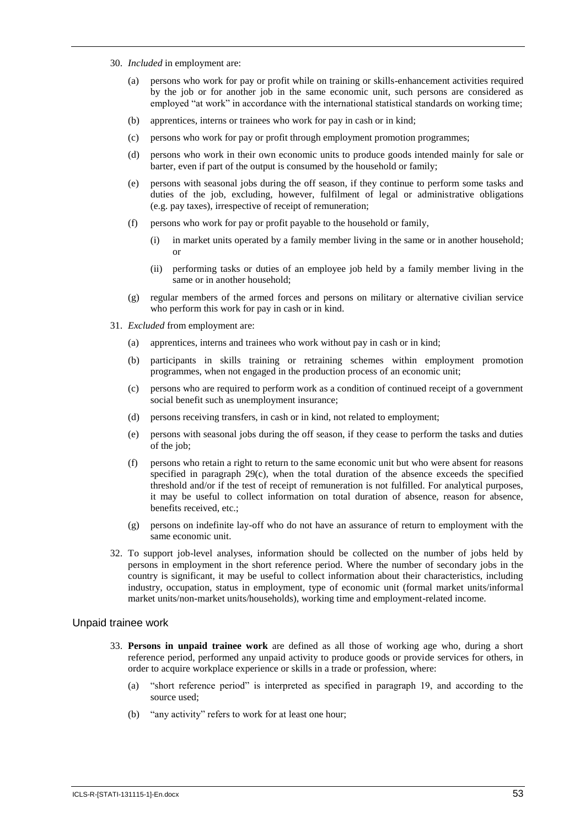- 30. *Included* in employment are:
	- (a) persons who work for pay or profit while on training or skills-enhancement activities required by the job or for another job in the same economic unit, such persons are considered as employed "at work" in accordance with the international statistical standards on working time;
	- (b) apprentices, interns or trainees who work for pay in cash or in kind;
	- (c) persons who work for pay or profit through employment promotion programmes;
	- (d) persons who work in their own economic units to produce goods intended mainly for sale or barter, even if part of the output is consumed by the household or family;
	- (e) persons with seasonal jobs during the off season, if they continue to perform some tasks and duties of the job, excluding, however, fulfilment of legal or administrative obligations (e.g. pay taxes), irrespective of receipt of remuneration;
	- (f) persons who work for pay or profit payable to the household or family,
		- (i) in market units operated by a family member living in the same or in another household; or
		- (ii) performing tasks or duties of an employee job held by a family member living in the same or in another household;
	- (g) regular members of the armed forces and persons on military or alternative civilian service who perform this work for pay in cash or in kind.
- 31. *Excluded* from employment are:
	- (a) apprentices, interns and trainees who work without pay in cash or in kind;
	- (b) participants in skills training or retraining schemes within employment promotion programmes, when not engaged in the production process of an economic unit;
	- (c) persons who are required to perform work as a condition of continued receipt of a government social benefit such as unemployment insurance;
	- (d) persons receiving transfers, in cash or in kind, not related to employment;
	- (e) persons with seasonal jobs during the off season, if they cease to perform the tasks and duties of the job;
	- (f) persons who retain a right to return to the same economic unit but who were absent for reasons specified in paragraph 29(c), when the total duration of the absence exceeds the specified threshold and/or if the test of receipt of remuneration is not fulfilled. For analytical purposes, it may be useful to collect information on total duration of absence, reason for absence, benefits received, etc.;
	- (g) persons on indefinite lay-off who do not have an assurance of return to employment with the same economic unit.
- 32. To support job-level analyses, information should be collected on the number of jobs held by persons in employment in the short reference period. Where the number of secondary jobs in the country is significant, it may be useful to collect information about their characteristics, including industry, occupation, status in employment, type of economic unit (formal market units/informal market units/non-market units/households), working time and employment-related income.

#### Unpaid trainee work

- 33. **Persons in unpaid trainee work** are defined as all those of working age who, during a short reference period, performed any unpaid activity to produce goods or provide services for others, in order to acquire workplace experience or skills in a trade or profession, where:
	- (a) "short reference period" is interpreted as specified in paragraph 19, and according to the source used;
	- (b) "any activity" refers to work for at least one hour;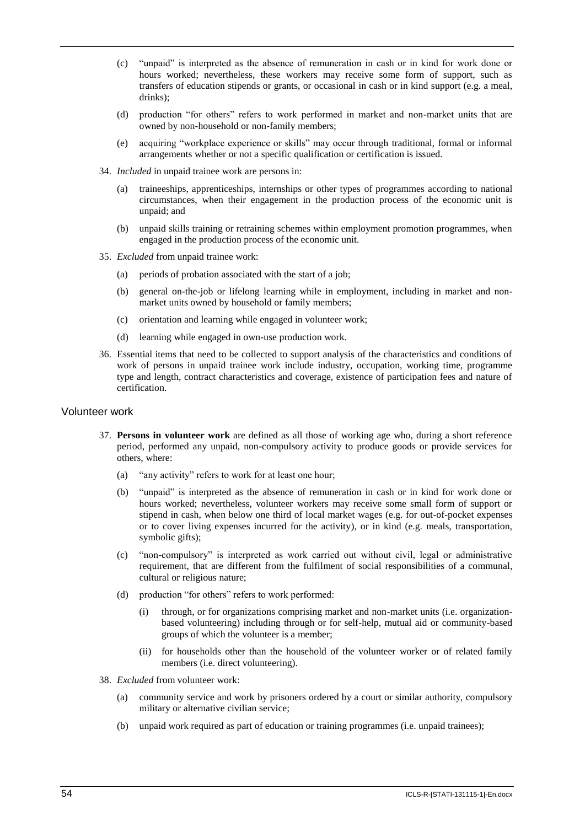- (c) "unpaid" is interpreted as the absence of remuneration in cash or in kind for work done or hours worked; nevertheless, these workers may receive some form of support, such as transfers of education stipends or grants, or occasional in cash or in kind support (e.g. a meal, drinks);
- (d) production "for others" refers to work performed in market and non-market units that are owned by non-household or non-family members;
- (e) acquiring "workplace experience or skills" may occur through traditional, formal or informal arrangements whether or not a specific qualification or certification is issued.
- 34. *Included* in unpaid trainee work are persons in:
	- (a) traineeships, apprenticeships, internships or other types of programmes according to national circumstances, when their engagement in the production process of the economic unit is unpaid; and
	- (b) unpaid skills training or retraining schemes within employment promotion programmes, when engaged in the production process of the economic unit.
- 35. *Excluded* from unpaid trainee work:
	- (a) periods of probation associated with the start of a job;
	- (b) general on-the-job or lifelong learning while in employment, including in market and nonmarket units owned by household or family members;
	- (c) orientation and learning while engaged in volunteer work;
	- (d) learning while engaged in own-use production work.
- 36. Essential items that need to be collected to support analysis of the characteristics and conditions of work of persons in unpaid trainee work include industry, occupation, working time, programme type and length, contract characteristics and coverage, existence of participation fees and nature of certification.

#### Volunteer work

- 37. **Persons in volunteer work** are defined as all those of working age who, during a short reference period, performed any unpaid, non-compulsory activity to produce goods or provide services for others, where:
	- (a) "any activity" refers to work for at least one hour;
	- (b) "unpaid" is interpreted as the absence of remuneration in cash or in kind for work done or hours worked; nevertheless, volunteer workers may receive some small form of support or stipend in cash, when below one third of local market wages (e.g. for out-of-pocket expenses or to cover living expenses incurred for the activity), or in kind (e.g. meals, transportation, symbolic gifts);
	- (c) "non-compulsory" is interpreted as work carried out without civil, legal or administrative requirement, that are different from the fulfilment of social responsibilities of a communal, cultural or religious nature;
	- (d) production "for others" refers to work performed:
		- (i) through, or for organizations comprising market and non-market units (i.e. organizationbased volunteering) including through or for self-help, mutual aid or community-based groups of which the volunteer is a member;
		- (ii) for households other than the household of the volunteer worker or of related family members (i.e. direct volunteering).
- 38. *Excluded* from volunteer work:
	- (a) community service and work by prisoners ordered by a court or similar authority, compulsory military or alternative civilian service;
	- (b) unpaid work required as part of education or training programmes (i.e. unpaid trainees);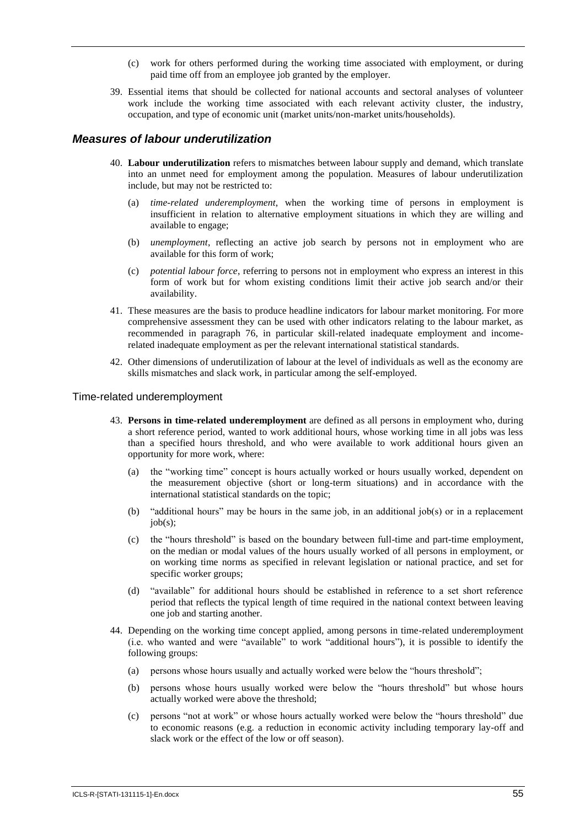- work for others performed during the working time associated with employment, or during paid time off from an employee job granted by the employer.
- 39. Essential items that should be collected for national accounts and sectoral analyses of volunteer work include the working time associated with each relevant activity cluster, the industry, occupation, and type of economic unit (market units/non-market units/households).

#### *Measures of labour underutilization*

- 40. **Labour underutilization** refers to mismatches between labour supply and demand, which translate into an unmet need for employment among the population. Measures of labour underutilization include, but may not be restricted to:
	- (a) *time-related underemployment*, when the working time of persons in employment is insufficient in relation to alternative employment situations in which they are willing and available to engage;
	- (b) *unemployment*, reflecting an active job search by persons not in employment who are available for this form of work;
	- (c) *potential labour force*, referring to persons not in employment who express an interest in this form of work but for whom existing conditions limit their active job search and/or their availability.
- 41. These measures are the basis to produce headline indicators for labour market monitoring. For more comprehensive assessment they can be used with other indicators relating to the labour market, as recommended in paragraph 76, in particular skill-related inadequate employment and incomerelated inadequate employment as per the relevant international statistical standards.
- 42. Other dimensions of underutilization of labour at the level of individuals as well as the economy are skills mismatches and slack work, in particular among the self-employed.

#### Time-related underemployment

- 43. **Persons in time-related underemployment** are defined as all persons in employment who, during a short reference period, wanted to work additional hours, whose working time in all jobs was less than a specified hours threshold, and who were available to work additional hours given an opportunity for more work, where:
	- (a) the "working time" concept is hours actually worked or hours usually worked, dependent on the measurement objective (short or long-term situations) and in accordance with the international statistical standards on the topic;
	- (b) "additional hours" may be hours in the same job, in an additional job(s) or in a replacement  $job(s)$ ;
	- (c) the "hours threshold" is based on the boundary between full-time and part-time employment, on the median or modal values of the hours usually worked of all persons in employment, or on working time norms as specified in relevant legislation or national practice, and set for specific worker groups;
	- (d) "available" for additional hours should be established in reference to a set short reference period that reflects the typical length of time required in the national context between leaving one job and starting another.
- 44. Depending on the working time concept applied, among persons in time-related underemployment (i.e. who wanted and were "available" to work "additional hours"), it is possible to identify the following groups:
	- (a) persons whose hours usually and actually worked were below the "hours threshold";
	- (b) persons whose hours usually worked were below the "hours threshold" but whose hours actually worked were above the threshold;
	- (c) persons "not at work" or whose hours actually worked were below the "hours threshold" due to economic reasons (e.g. a reduction in economic activity including temporary lay-off and slack work or the effect of the low or off season).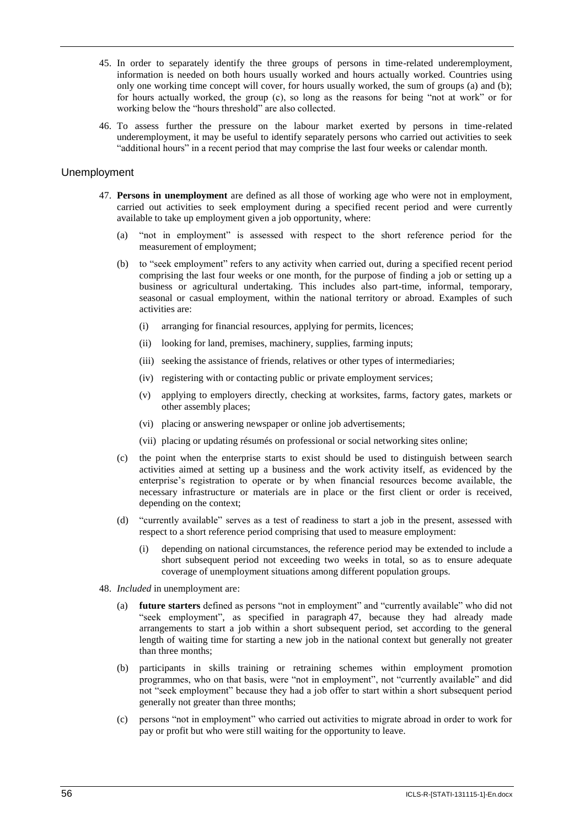- 45. In order to separately identify the three groups of persons in time-related underemployment, information is needed on both hours usually worked and hours actually worked. Countries using only one working time concept will cover, for hours usually worked, the sum of groups (a) and (b); for hours actually worked, the group (c), so long as the reasons for being "not at work" or for working below the "hours threshold" are also collected.
- 46. To assess further the pressure on the labour market exerted by persons in time-related underemployment, it may be useful to identify separately persons who carried out activities to seek "additional hours" in a recent period that may comprise the last four weeks or calendar month.

#### Unemployment

- 47. **Persons in unemployment** are defined as all those of working age who were not in employment, carried out activities to seek employment during a specified recent period and were currently available to take up employment given a job opportunity, where:
	- (a) "not in employment" is assessed with respect to the short reference period for the measurement of employment;
	- (b) to "seek employment" refers to any activity when carried out, during a specified recent period comprising the last four weeks or one month, for the purpose of finding a job or setting up a business or agricultural undertaking. This includes also part-time, informal, temporary, seasonal or casual employment, within the national territory or abroad. Examples of such activities are:
		- (i) arranging for financial resources, applying for permits, licences;
		- (ii) looking for land, premises, machinery, supplies, farming inputs;
		- (iii) seeking the assistance of friends, relatives or other types of intermediaries;
		- (iv) registering with or contacting public or private employment services;
		- (v) applying to employers directly, checking at worksites, farms, factory gates, markets or other assembly places;
		- (vi) placing or answering newspaper or online job advertisements;
		- (vii) placing or updating résumés on professional or social networking sites online;
	- (c) the point when the enterprise starts to exist should be used to distinguish between search activities aimed at setting up a business and the work activity itself, as evidenced by the enterprise's registration to operate or by when financial resources become available, the necessary infrastructure or materials are in place or the first client or order is received, depending on the context;
	- (d) "currently available" serves as a test of readiness to start a job in the present, assessed with respect to a short reference period comprising that used to measure employment:
		- (i) depending on national circumstances, the reference period may be extended to include a short subsequent period not exceeding two weeks in total, so as to ensure adequate coverage of unemployment situations among different population groups.
- 48. *Included* in unemployment are:
	- (a) **future starters** defined as persons "not in employment" and "currently available" who did not "seek employment", as specified in paragraph 47, because they had already made arrangements to start a job within a short subsequent period, set according to the general length of waiting time for starting a new job in the national context but generally not greater than three months;
	- (b) participants in skills training or retraining schemes within employment promotion programmes, who on that basis, were "not in employment", not "currently available" and did not "seek employment" because they had a job offer to start within a short subsequent period generally not greater than three months;
	- (c) persons "not in employment" who carried out activities to migrate abroad in order to work for pay or profit but who were still waiting for the opportunity to leave.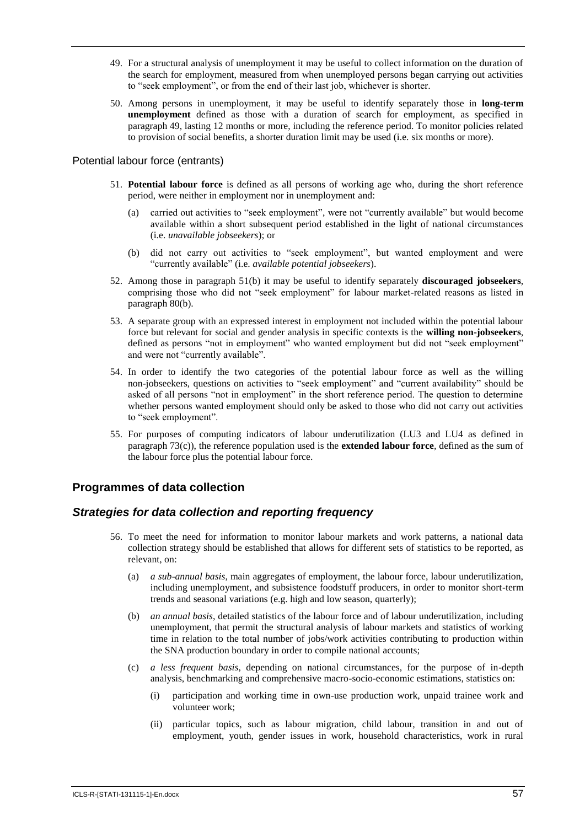- 49. For a structural analysis of unemployment it may be useful to collect information on the duration of the search for employment, measured from when unemployed persons began carrying out activities to "seek employment", or from the end of their last job, whichever is shorter.
- 50. Among persons in unemployment, it may be useful to identify separately those in **long-term unemployment** defined as those with a duration of search for employment, as specified in paragraph 49, lasting 12 months or more, including the reference period. To monitor policies related to provision of social benefits, a shorter duration limit may be used (i.e. six months or more).

#### Potential labour force (entrants)

- 51. **Potential labour force** is defined as all persons of working age who, during the short reference period, were neither in employment nor in unemployment and:
	- (a) carried out activities to "seek employment", were not "currently available" but would become available within a short subsequent period established in the light of national circumstances (i.e. *unavailable jobseekers*); or
	- (b) did not carry out activities to "seek employment", but wanted employment and were "currently available" (i.e. *available potential jobseekers*).
- 52. Among those in paragraph 51(b) it may be useful to identify separately **discouraged jobseekers**, comprising those who did not "seek employment" for labour market-related reasons as listed in paragraph 80(b).
- 53. A separate group with an expressed interest in employment not included within the potential labour force but relevant for social and gender analysis in specific contexts is the **willing non-jobseekers**, defined as persons "not in employment" who wanted employment but did not "seek employment" and were not "currently available".
- 54. In order to identify the two categories of the potential labour force as well as the willing non-jobseekers, questions on activities to "seek employment" and "current availability" should be asked of all persons "not in employment" in the short reference period. The question to determine whether persons wanted employment should only be asked to those who did not carry out activities to "seek employment".
- 55. For purposes of computing indicators of labour underutilization (LU3 and LU4 as defined in paragraph 73(c)), the reference population used is the **extended labour force***,* defined as the sum of the labour force plus the potential labour force.

## **Programmes of data collection**

#### *Strategies for data collection and reporting frequency*

- 56. To meet the need for information to monitor labour markets and work patterns, a national data collection strategy should be established that allows for different sets of statistics to be reported, as relevant, on:
	- (a) *a sub-annual basis*, main aggregates of employment, the labour force, labour underutilization, including unemployment, and subsistence foodstuff producers, in order to monitor short-term trends and seasonal variations (e.g. high and low season, quarterly);
	- (b) *an annual basis*, detailed statistics of the labour force and of labour underutilization, including unemployment, that permit the structural analysis of labour markets and statistics of working time in relation to the total number of jobs/work activities contributing to production within the SNA production boundary in order to compile national accounts;
	- (c) *a less frequent basis*, depending on national circumstances, for the purpose of in-depth analysis, benchmarking and comprehensive macro-socio-economic estimations, statistics on:
		- (i) participation and working time in own-use production work, unpaid trainee work and volunteer work;
		- (ii) particular topics, such as labour migration, child labour, transition in and out of employment, youth, gender issues in work, household characteristics, work in rural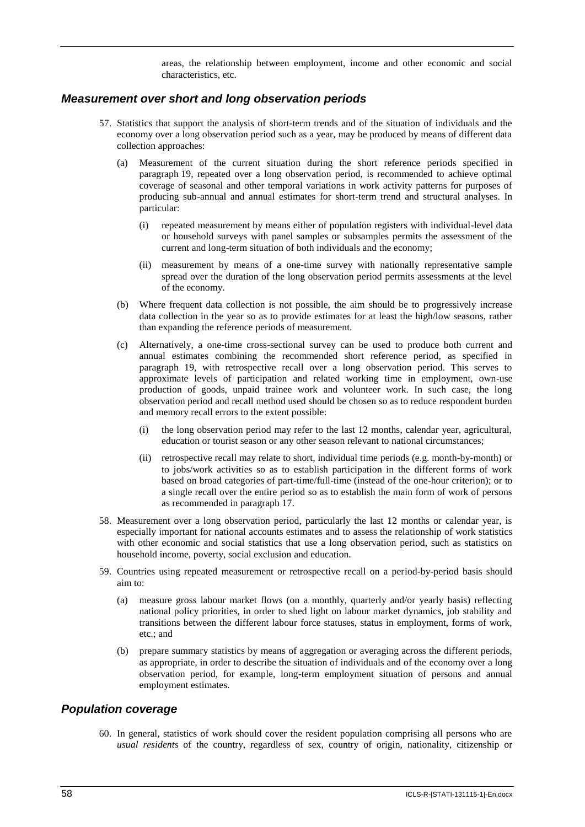areas, the relationship between employment, income and other economic and social characteristics, etc.

#### *Measurement over short and long observation periods*

- 57. Statistics that support the analysis of short-term trends and of the situation of individuals and the economy over a long observation period such as a year, may be produced by means of different data collection approaches:
	- (a) Measurement of the current situation during the short reference periods specified in paragraph 19, repeated over a long observation period, is recommended to achieve optimal coverage of seasonal and other temporal variations in work activity patterns for purposes of producing sub-annual and annual estimates for short-term trend and structural analyses. In particular:
		- (i) repeated measurement by means either of population registers with individual-level data or household surveys with panel samples or subsamples permits the assessment of the current and long-term situation of both individuals and the economy;
		- (ii) measurement by means of a one-time survey with nationally representative sample spread over the duration of the long observation period permits assessments at the level of the economy.
	- (b) Where frequent data collection is not possible, the aim should be to progressively increase data collection in the year so as to provide estimates for at least the high/low seasons, rather than expanding the reference periods of measurement.
	- (c) Alternatively, a one-time cross-sectional survey can be used to produce both current and annual estimates combining the recommended short reference period, as specified in paragraph 19, with retrospective recall over a long observation period. This serves to approximate levels of participation and related working time in employment, own-use production of goods, unpaid trainee work and volunteer work. In such case, the long observation period and recall method used should be chosen so as to reduce respondent burden and memory recall errors to the extent possible:
		- (i) the long observation period may refer to the last 12 months, calendar year, agricultural, education or tourist season or any other season relevant to national circumstances;
		- (ii) retrospective recall may relate to short, individual time periods (e.g. month-by-month) or to jobs/work activities so as to establish participation in the different forms of work based on broad categories of part-time/full-time (instead of the one-hour criterion); or to a single recall over the entire period so as to establish the main form of work of persons as recommended in paragraph 17.
- 58. Measurement over a long observation period, particularly the last 12 months or calendar year, is especially important for national accounts estimates and to assess the relationship of work statistics with other economic and social statistics that use a long observation period, such as statistics on household income, poverty, social exclusion and education.
- 59. Countries using repeated measurement or retrospective recall on a period-by-period basis should aim to:
	- (a) measure gross labour market flows (on a monthly, quarterly and/or yearly basis) reflecting national policy priorities, in order to shed light on labour market dynamics, job stability and transitions between the different labour force statuses, status in employment, forms of work, etc.; and
	- (b) prepare summary statistics by means of aggregation or averaging across the different periods, as appropriate, in order to describe the situation of individuals and of the economy over a long observation period, for example, long-term employment situation of persons and annual employment estimates.

#### *Population coverage*

60. In general, statistics of work should cover the resident population comprising all persons who are *usual residents* of the country, regardless of sex, country of origin, nationality, citizenship or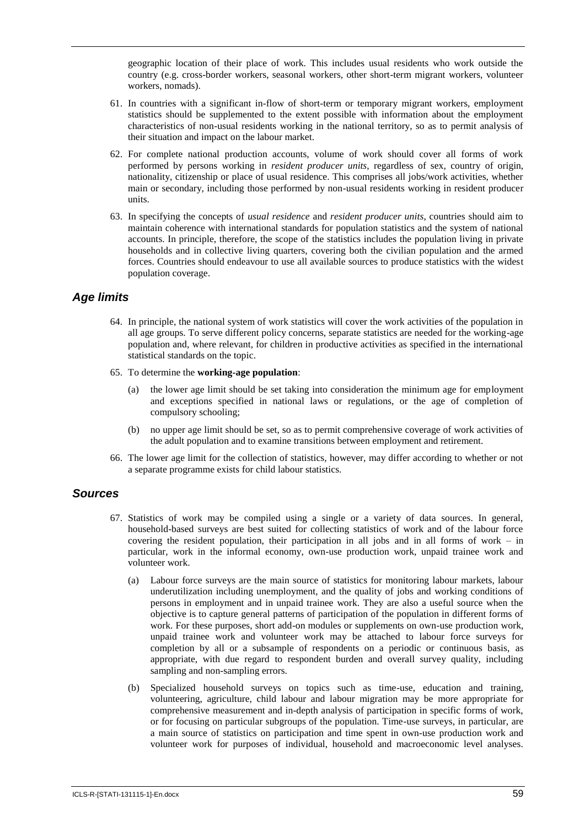geographic location of their place of work. This includes usual residents who work outside the country (e.g. cross-border workers, seasonal workers, other short-term migrant workers, volunteer workers, nomads).

- 61. In countries with a significant in-flow of short-term or temporary migrant workers, employment statistics should be supplemented to the extent possible with information about the employment characteristics of non-usual residents working in the national territory, so as to permit analysis of their situation and impact on the labour market.
- 62. For complete national production accounts, volume of work should cover all forms of work performed by persons working in *resident producer units*, regardless of sex, country of origin, nationality, citizenship or place of usual residence. This comprises all jobs/work activities, whether main or secondary, including those performed by non-usual residents working in resident producer units.
- 63. In specifying the concepts of *usual residence* and *resident producer units*, countries should aim to maintain coherence with international standards for population statistics and the system of national accounts. In principle, therefore, the scope of the statistics includes the population living in private households and in collective living quarters, covering both the civilian population and the armed forces. Countries should endeavour to use all available sources to produce statistics with the widest population coverage.

# *Age limits*

- 64. In principle, the national system of work statistics will cover the work activities of the population in all age groups. To serve different policy concerns, separate statistics are needed for the working-age population and, where relevant, for children in productive activities as specified in the international statistical standards on the topic.
- 65. To determine the **working-age population**:
	- the lower age limit should be set taking into consideration the minimum age for employment and exceptions specified in national laws or regulations, or the age of completion of compulsory schooling;
	- (b) no upper age limit should be set, so as to permit comprehensive coverage of work activities of the adult population and to examine transitions between employment and retirement.
- 66. The lower age limit for the collection of statistics, however, may differ according to whether or not a separate programme exists for child labour statistics.

## *Sources*

- 67. Statistics of work may be compiled using a single or a variety of data sources. In general, household-based surveys are best suited for collecting statistics of work and of the labour force covering the resident population, their participation in all jobs and in all forms of work – in particular, work in the informal economy, own-use production work, unpaid trainee work and volunteer work.
	- (a) Labour force surveys are the main source of statistics for monitoring labour markets, labour underutilization including unemployment, and the quality of jobs and working conditions of persons in employment and in unpaid trainee work. They are also a useful source when the objective is to capture general patterns of participation of the population in different forms of work. For these purposes, short add-on modules or supplements on own-use production work, unpaid trainee work and volunteer work may be attached to labour force surveys for completion by all or a subsample of respondents on a periodic or continuous basis, as appropriate, with due regard to respondent burden and overall survey quality, including sampling and non-sampling errors.
	- (b) Specialized household surveys on topics such as time-use, education and training, volunteering, agriculture, child labour and labour migration may be more appropriate for comprehensive measurement and in-depth analysis of participation in specific forms of work, or for focusing on particular subgroups of the population. Time-use surveys, in particular, are a main source of statistics on participation and time spent in own-use production work and volunteer work for purposes of individual, household and macroeconomic level analyses.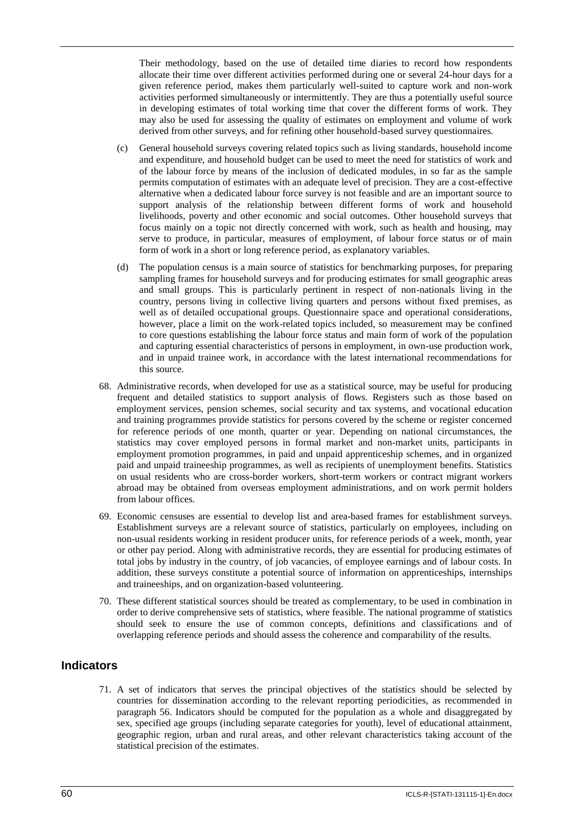Their methodology, based on the use of detailed time diaries to record how respondents allocate their time over different activities performed during one or several 24-hour days for a given reference period, makes them particularly well-suited to capture work and non-work activities performed simultaneously or intermittently. They are thus a potentially useful source in developing estimates of total working time that cover the different forms of work. They may also be used for assessing the quality of estimates on employment and volume of work derived from other surveys, and for refining other household-based survey questionnaires.

- (c) General household surveys covering related topics such as living standards, household income and expenditure, and household budget can be used to meet the need for statistics of work and of the labour force by means of the inclusion of dedicated modules, in so far as the sample permits computation of estimates with an adequate level of precision. They are a cost-effective alternative when a dedicated labour force survey is not feasible and are an important source to support analysis of the relationship between different forms of work and household livelihoods, poverty and other economic and social outcomes. Other household surveys that focus mainly on a topic not directly concerned with work, such as health and housing, may serve to produce, in particular, measures of employment, of labour force status or of main form of work in a short or long reference period, as explanatory variables.
- (d) The population census is a main source of statistics for benchmarking purposes, for preparing sampling frames for household surveys and for producing estimates for small geographic areas and small groups. This is particularly pertinent in respect of non-nationals living in the country, persons living in collective living quarters and persons without fixed premises, as well as of detailed occupational groups. Questionnaire space and operational considerations, however, place a limit on the work-related topics included, so measurement may be confined to core questions establishing the labour force status and main form of work of the population and capturing essential characteristics of persons in employment, in own-use production work, and in unpaid trainee work, in accordance with the latest international recommendations for this source.
- 68. Administrative records, when developed for use as a statistical source, may be useful for producing frequent and detailed statistics to support analysis of flows. Registers such as those based on employment services, pension schemes, social security and tax systems, and vocational education and training programmes provide statistics for persons covered by the scheme or register concerned for reference periods of one month, quarter or year. Depending on national circumstances, the statistics may cover employed persons in formal market and non-market units, participants in employment promotion programmes, in paid and unpaid apprenticeship schemes, and in organized paid and unpaid traineeship programmes, as well as recipients of unemployment benefits. Statistics on usual residents who are cross-border workers, short-term workers or contract migrant workers abroad may be obtained from overseas employment administrations, and on work permit holders from labour offices.
- 69. Economic censuses are essential to develop list and area-based frames for establishment surveys. Establishment surveys are a relevant source of statistics, particularly on employees, including on non-usual residents working in resident producer units, for reference periods of a week, month, year or other pay period. Along with administrative records, they are essential for producing estimates of total jobs by industry in the country, of job vacancies, of employee earnings and of labour costs. In addition, these surveys constitute a potential source of information on apprenticeships, internships and traineeships, and on organization-based volunteering.
- 70. These different statistical sources should be treated as complementary, to be used in combination in order to derive comprehensive sets of statistics, where feasible. The national programme of statistics should seek to ensure the use of common concepts, definitions and classifications and of overlapping reference periods and should assess the coherence and comparability of the results.

# **Indicators**

71. A set of indicators that serves the principal objectives of the statistics should be selected by countries for dissemination according to the relevant reporting periodicities, as recommended in paragraph 56. Indicators should be computed for the population as a whole and disaggregated by sex, specified age groups (including separate categories for youth), level of educational attainment, geographic region, urban and rural areas, and other relevant characteristics taking account of the statistical precision of the estimates.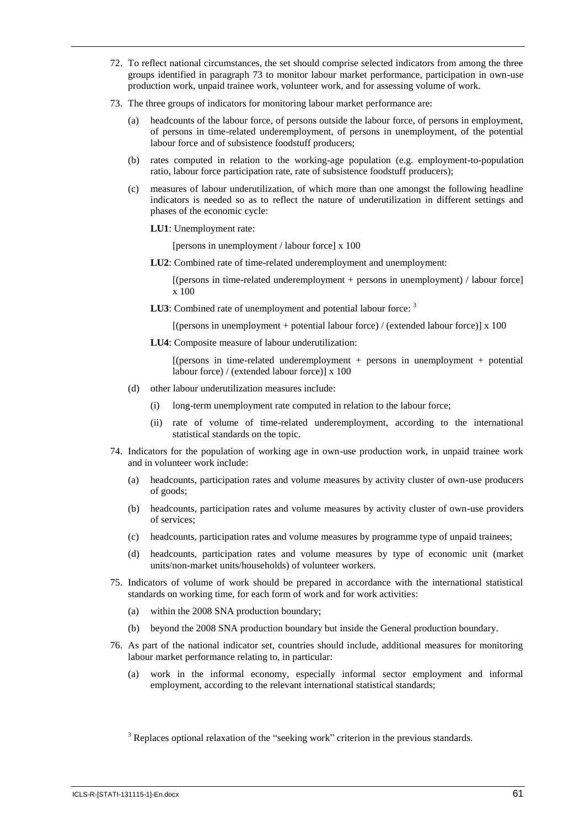- 72. To reflect national circumstances, the set should comprise selected indicators from among the three groups identified in paragraph 73 to monitor labour market performance, participation in own-use production work, unpaid trainee work, volunteer work, and for assessing volume of work.
- 73. The three groups of indicators for monitoring labour market performance are:
	- headcounts of the labour force, of persons outside the labour force, of persons in employment, of persons in time-related underemployment, of persons in unemployment, of the potential labour force and of subsistence foodstuff producers;
	- (b) rates computed in relation to the working-age population (e.g. employment-to-population ratio, labour force participation rate, rate of subsistence foodstuff producers);
	- (c) measures of labour underutilization, of which more than one amongst the following headline indicators is needed so as to reflect the nature of underutilization in different settings and phases of the economic cycle:
		- **LU1**: Unemployment rate:

[persons in unemployment / labour force] x 100

LU2: Combined rate of time-related underemployment and unemployment:

[(persons in time-related underemployment + persons in unemployment) / labour force] x 100

**LU3**: Combined rate of unemployment and potential labour force: <sup>3</sup>

[(persons in unemployment + potential labour force) / (extended labour force)] x 100

**LU4**: Composite measure of labour underutilization:

 $[$ (persons in time-related underemployment + persons in unemployment + potential labour force) / (extended labour force)] x 100

- (d) other labour underutilization measures include:
	- (i) long-term unemployment rate computed in relation to the labour force;
	- (ii) rate of volume of time-related underemployment, according to the international statistical standards on the topic.
- 74. Indicators for the population of working age in own-use production work, in unpaid trainee work and in volunteer work include:
	- (a) headcounts, participation rates and volume measures by activity cluster of own-use producers of goods;
	- (b) headcounts, participation rates and volume measures by activity cluster of own-use providers of services;
	- (c) headcounts, participation rates and volume measures by programme type of unpaid trainees;
	- (d) headcounts, participation rates and volume measures by type of economic unit (market units/non-market units/households) of volunteer workers.
- 75. Indicators of volume of work should be prepared in accordance with the international statistical standards on working time, for each form of work and for work activities:
	- (a) within the 2008 SNA production boundary;
	- (b) beyond the 2008 SNA production boundary but inside the General production boundary.
- 76. As part of the national indicator set, countries should include, additional measures for monitoring labour market performance relating to, in particular:
	- (a) work in the informal economy, especially informal sector employment and informal employment, according to the relevant international statistical standards;

<sup>3</sup> Replaces optional relaxation of the "seeking work" criterion in the previous standards.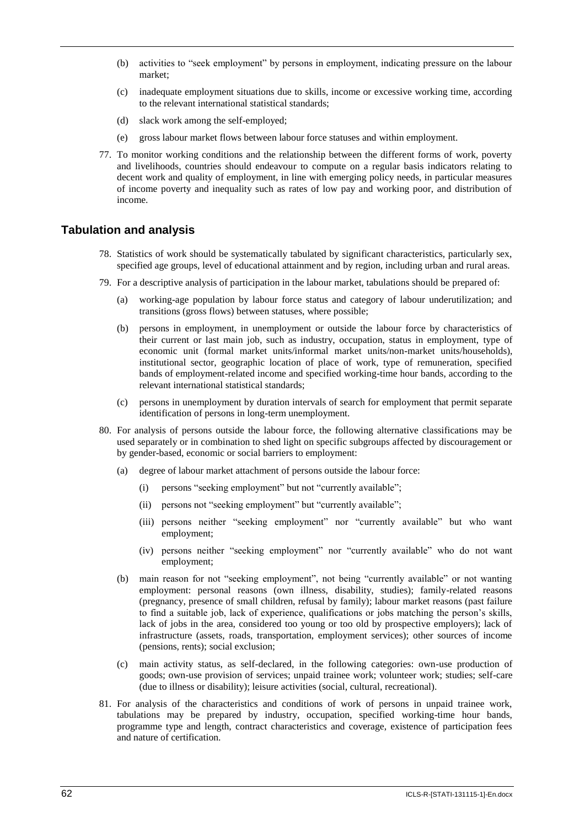- (b) activities to "seek employment" by persons in employment, indicating pressure on the labour market;
- (c) inadequate employment situations due to skills, income or excessive working time, according to the relevant international statistical standards;
- (d) slack work among the self-employed;
- (e) gross labour market flows between labour force statuses and within employment.
- 77. To monitor working conditions and the relationship between the different forms of work, poverty and livelihoods, countries should endeavour to compute on a regular basis indicators relating to decent work and quality of employment, in line with emerging policy needs, in particular measures of income poverty and inequality such as rates of low pay and working poor, and distribution of income.

## **Tabulation and analysis**

- 78. Statistics of work should be systematically tabulated by significant characteristics, particularly sex, specified age groups, level of educational attainment and by region, including urban and rural areas.
- 79. For a descriptive analysis of participation in the labour market, tabulations should be prepared of:
	- (a) working-age population by labour force status and category of labour underutilization; and transitions (gross flows) between statuses, where possible;
	- (b) persons in employment, in unemployment or outside the labour force by characteristics of their current or last main job, such as industry, occupation, status in employment, type of economic unit (formal market units/informal market units/non-market units/households), institutional sector, geographic location of place of work, type of remuneration, specified bands of employment-related income and specified working-time hour bands, according to the relevant international statistical standards;
	- (c) persons in unemployment by duration intervals of search for employment that permit separate identification of persons in long-term unemployment.
- 80. For analysis of persons outside the labour force, the following alternative classifications may be used separately or in combination to shed light on specific subgroups affected by discouragement or by gender-based, economic or social barriers to employment:
	- (a) degree of labour market attachment of persons outside the labour force:
		- (i) persons "seeking employment" but not "currently available";
		- (ii) persons not "seeking employment" but "currently available";
		- (iii) persons neither "seeking employment" nor "currently available" but who want employment;
		- (iv) persons neither "seeking employment" nor "currently available" who do not want employment;
	- (b) main reason for not "seeking employment", not being "currently available" or not wanting employment: personal reasons (own illness, disability, studies); family-related reasons (pregnancy, presence of small children, refusal by family); labour market reasons (past failure to find a suitable job, lack of experience, qualifications or jobs matching the person's skills, lack of jobs in the area, considered too young or too old by prospective employers); lack of infrastructure (assets, roads, transportation, employment services); other sources of income (pensions, rents); social exclusion;
	- (c) main activity status, as self-declared, in the following categories: own-use production of goods; own-use provision of services; unpaid trainee work; volunteer work; studies; self-care (due to illness or disability); leisure activities (social, cultural, recreational).
- 81. For analysis of the characteristics and conditions of work of persons in unpaid trainee work, tabulations may be prepared by industry, occupation, specified working-time hour bands, programme type and length, contract characteristics and coverage, existence of participation fees and nature of certification.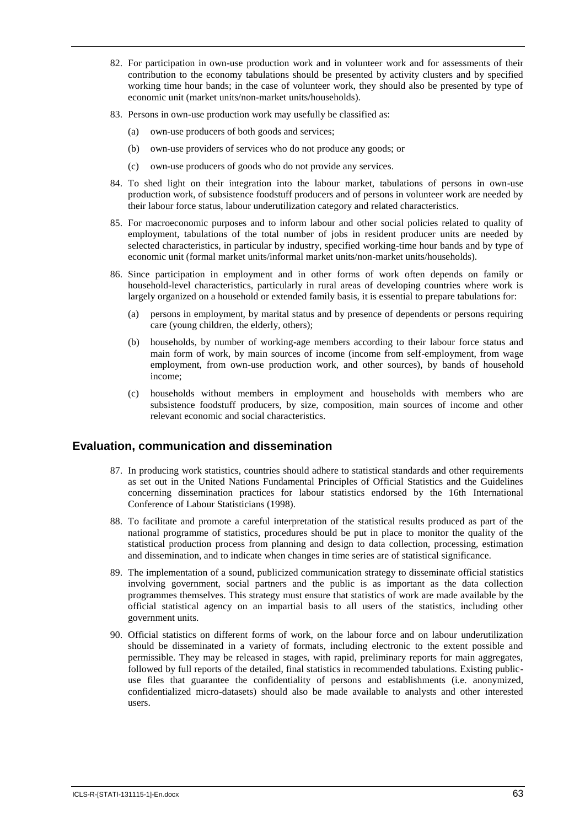- 82. For participation in own-use production work and in volunteer work and for assessments of their contribution to the economy tabulations should be presented by activity clusters and by specified working time hour bands; in the case of volunteer work, they should also be presented by type of economic unit (market units/non-market units/households).
- 83. Persons in own-use production work may usefully be classified as:
	- (a) own-use producers of both goods and services;
	- (b) own-use providers of services who do not produce any goods; or
	- (c) own-use producers of goods who do not provide any services.
- 84. To shed light on their integration into the labour market, tabulations of persons in own-use production work, of subsistence foodstuff producers and of persons in volunteer work are needed by their labour force status, labour underutilization category and related characteristics.
- 85. For macroeconomic purposes and to inform labour and other social policies related to quality of employment, tabulations of the total number of jobs in resident producer units are needed by selected characteristics, in particular by industry, specified working-time hour bands and by type of economic unit (formal market units/informal market units/non-market units/households).
- 86. Since participation in employment and in other forms of work often depends on family or household-level characteristics, particularly in rural areas of developing countries where work is largely organized on a household or extended family basis, it is essential to prepare tabulations for:
	- (a) persons in employment, by marital status and by presence of dependents or persons requiring care (young children, the elderly, others);
	- (b) households, by number of working-age members according to their labour force status and main form of work, by main sources of income (income from self-employment, from wage employment, from own-use production work, and other sources), by bands of household income;
	- (c) households without members in employment and households with members who are subsistence foodstuff producers, by size, composition, main sources of income and other relevant economic and social characteristics.

## **Evaluation, communication and dissemination**

- 87. In producing work statistics, countries should adhere to statistical standards and other requirements as set out in the United Nations Fundamental Principles of Official Statistics and the Guidelines concerning dissemination practices for labour statistics endorsed by the 16th International Conference of Labour Statisticians (1998).
- 88. To facilitate and promote a careful interpretation of the statistical results produced as part of the national programme of statistics, procedures should be put in place to monitor the quality of the statistical production process from planning and design to data collection, processing, estimation and dissemination, and to indicate when changes in time series are of statistical significance.
- 89. The implementation of a sound, publicized communication strategy to disseminate official statistics involving government, social partners and the public is as important as the data collection programmes themselves. This strategy must ensure that statistics of work are made available by the official statistical agency on an impartial basis to all users of the statistics, including other government units.
- 90. Official statistics on different forms of work, on the labour force and on labour underutilization should be disseminated in a variety of formats, including electronic to the extent possible and permissible. They may be released in stages, with rapid, preliminary reports for main aggregates, followed by full reports of the detailed, final statistics in recommended tabulations. Existing publicuse files that guarantee the confidentiality of persons and establishments (i.e. anonymized, confidentialized micro-datasets) should also be made available to analysts and other interested users.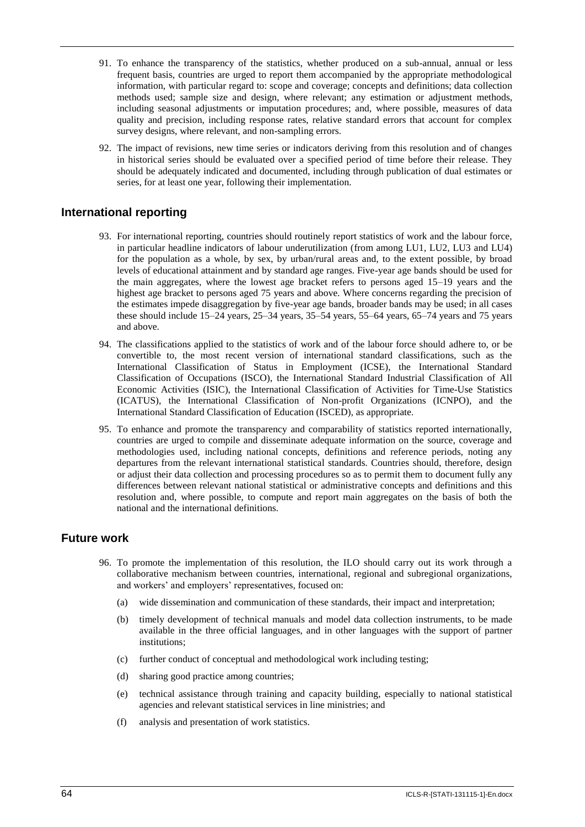- 91. To enhance the transparency of the statistics, whether produced on a sub-annual, annual or less frequent basis, countries are urged to report them accompanied by the appropriate methodological information, with particular regard to: scope and coverage; concepts and definitions; data collection methods used; sample size and design, where relevant; any estimation or adjustment methods, including seasonal adjustments or imputation procedures; and, where possible, measures of data quality and precision, including response rates, relative standard errors that account for complex survey designs, where relevant, and non-sampling errors.
- 92. The impact of revisions, new time series or indicators deriving from this resolution and of changes in historical series should be evaluated over a specified period of time before their release. They should be adequately indicated and documented, including through publication of dual estimates or series, for at least one year, following their implementation.

## **International reporting**

- 93. For international reporting, countries should routinely report statistics of work and the labour force, in particular headline indicators of labour underutilization (from among LU1, LU2, LU3 and LU4) for the population as a whole, by sex, by urban/rural areas and, to the extent possible, by broad levels of educational attainment and by standard age ranges. Five-year age bands should be used for the main aggregates, where the lowest age bracket refers to persons aged 15–19 years and the highest age bracket to persons aged 75 years and above. Where concerns regarding the precision of the estimates impede disaggregation by five-year age bands, broader bands may be used; in all cases these should include 15–24 years, 25–34 years, 35–54 years, 55–64 years, 65–74 years and 75 years and above.
- 94. The classifications applied to the statistics of work and of the labour force should adhere to, or be convertible to, the most recent version of international standard classifications, such as the International Classification of Status in Employment (ICSE), the International Standard Classification of Occupations (ISCO), the International Standard Industrial Classification of All Economic Activities (ISIC), the International Classification of Activities for Time-Use Statistics (ICATUS), the International Classification of Non-profit Organizations (ICNPO), and the International Standard Classification of Education (ISCED), as appropriate.
- 95. To enhance and promote the transparency and comparability of statistics reported internationally, countries are urged to compile and disseminate adequate information on the source, coverage and methodologies used, including national concepts, definitions and reference periods, noting any departures from the relevant international statistical standards. Countries should, therefore, design or adjust their data collection and processing procedures so as to permit them to document fully any differences between relevant national statistical or administrative concepts and definitions and this resolution and, where possible, to compute and report main aggregates on the basis of both the national and the international definitions.

## **Future work**

- 96. To promote the implementation of this resolution, the ILO should carry out its work through a collaborative mechanism between countries, international, regional and subregional organizations, and workers' and employers' representatives, focused on:
	- (a) wide dissemination and communication of these standards, their impact and interpretation;
	- (b) timely development of technical manuals and model data collection instruments, to be made available in the three official languages, and in other languages with the support of partner institutions;
	- (c) further conduct of conceptual and methodological work including testing;
	- (d) sharing good practice among countries;
	- (e) technical assistance through training and capacity building, especially to national statistical agencies and relevant statistical services in line ministries; and
	- (f) analysis and presentation of work statistics.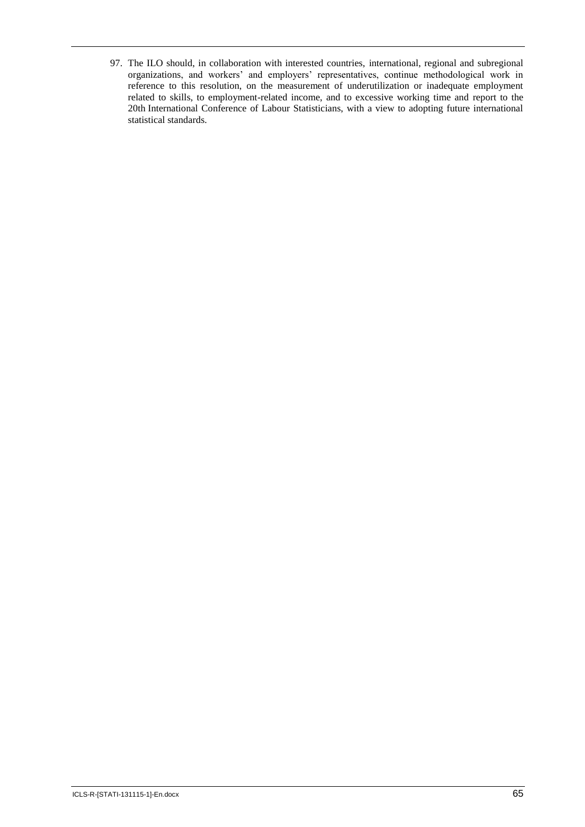97. The ILO should, in collaboration with interested countries, international, regional and subregional organizations, and workers' and employers' representatives, continue methodological work in reference to this resolution, on the measurement of underutilization or inadequate employment related to skills, to employment-related income, and to excessive working time and report to the 20th International Conference of Labour Statisticians, with a view to adopting future international statistical standards.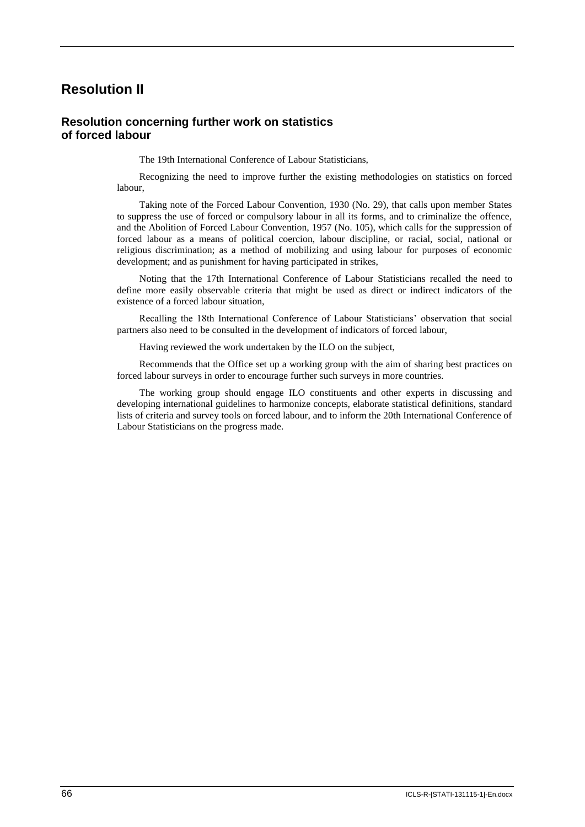# **Resolution II**

#### **Resolution concerning further work on statistics of forced labour**

The 19th International Conference of Labour Statisticians,

Recognizing the need to improve further the existing methodologies on statistics on forced labour,

Taking note of the Forced Labour Convention, 1930 (No. 29), that calls upon member States to suppress the use of forced or compulsory labour in all its forms, and to criminalize the offence, and the Abolition of Forced Labour Convention, 1957 (No. 105), which calls for the suppression of forced labour as a means of political coercion, labour discipline, or racial, social, national or religious discrimination; as a method of mobilizing and using labour for purposes of economic development; and as punishment for having participated in strikes,

Noting that the 17th International Conference of Labour Statisticians recalled the need to define more easily observable criteria that might be used as direct or indirect indicators of the existence of a forced labour situation,

Recalling the 18th International Conference of Labour Statisticians' observation that social partners also need to be consulted in the development of indicators of forced labour,

Having reviewed the work undertaken by the ILO on the subject,

Recommends that the Office set up a working group with the aim of sharing best practices on forced labour surveys in order to encourage further such surveys in more countries.

The working group should engage ILO constituents and other experts in discussing and developing international guidelines to harmonize concepts, elaborate statistical definitions, standard lists of criteria and survey tools on forced labour, and to inform the 20th International Conference of Labour Statisticians on the progress made.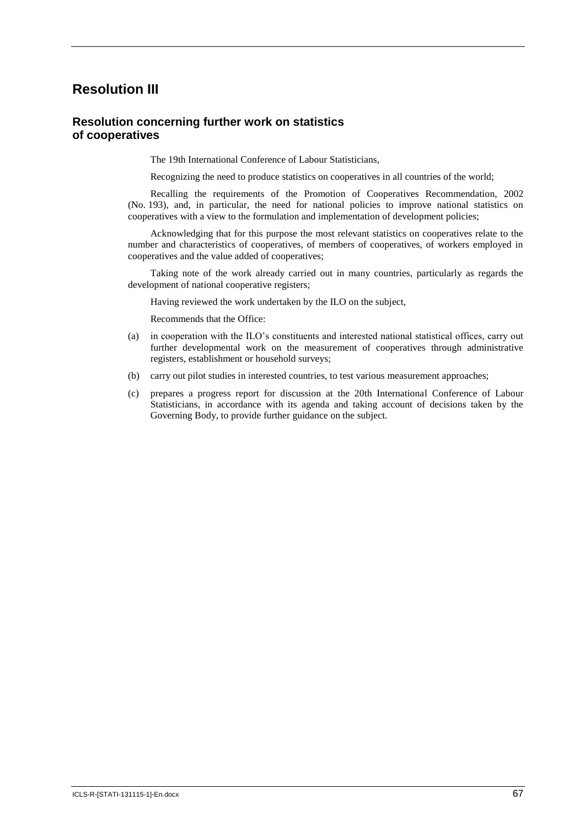# **Resolution III**

#### **Resolution concerning further work on statistics of cooperatives**

The 19th International Conference of Labour Statisticians,

Recognizing the need to produce statistics on cooperatives in all countries of the world;

Recalling the requirements of the Promotion of Cooperatives Recommendation, 2002 (No. 193), and, in particular, the need for national policies to improve national statistics on cooperatives with a view to the formulation and implementation of development policies;

Acknowledging that for this purpose the most relevant statistics on cooperatives relate to the number and characteristics of cooperatives, of members of cooperatives, of workers employed in cooperatives and the value added of cooperatives;

Taking note of the work already carried out in many countries, particularly as regards the development of national cooperative registers;

Having reviewed the work undertaken by the ILO on the subject,

Recommends that the Office:

- (a) in cooperation with the ILO's constituents and interested national statistical offices, carry out further developmental work on the measurement of cooperatives through administrative registers, establishment or household surveys;
- (b) carry out pilot studies in interested countries, to test various measurement approaches;
- (c) prepares a progress report for discussion at the 20th International Conference of Labour Statisticians, in accordance with its agenda and taking account of decisions taken by the Governing Body, to provide further guidance on the subject.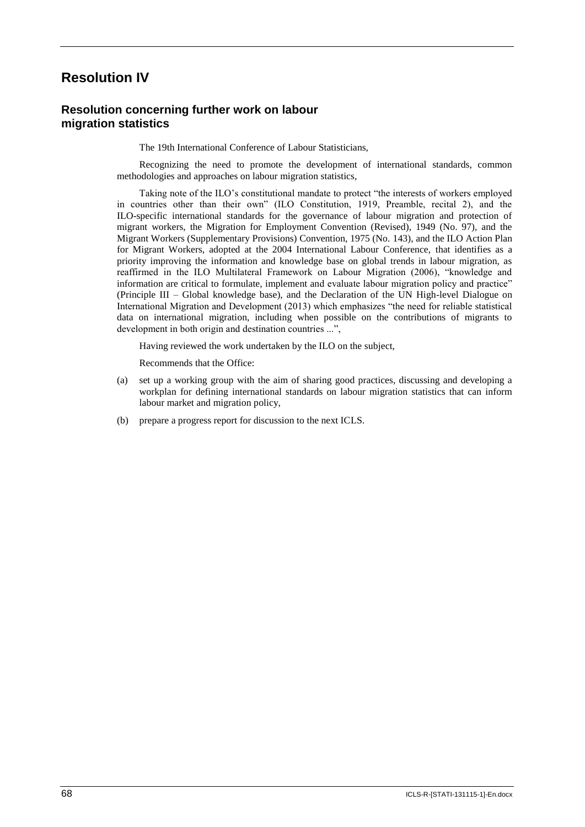## **Resolution IV**

## **Resolution concerning further work on labour migration statistics**

The 19th International Conference of Labour Statisticians,

Recognizing the need to promote the development of international standards, common methodologies and approaches on labour migration statistics,

Taking note of the ILO's constitutional mandate to protect "the interests of workers employed in countries other than their own" (ILO Constitution, 1919, Preamble, recital 2), and the ILO-specific international standards for the governance of labour migration and protection of migrant workers, the Migration for Employment Convention (Revised), 1949 (No. 97), and the Migrant Workers (Supplementary Provisions) Convention, 1975 (No. 143), and the ILO Action Plan for Migrant Workers, adopted at the 2004 International Labour Conference, that identifies as a priority improving the information and knowledge base on global trends in labour migration, as reaffirmed in the ILO Multilateral Framework on Labour Migration (2006), "knowledge and information are critical to formulate, implement and evaluate labour migration policy and practice" (Principle III – Global knowledge base), and the Declaration of the UN High-level Dialogue on International Migration and Development (2013) which emphasizes "the need for reliable statistical data on international migration, including when possible on the contributions of migrants to development in both origin and destination countries ...",

Having reviewed the work undertaken by the ILO on the subject,

Recommends that the Office:

- (a) set up a working group with the aim of sharing good practices, discussing and developing a workplan for defining international standards on labour migration statistics that can inform labour market and migration policy,
- (b) prepare a progress report for discussion to the next ICLS.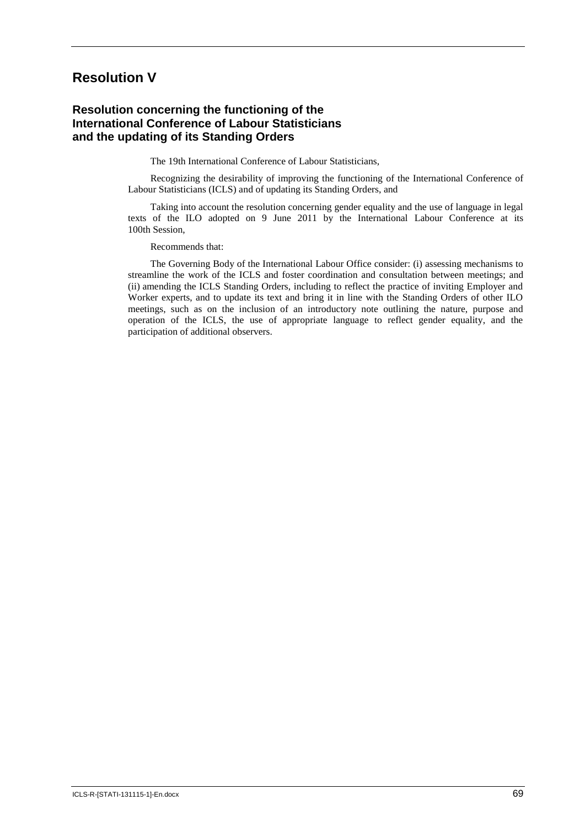## **Resolution V**

## **Resolution concerning the functioning of the International Conference of Labour Statisticians and the updating of its Standing Orders**

The 19th International Conference of Labour Statisticians,

Recognizing the desirability of improving the functioning of the International Conference of Labour Statisticians (ICLS) and of updating its Standing Orders, and

Taking into account the resolution concerning gender equality and the use of language in legal texts of the ILO adopted on 9 June 2011 by the International Labour Conference at its 100th Session,

Recommends that:

The Governing Body of the International Labour Office consider: (i) assessing mechanisms to streamline the work of the ICLS and foster coordination and consultation between meetings; and (ii) amending the ICLS Standing Orders, including to reflect the practice of inviting Employer and Worker experts, and to update its text and bring it in line with the Standing Orders of other ILO meetings, such as on the inclusion of an introductory note outlining the nature, purpose and operation of the ICLS, the use of appropriate language to reflect gender equality, and the participation of additional observers.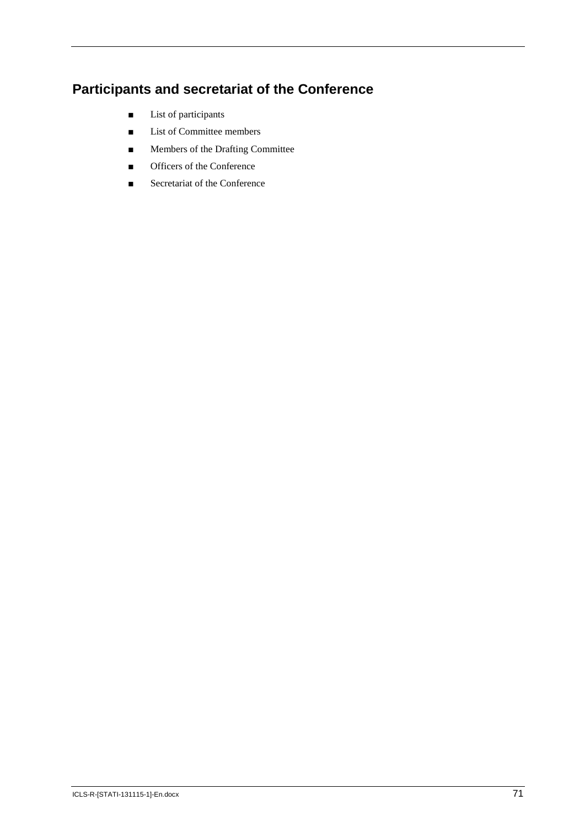# **Participants and secretariat of the Conference**

- List of participants
- List of Committee members
- Members of the Drafting Committee
- Officers of the Conference
- Secretariat of the Conference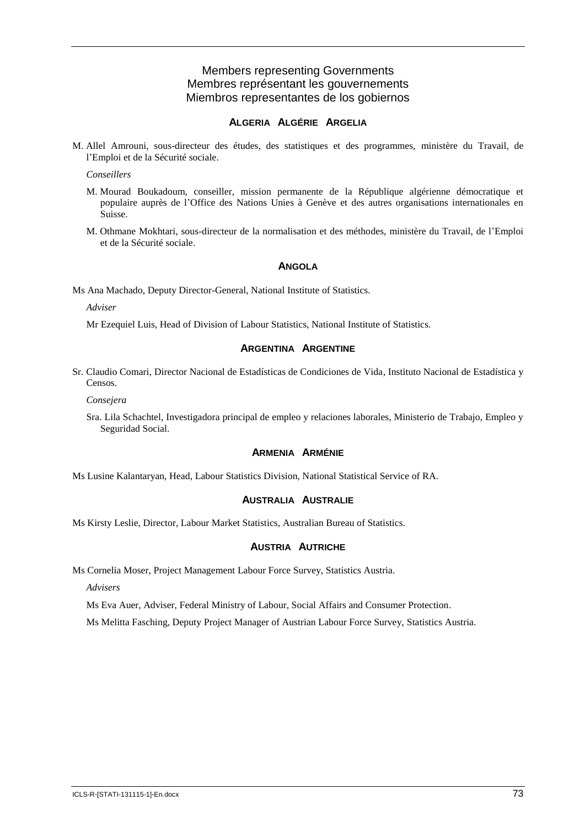## Members representing Governments Membres représentant les gouvernements Miembros representantes de los gobiernos

## **ALGERIA ALGÉRIE ARGELIA**

M. Allel Amrouni, sous-directeur des études, des statistiques et des programmes, ministère du Travail, de l'Emploi et de la Sécurité sociale.

*Conseillers*

- M. Mourad Boukadoum, conseiller, mission permanente de la République algérienne démocratique et populaire auprès de l'Office des Nations Unies à Genève et des autres organisations internationales en Suisse.
- M. Othmane Mokhtari, sous-directeur de la normalisation et des méthodes, ministère du Travail, de l'Emploi et de la Sécurité sociale.

#### **ANGOLA**

Ms Ana Machado, Deputy Director-General, National Institute of Statistics.

*Adviser*

Mr Ezequiel Luis, Head of Division of Labour Statistics, National Institute of Statistics.

## **ARGENTINA ARGENTINE**

Sr. Claudio Comari, Director Nacional de Estadísticas de Condiciones de Vida, Instituto Nacional de Estadística y Censos.

*Consejera*

Sra. Lila Schachtel, Investigadora principal de empleo y relaciones laborales, Ministerio de Trabajo, Empleo y Seguridad Social.

#### **ARMENIA ARMÉNIE**

Ms Lusine Kalantaryan, Head, Labour Statistics Division, National Statistical Service of RA.

## **AUSTRALIA AUSTRALIE**

Ms Kirsty Leslie, Director, Labour Market Statistics, Australian Bureau of Statistics.

#### **AUSTRIA AUTRICHE**

Ms Cornelia Moser, Project Management Labour Force Survey, Statistics Austria.

*Advisers*

Ms Eva Auer, Adviser, Federal Ministry of Labour, Social Affairs and Consumer Protection.

Ms Melitta Fasching, Deputy Project Manager of Austrian Labour Force Survey, Statistics Austria.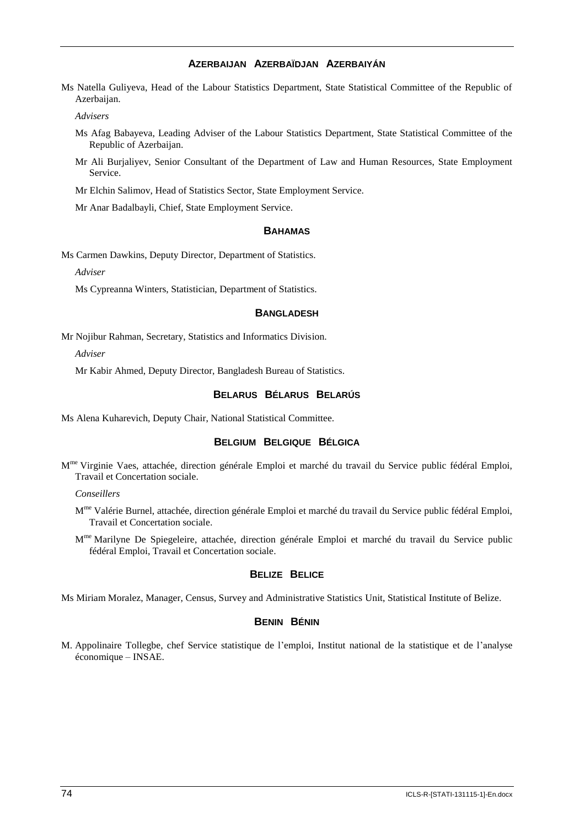## **AZERBAIJAN AZERBAÏDJAN AZERBAIYÁN**

Ms Natella Guliyeva, Head of the Labour Statistics Department, State Statistical Committee of the Republic of Azerbaijan.

*Advisers*

- Ms Afag Babayeva, Leading Adviser of the Labour Statistics Department, State Statistical Committee of the Republic of Azerbaijan.
- Mr Ali Burjaliyev, Senior Consultant of the Department of Law and Human Resources, State Employment Service.

Mr Elchin Salimov, Head of Statistics Sector, State Employment Service.

Mr Anar Badalbayli, Chief, State Employment Service.

#### **BAHAMAS**

Ms Carmen Dawkins, Deputy Director, Department of Statistics.

*Adviser*

Ms Cypreanna Winters, Statistician, Department of Statistics.

#### **BANGLADESH**

Mr Nojibur Rahman, Secretary, Statistics and Informatics Division.

*Adviser*

Mr Kabir Ahmed, Deputy Director, Bangladesh Bureau of Statistics.

## **BELARUS BÉLARUS BELARÚS**

Ms Alena Kuharevich, Deputy Chair, National Statistical Committee.

## **BELGIUM BELGIQUE BÉLGICA**

M<sup>me</sup> Virginie Vaes, attachée, direction générale Emploi et marché du travail du Service public fédéral Emploi, Travail et Concertation sociale.

*Conseillers*

M<sup>me</sup> Valérie Burnel, attachée, direction générale Emploi et marché du travail du Service public fédéral Emploi, Travail et Concertation sociale.

M<sup>me</sup> Marilyne De Spiegeleire, attachée, direction générale Emploi et marché du travail du Service public fédéral Emploi, Travail et Concertation sociale.

## **BELIZE BELICE**

Ms Miriam Moralez, Manager, Census, Survey and Administrative Statistics Unit, Statistical Institute of Belize.

## **BENIN BÉNIN**

M. Appolinaire Tollegbe, chef Service statistique de l'emploi, Institut national de la statistique et de l'analyse économique – INSAE.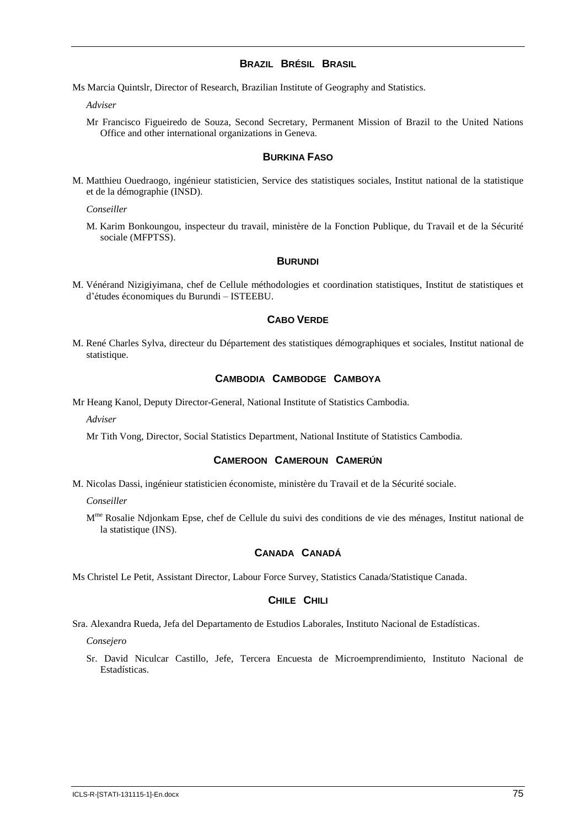#### **BRAZIL BRÉSIL BRASIL**

Ms Marcia Quintslr, Director of Research, Brazilian Institute of Geography and Statistics.

*Adviser*

Mr Francisco Figueiredo de Souza, Second Secretary, Permanent Mission of Brazil to the United Nations Office and other international organizations in Geneva.

#### **BURKINA FASO**

M. Matthieu Ouedraogo, ingénieur statisticien, Service des statistiques sociales, Institut national de la statistique et de la démographie (INSD).

*Conseiller*

M. Karim Bonkoungou, inspecteur du travail, ministère de la Fonction Publique, du Travail et de la Sécurité sociale (MFPTSS).

#### **BURUNDI**

M. Vénérand Nizigiyimana, chef de Cellule méthodologies et coordination statistiques, Institut de statistiques et d'études économiques du Burundi – ISTEEBU.

#### **CABO VERDE**

M. René Charles Sylva, directeur du Département des statistiques démographiques et sociales, Institut national de statistique.

## **CAMBODIA CAMBODGE CAMBOYA**

Mr Heang Kanol, Deputy Director-General, National Institute of Statistics Cambodia.

*Adviser*

Mr Tith Vong, Director, Social Statistics Department, National Institute of Statistics Cambodia.

#### **CAMEROON CAMEROUN CAMERÚN**

M. Nicolas Dassi, ingénieur statisticien économiste, ministère du Travail et de la Sécurité sociale.

*Conseiller*

M<sup>me</sup> Rosalie Ndjonkam Epse, chef de Cellule du suivi des conditions de vie des ménages, Institut national de la statistique (INS).

## **CANADA CANADÁ**

Ms Christel Le Petit, Assistant Director, Labour Force Survey, Statistics Canada/Statistique Canada.

## **CHILE CHILI**

Sra. Alexandra Rueda, Jefa del Departamento de Estudios Laborales, Instituto Nacional de Estadísticas.

*Consejero*

Sr. David Niculcar Castillo, Jefe, Tercera Encuesta de Microemprendimiento, Instituto Nacional de Estadísticas.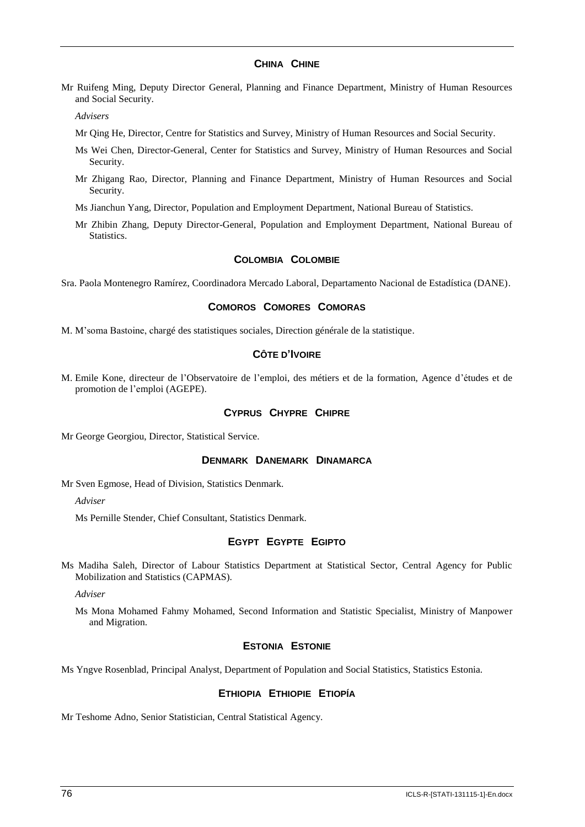#### **CHINA CHINE**

Mr Ruifeng Ming, Deputy Director General, Planning and Finance Department, Ministry of Human Resources and Social Security.

*Advisers*

- Mr Qing He, Director, Centre for Statistics and Survey, Ministry of Human Resources and Social Security.
- Ms Wei Chen, Director-General, Center for Statistics and Survey, Ministry of Human Resources and Social Security.
- Mr Zhigang Rao, Director, Planning and Finance Department, Ministry of Human Resources and Social Security.
- Ms Jianchun Yang, Director, Population and Employment Department, National Bureau of Statistics.
- Mr Zhibin Zhang, Deputy Director-General, Population and Employment Department, National Bureau of Statistics.

#### **COLOMBIA COLOMBIE**

Sra. Paola Montenegro Ramírez, Coordinadora Mercado Laboral, Departamento Nacional de Estadística (DANE).

## **COMOROS COMORES COMORAS**

M. M'soma Bastoine, chargé des statistiques sociales, Direction générale de la statistique.

## **CÔTE D'IVOIRE**

M. Emile Kone, directeur de l'Observatoire de l'emploi, des métiers et de la formation, Agence d'études et de promotion de l'emploi (AGEPE).

#### **CYPRUS CHYPRE CHIPRE**

Mr George Georgiou, Director, Statistical Service.

#### **DENMARK DANEMARK DINAMARCA**

Mr Sven Egmose, Head of Division, Statistics Denmark.

*Adviser*

Ms Pernille Stender, Chief Consultant, Statistics Denmark.

## **EGYPT EGYPTE EGIPTO**

Ms Madiha Saleh, Director of Labour Statistics Department at Statistical Sector, Central Agency for Public Mobilization and Statistics (CAPMAS).

*Adviser*

Ms Mona Mohamed Fahmy Mohamed, Second Information and Statistic Specialist, Ministry of Manpower and Migration.

## **ESTONIA ESTONIE**

Ms Yngve Rosenblad, Principal Analyst, Department of Population and Social Statistics, Statistics Estonia.

## **ETHIOPIA ETHIOPIE ETIOPÍA**

Mr Teshome Adno, Senior Statistician, Central Statistical Agency.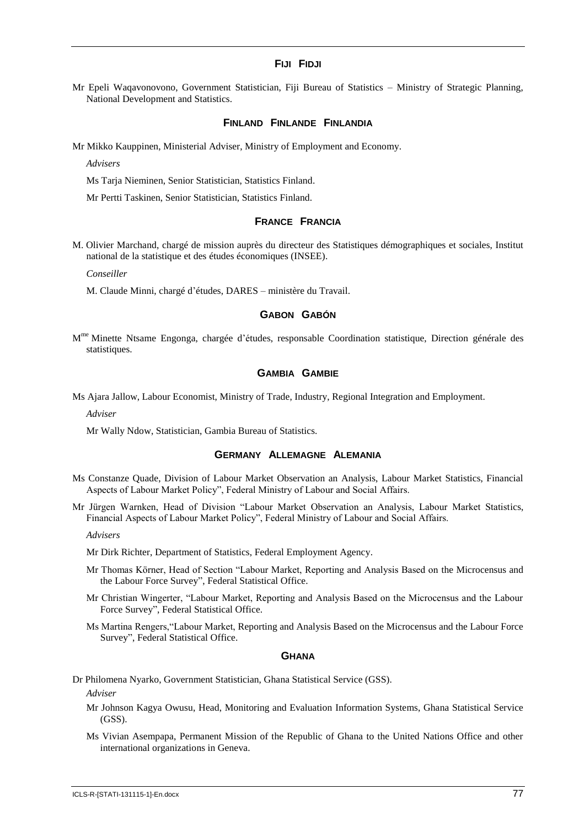#### **FIJI FIDJI**

Mr Epeli Waqavonovono, Government Statistician, Fiji Bureau of Statistics – Ministry of Strategic Planning, National Development and Statistics.

#### **FINLAND FINLANDE FINLANDIA**

Mr Mikko Kauppinen, Ministerial Adviser, Ministry of Employment and Economy.

*Advisers*

Ms Tarja Nieminen, Senior Statistician, Statistics Finland.

Mr Pertti Taskinen, Senior Statistician, Statistics Finland.

#### **FRANCE FRANCIA**

M. Olivier Marchand, chargé de mission auprès du directeur des Statistiques démographiques et sociales, Institut national de la statistique et des études économiques (INSEE).

*Conseiller*

M. Claude Minni, chargé d'études, DARES – ministère du Travail.

#### **GABON GABÓN**

M<sup>me</sup> Minette Ntsame Engonga, chargée d'études, responsable Coordination statistique, Direction générale des statistiques.

## **GAMBIA GAMBIE**

Ms Ajara Jallow, Labour Economist, Ministry of Trade, Industry, Regional Integration and Employment.

*Adviser*

Mr Wally Ndow, Statistician, Gambia Bureau of Statistics.

#### **GERMANY ALLEMAGNE ALEMANIA**

- Ms Constanze Quade, Division of Labour Market Observation an Analysis, Labour Market Statistics, Financial Aspects of Labour Market Policy", Federal Ministry of Labour and Social Affairs.
- Mr Jürgen Warnken, Head of Division "Labour Market Observation an Analysis, Labour Market Statistics, Financial Aspects of Labour Market Policy", Federal Ministry of Labour and Social Affairs.

*Advisers*

Mr Dirk Richter, Department of Statistics, Federal Employment Agency.

- Mr Thomas Körner, Head of Section "Labour Market, Reporting and Analysis Based on the Microcensus and the Labour Force Survey", Federal Statistical Office.
- Mr Christian Wingerter, "Labour Market, Reporting and Analysis Based on the Microcensus and the Labour Force Survey", Federal Statistical Office.
- Ms Martina Rengers,"Labour Market, Reporting and Analysis Based on the Microcensus and the Labour Force Survey", Federal Statistical Office.

#### **GHANA**

Dr Philomena Nyarko, Government Statistician, Ghana Statistical Service (GSS).

*Adviser*

- Mr Johnson Kagya Owusu, Head, Monitoring and Evaluation Information Systems, Ghana Statistical Service (GSS).
- Ms Vivian Asempapa, Permanent Mission of the Republic of Ghana to the United Nations Office and other international organizations in Geneva.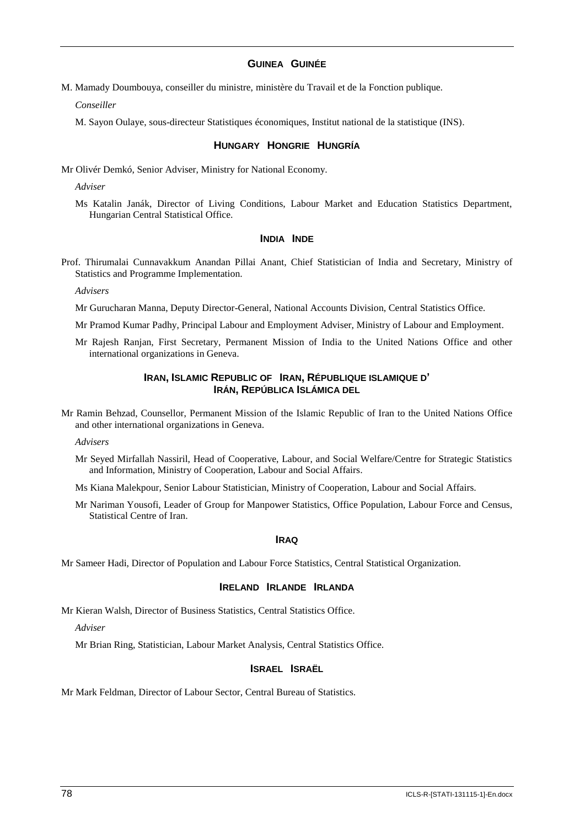## **GUINEA GUINÉE**

M. Mamady Doumbouya, conseiller du ministre, ministère du Travail et de la Fonction publique.

*Conseiller*

M. Sayon Oulaye, sous-directeur Statistiques économiques, Institut national de la statistique (INS).

#### **HUNGARY HONGRIE HUNGRÍA**

Mr Olivér Demkó, Senior Adviser, Ministry for National Economy.

*Adviser*

Ms Katalin Janák, Director of Living Conditions, Labour Market and Education Statistics Department, Hungarian Central Statistical Office.

#### **INDIA INDE**

Prof. Thirumalai Cunnavakkum Anandan Pillai Anant, Chief Statistician of India and Secretary, Ministry of Statistics and Programme Implementation.

*Advisers*

- Mr Gurucharan Manna, Deputy Director-General, National Accounts Division, Central Statistics Office.
- Mr Pramod Kumar Padhy, Principal Labour and Employment Adviser, Ministry of Labour and Employment.
- Mr Rajesh Ranjan, First Secretary, Permanent Mission of India to the United Nations Office and other international organizations in Geneva.

## **IRAN, ISLAMIC REPUBLIC OF IRAN, RÉPUBLIQUE ISLAMIQUE D' IRÁN, REPÚBLICA ISLÁMICA DEL**

Mr Ramin Behzad, Counsellor, Permanent Mission of the Islamic Republic of Iran to the United Nations Office and other international organizations in Geneva.

*Advisers*

Mr Seyed Mirfallah Nassiril, Head of Cooperative, Labour, and Social Welfare/Centre for Strategic Statistics and Information, Ministry of Cooperation, Labour and Social Affairs.

Ms Kiana Malekpour, Senior Labour Statistician, Ministry of Cooperation, Labour and Social Affairs.

Mr Nariman Yousofi, Leader of Group for Manpower Statistics, Office Population, Labour Force and Census, Statistical Centre of Iran.

#### **IRAQ**

Mr Sameer Hadi, Director of Population and Labour Force Statistics, Central Statistical Organization.

#### **IRELAND IRLANDE IRLANDA**

Mr Kieran Walsh, Director of Business Statistics, Central Statistics Office.

*Adviser*

Mr Brian Ring, Statistician, Labour Market Analysis, Central Statistics Office.

#### **ISRAEL ISRAËL**

Mr Mark Feldman, Director of Labour Sector, Central Bureau of Statistics.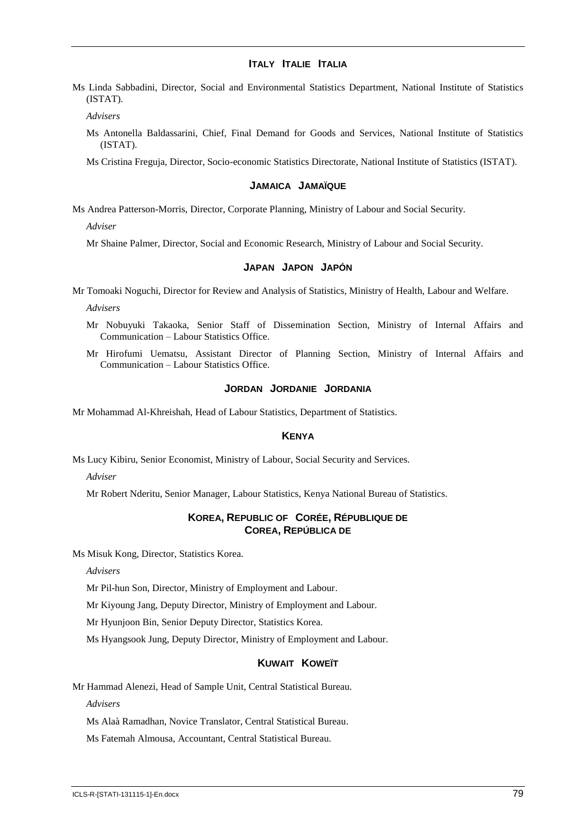## **ITALY ITALIE ITALIA**

Ms Linda Sabbadini, Director, Social and Environmental Statistics Department, National Institute of Statistics (ISTAT).

*Advisers*

Ms Antonella Baldassarini, Chief, Final Demand for Goods and Services, National Institute of Statistics (ISTAT).

Ms Cristina Freguja, Director, Socio-economic Statistics Directorate, National Institute of Statistics (ISTAT).

#### **JAMAICA JAMAÏQUE**

Ms Andrea Patterson-Morris, Director, Corporate Planning, Ministry of Labour and Social Security.

*Adviser*

Mr Shaine Palmer, Director, Social and Economic Research, Ministry of Labour and Social Security.

#### **JAPAN JAPON JAPÓN**

Mr Tomoaki Noguchi, Director for Review and Analysis of Statistics, Ministry of Health, Labour and Welfare.

*Advisers*

- Mr Nobuyuki Takaoka, Senior Staff of Dissemination Section, Ministry of Internal Affairs and Communication – Labour Statistics Office.
- Mr Hirofumi Uematsu, Assistant Director of Planning Section, Ministry of Internal Affairs and Communication – Labour Statistics Office.

#### **JORDAN JORDANIE JORDANIA**

Mr Mohammad Al-Khreishah, Head of Labour Statistics, Department of Statistics.

## **KENYA**

Ms Lucy Kibiru, Senior Economist, Ministry of Labour, Social Security and Services.

*Adviser*

Mr Robert Nderitu, Senior Manager, Labour Statistics, Kenya National Bureau of Statistics.

#### **KOREA, REPUBLIC OF CORÉE, RÉPUBLIQUE DE COREA, REPÚBLICA DE**

Ms Misuk Kong, Director, Statistics Korea.

*Advisers*

Mr Pil-hun Son, Director, Ministry of Employment and Labour.

Mr Kiyoung Jang, Deputy Director, Ministry of Employment and Labour.

Mr Hyunjoon Bin, Senior Deputy Director, Statistics Korea.

Ms Hyangsook Jung, Deputy Director, Ministry of Employment and Labour.

## **KUWAIT KOWEÏT**

Mr Hammad Alenezi, Head of Sample Unit, Central Statistical Bureau.

*Advisers*

Ms Alaà Ramadhan, Novice Translator, Central Statistical Bureau.

Ms Fatemah Almousa, Accountant, Central Statistical Bureau.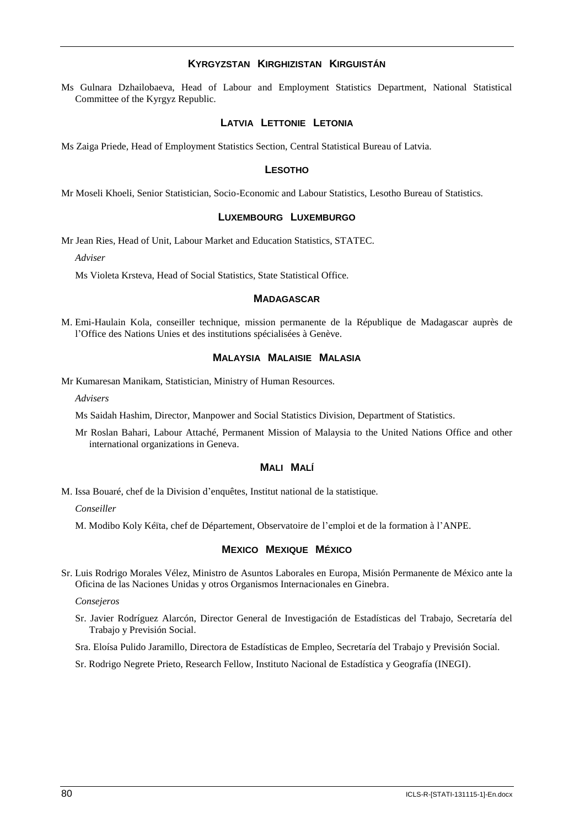## **KYRGYZSTAN KIRGHIZISTAN KIRGUISTÁN**

Ms Gulnara Dzhailobaeva, Head of Labour and Employment Statistics Department, National Statistical Committee of the Kyrgyz Republic.

#### **LATVIA LETTONIE LETONIA**

Ms Zaiga Priede, Head of Employment Statistics Section, Central Statistical Bureau of Latvia.

#### **LESOTHO**

Mr Moseli Khoeli, Senior Statistician, Socio-Economic and Labour Statistics, Lesotho Bureau of Statistics.

#### **LUXEMBOURG LUXEMBURGO**

Mr Jean Ries, Head of Unit, Labour Market and Education Statistics, STATEC.

*Adviser*

Ms Violeta Krsteva, Head of Social Statistics, State Statistical Office.

#### **MADAGASCAR**

M. Emi-Haulain Kola, conseiller technique, mission permanente de la République de Madagascar auprès de l'Office des Nations Unies et des institutions spécialisées à Genève.

#### **MALAYSIA MALAISIE MALASIA**

Mr Kumaresan Manikam, Statistician, Ministry of Human Resources.

*Advisers*

Ms Saidah Hashim, Director, Manpower and Social Statistics Division, Department of Statistics.

Mr Roslan Bahari, Labour Attaché, Permanent Mission of Malaysia to the United Nations Office and other international organizations in Geneva.

## **MALI MALÍ**

M. Issa Bouaré, chef de la Division d'enquêtes, Institut national de la statistique.

*Conseiller*

M. Modibo Koly Kéïta, chef de Département, Observatoire de l'emploi et de la formation à l'ANPE.

#### **MEXICO MEXIQUE MÉXICO**

Sr. Luis Rodrigo Morales Vélez, Ministro de Asuntos Laborales en Europa, Misión Permanente de México ante la Oficina de las Naciones Unidas y otros Organismos Internacionales en Ginebra.

*Consejeros*

Sr. Javier Rodríguez Alarcón, Director General de Investigación de Estadísticas del Trabajo, Secretaría del Trabajo y Previsión Social.

Sra. Eloísa Pulido Jaramillo, Directora de Estadísticas de Empleo, Secretaría del Trabajo y Previsión Social.

Sr. Rodrigo Negrete Prieto, Research Fellow, Instituto Nacional de Estadística y Geografía (INEGI).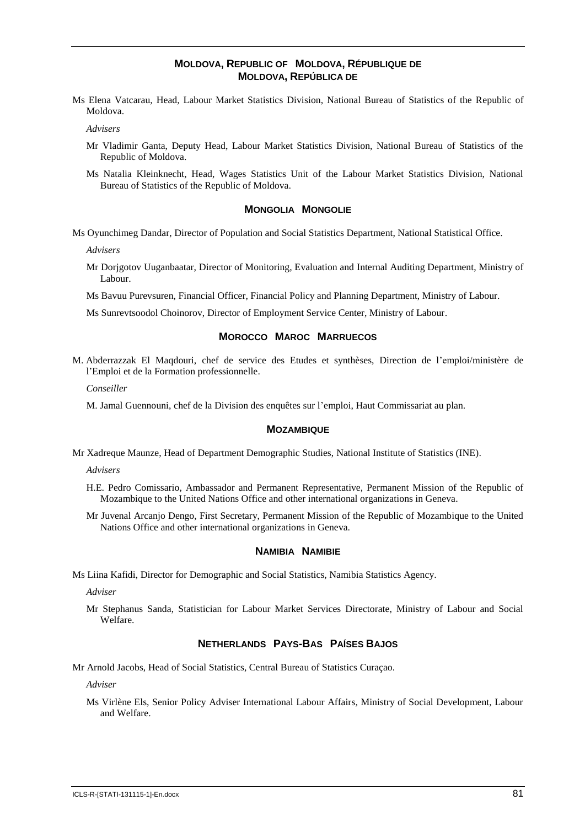## **MOLDOVA, REPUBLIC OF MOLDOVA, RÉPUBLIQUE DE MOLDOVA, REPÚBLICA DE**

Ms Elena Vatcarau, Head, Labour Market Statistics Division, National Bureau of Statistics of the Republic of Moldova.

*Advisers*

- Mr Vladimir Ganta, Deputy Head, Labour Market Statistics Division, National Bureau of Statistics of the Republic of Moldova.
- Ms Natalia Kleinknecht, Head, Wages Statistics Unit of the Labour Market Statistics Division, National Bureau of Statistics of the Republic of Moldova.

#### **MONGOLIA MONGOLIE**

Ms Oyunchimeg Dandar, Director of Population and Social Statistics Department, National Statistical Office.

*Advisers*

Mr Dorjgotov Uuganbaatar, Director of Monitoring, Evaluation and Internal Auditing Department, Ministry of Labour.

Ms Bavuu Purevsuren, Financial Officer, Financial Policy and Planning Department, Ministry of Labour.

Ms Sunrevtsoodol Choinorov, Director of Employment Service Center, Ministry of Labour.

#### **MOROCCO MAROC MARRUECOS**

M. Abderrazzak El Maqdouri, chef de service des Etudes et synthèses, Direction de l'emploi/ministère de l'Emploi et de la Formation professionnelle.

*Conseiller*

M. Jamal Guennouni, chef de la Division des enquêtes sur l'emploi, Haut Commissariat au plan.

#### **MOZAMBIQUE**

Mr Xadreque Maunze, Head of Department Demographic Studies, National Institute of Statistics (INE).

*Advisers*

- H.E. Pedro Comissario, Ambassador and Permanent Representative, Permanent Mission of the Republic of Mozambique to the United Nations Office and other international organizations in Geneva.
- Mr Juvenal Arcanjo Dengo, First Secretary, Permanent Mission of the Republic of Mozambique to the United Nations Office and other international organizations in Geneva.

#### **NAMIBIA NAMIBIE**

Ms Liina Kafidi, Director for Demographic and Social Statistics, Namibia Statistics Agency.

*Adviser*

Mr Stephanus Sanda, Statistician for Labour Market Services Directorate, Ministry of Labour and Social Welfare.

#### **NETHERLANDS PAYS-BAS PAÍSES BAJOS**

Mr Arnold Jacobs, Head of Social Statistics, Central Bureau of Statistics Curaçao.

*Adviser*

Ms Virlène Els, Senior Policy Adviser International Labour Affairs, Ministry of Social Development, Labour and Welfare.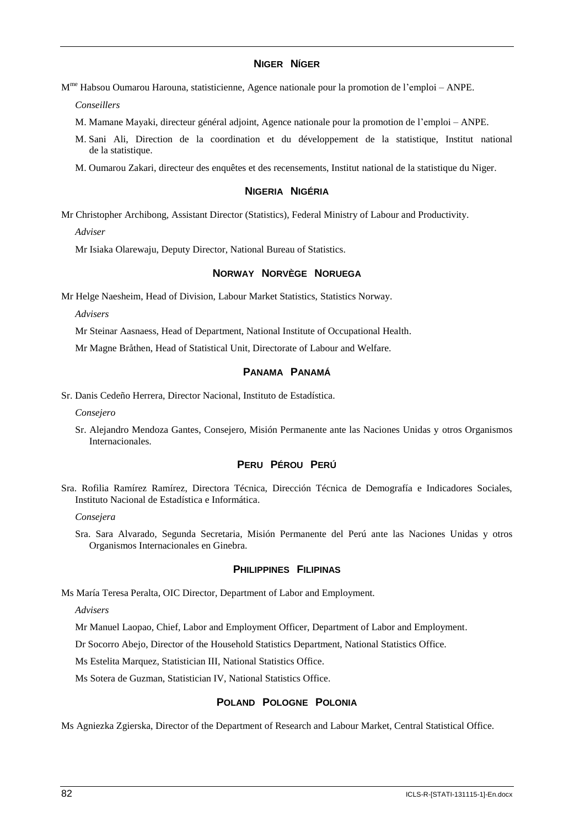## **NIGER NÍGER**

M<sup>me</sup> Habsou Oumarou Harouna, statisticienne, Agence nationale pour la promotion de l'emploi – ANPE.

*Conseillers*

- M. Mamane Mayaki, directeur général adjoint, Agence nationale pour la promotion de l'emploi ANPE.
- M. Sani Ali, Direction de la coordination et du développement de la statistique, Institut national de la statistique.
- M. Oumarou Zakari, directeur des enquêtes et des recensements, Institut national de la statistique du Niger.

#### **NIGERIA NIGÉRIA**

Mr Christopher Archibong, Assistant Director (Statistics), Federal Ministry of Labour and Productivity.

*Adviser*

Mr Isiaka Olarewaju, Deputy Director, National Bureau of Statistics.

#### **NORWAY NORVÈGE NORUEGA**

Mr Helge Naesheim, Head of Division, Labour Market Statistics, Statistics Norway.

*Advisers*

Mr Steinar Aasnaess, Head of Department, National Institute of Occupational Health.

Mr Magne Bråthen, Head of Statistical Unit, Directorate of Labour and Welfare.

## **PANAMA PANAMÁ**

Sr. Danis Cedeño Herrera, Director Nacional, Instituto de Estadística.

*Consejero*

Sr. Alejandro Mendoza Gantes, Consejero, Misión Permanente ante las Naciones Unidas y otros Organismos Internacionales.

## **PERU PÉROU PERÚ**

Sra. Rofilia Ramírez Ramírez, Directora Técnica, Dirección Técnica de Demografía e Indicadores Sociales, Instituto Nacional de Estadística e Informática.

*Consejera*

Sra. Sara Alvarado, Segunda Secretaria, Misión Permanente del Perú ante las Naciones Unidas y otros Organismos Internacionales en Ginebra.

#### **PHILIPPINES FILIPINAS**

Ms María Teresa Peralta, OIC Director, Department of Labor and Employment.

*Advisers*

Mr Manuel Laopao, Chief, Labor and Employment Officer, Department of Labor and Employment.

Dr Socorro Abejo, Director of the Household Statistics Department, National Statistics Office.

Ms Estelita Marquez, Statistician III, National Statistics Office.

Ms Sotera de Guzman, Statistician IV, National Statistics Office.

## **POLAND POLOGNE POLONIA**

Ms Agniezka Zgierska, Director of the Department of Research and Labour Market, Central Statistical Office.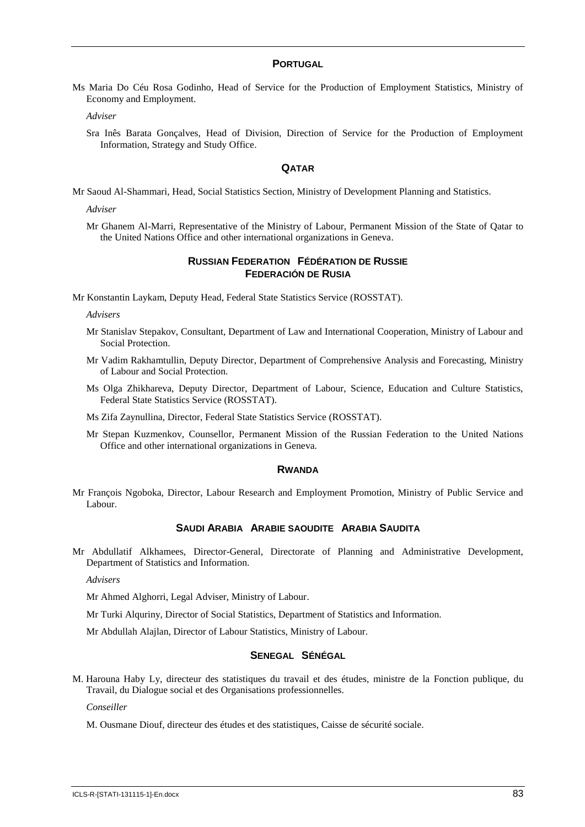#### **PORTUGAL**

Ms Maria Do Céu Rosa Godinho, Head of Service for the Production of Employment Statistics, Ministry of Economy and Employment.

*Adviser*

Sra Inês Barata Gonçalves, Head of Division, Direction of Service for the Production of Employment Information, Strategy and Study Office.

#### **QATAR**

Mr Saoud Al-Shammari, Head, Social Statistics Section, Ministry of Development Planning and Statistics.

*Adviser*

Mr Ghanem Al-Marri, Representative of the Ministry of Labour, Permanent Mission of the State of Qatar to the United Nations Office and other international organizations in Geneva.

## **RUSSIAN FEDERATION FÉDÉRATION DE RUSSIE FEDERACIÓN DE RUSIA**

Mr Konstantin Laykam, Deputy Head, Federal State Statistics Service (ROSSTAT).

*Advisers*

- Mr Stanislav Stepakov, Consultant, Department of Law and International Cooperation, Ministry of Labour and Social Protection.
- Mr Vadim Rakhamtullin, Deputy Director, Department of Comprehensive Analysis and Forecasting, Ministry of Labour and Social Protection.
- Ms Olga Zhikhareva, Deputy Director, Department of Labour, Science, Education and Culture Statistics, Federal State Statistics Service (ROSSTAT).
- Ms Zifa Zaynullina, Director, Federal State Statistics Service (ROSSTAT).
- Mr Stepan Kuzmenkov, Counsellor, Permanent Mission of the Russian Federation to the United Nations Office and other international organizations in Geneva.

#### **RWANDA**

Mr François Ngoboka, Director, Labour Research and Employment Promotion, Ministry of Public Service and Labour.

## **SAUDI ARABIA ARABIE SAOUDITE ARABIA SAUDITA**

Mr Abdullatif Alkhamees, Director-General, Directorate of Planning and Administrative Development, Department of Statistics and Information.

*Advisers*

Mr Ahmed Alghorri, Legal Adviser, Ministry of Labour.

Mr Turki Alquriny, Director of Social Statistics, Department of Statistics and Information.

Mr Abdullah Alajlan, Director of Labour Statistics, Ministry of Labour.

#### **SENEGAL SÉNÉGAL**

M. Harouna Haby Ly, directeur des statistiques du travail et des études, ministre de la Fonction publique, du Travail, du Dialogue social et des Organisations professionnelles.

*Conseiller*

M. Ousmane Diouf, directeur des études et des statistiques, Caisse de sécurité sociale.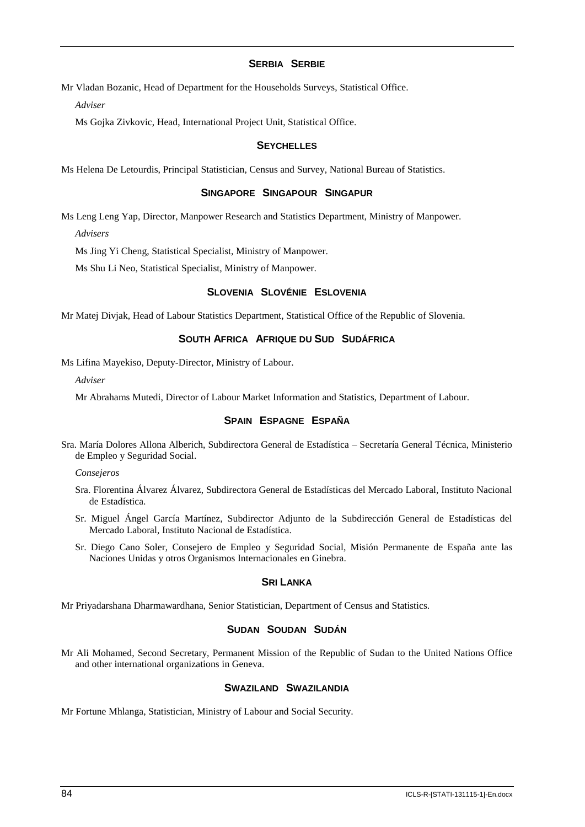## **SERBIA SERBIE**

Mr Vladan Bozanic, Head of Department for the Households Surveys, Statistical Office.

*Adviser*

Ms Gojka Zivkovic, Head, International Project Unit, Statistical Office.

#### **SEYCHELLES**

Ms Helena De Letourdis, Principal Statistician, Census and Survey, National Bureau of Statistics.

#### **SINGAPORE SINGAPOUR SINGAPUR**

Ms Leng Leng Yap, Director, Manpower Research and Statistics Department, Ministry of Manpower. *Advisers*

Ms Jing Yi Cheng, Statistical Specialist, Ministry of Manpower.

Ms Shu Li Neo, Statistical Specialist, Ministry of Manpower.

## **SLOVENIA SLOVÉNIE ESLOVENIA**

Mr Matej Divjak, Head of Labour Statistics Department, Statistical Office of the Republic of Slovenia.

## **SOUTH AFRICA AFRIQUE DU SUD SUDÁFRICA**

Ms Lifina Mayekiso, Deputy-Director, Ministry of Labour.

*Adviser*

Mr Abrahams Mutedi, Director of Labour Market Information and Statistics, Department of Labour.

## **SPAIN ESPAGNE ESPAÑA**

Sra. María Dolores Allona Alberich, Subdirectora General de Estadística – Secretaría General Técnica, Ministerio de Empleo y Seguridad Social.

*Consejeros*

- Sra. Florentina Álvarez Álvarez, Subdirectora General de Estadísticas del Mercado Laboral, Instituto Nacional de Estadística.
- Sr. Miguel Ángel García Martínez, Subdirector Adjunto de la Subdirección General de Estadísticas del Mercado Laboral, Instituto Nacional de Estadística.
- Sr. Diego Cano Soler, Consejero de Empleo y Seguridad Social, Misión Permanente de España ante las Naciones Unidas y otros Organismos Internacionales en Ginebra.

#### **SRI LANKA**

Mr Priyadarshana Dharmawardhana, Senior Statistician, Department of Census and Statistics.

#### **SUDAN SOUDAN SUDÁN**

Mr Ali Mohamed, Second Secretary, Permanent Mission of the Republic of Sudan to the United Nations Office and other international organizations in Geneva.

## **SWAZILAND SWAZILANDIA**

Mr Fortune Mhlanga, Statistician, Ministry of Labour and Social Security.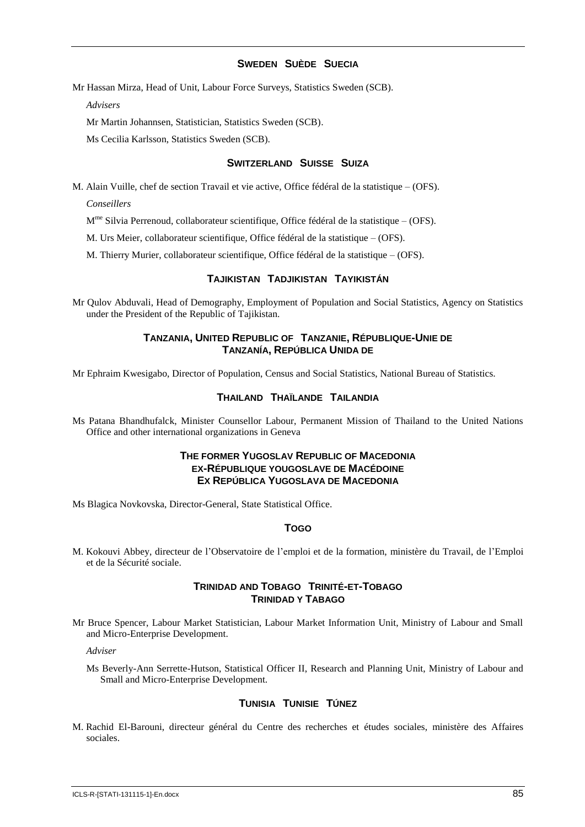## **SWEDEN SUÈDE SUECIA**

Mr Hassan Mirza, Head of Unit, Labour Force Surveys, Statistics Sweden (SCB).

*Advisers*

Mr Martin Johannsen, Statistician, Statistics Sweden (SCB).

Ms Cecilia Karlsson, Statistics Sweden (SCB).

#### **SWITZERLAND SUISSE SUIZA**

M. Alain Vuille, chef de section Travail et vie active, Office fédéral de la statistique – (OFS).

*Conseillers*

M<sup>me</sup> Silvia Perrenoud, collaborateur scientifique, Office fédéral de la statistique – (OFS).

M. Urs Meier, collaborateur scientifique, Office fédéral de la statistique – (OFS).

M. Thierry Murier, collaborateur scientifique, Office fédéral de la statistique – (OFS).

## **TAJIKISTAN TADJIKISTAN TAYIKISTÁN**

Mr Qulov Abduvali, Head of Demography, Employment of Population and Social Statistics, Agency on Statistics under the President of the Republic of Tajikistan.

## **TANZANIA, UNITED REPUBLIC OF TANZANIE, RÉPUBLIQUE-UNIE DE TANZANÍA, REPÚBLICA UNIDA DE**

Mr Ephraim Kwesigabo, Director of Population, Census and Social Statistics, National Bureau of Statistics.

#### **THAILAND THAÏLANDE TAILANDIA**

Ms Patana Bhandhufalck, Minister Counsellor Labour, Permanent Mission of Thailand to the United Nations Office and other international organizations in Geneva

## **THE FORMER YUGOSLAV REPUBLIC OF MACEDONIA EX-RÉPUBLIQUE YOUGOSLAVE DE MACÉDOINE EX REPÚBLICA YUGOSLAVA DE MACEDONIA**

Ms Blagica Novkovska, Director-General, State Statistical Office.

#### **TOGO**

M. Kokouvi Abbey, directeur de l'Observatoire de l'emploi et de la formation, ministère du Travail, de l'Emploi et de la Sécurité sociale.

#### **TRINIDAD AND TOBAGO TRINITÉ-ET-TOBAGO TRINIDAD Y TABAGO**

Mr Bruce Spencer, Labour Market Statistician, Labour Market Information Unit, Ministry of Labour and Small and Micro-Enterprise Development.

*Adviser*

Ms Beverly-Ann Serrette-Hutson, Statistical Officer II, Research and Planning Unit, Ministry of Labour and Small and Micro-Enterprise Development.

## **TUNISIA TUNISIE TÚNEZ**

M. Rachid El-Barouni, directeur général du Centre des recherches et études sociales, ministère des Affaires sociales.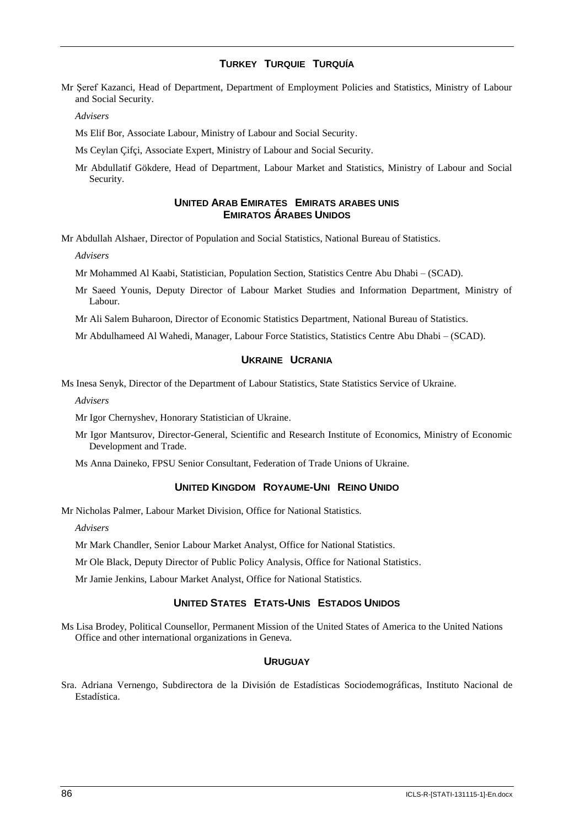## **TURKEY TURQUIE TURQUÍA**

Mr Şeref Kazanci, Head of Department, Department of Employment Policies and Statistics, Ministry of Labour and Social Security.

*Advisers*

Ms Elif Bor, Associate Labour, Ministry of Labour and Social Security.

Ms Ceylan Çifçi, Associate Expert, Ministry of Labour and Social Security.

Mr Abdullatif Gökdere, Head of Department, Labour Market and Statistics, Ministry of Labour and Social Security.

#### **UNITED ARAB EMIRATES EMIRATS ARABES UNIS EMIRATOS ÁRABES UNIDOS**

Mr Abdullah Alshaer, Director of Population and Social Statistics, National Bureau of Statistics.

*Advisers*

Mr Mohammed Al Kaabi, Statistician, Population Section, Statistics Centre Abu Dhabi – (SCAD).

Mr Saeed Younis, Deputy Director of Labour Market Studies and Information Department, Ministry of Labour.

Mr Ali Salem Buharoon, Director of Economic Statistics Department, National Bureau of Statistics.

Mr Abdulhameed Al Wahedi, Manager, Labour Force Statistics, Statistics Centre Abu Dhabi – (SCAD).

#### **UKRAINE UCRANIA**

Ms Inesa Senyk, Director of the Department of Labour Statistics, State Statistics Service of Ukraine.

*Advisers*

Mr Igor Chernyshev, Honorary Statistician of Ukraine.

Mr Igor Mantsurov, Director-General, Scientific and Research Institute of Economics, Ministry of Economic Development and Trade.

Ms Anna Daineko, FPSU Senior Consultant, Federation of Trade Unions of Ukraine.

## **UNITED KINGDOM ROYAUME-UNI REINO UNIDO**

Mr Nicholas Palmer, Labour Market Division, Office for National Statistics.

*Advisers*

Mr Mark Chandler, Senior Labour Market Analyst, Office for National Statistics.

Mr Ole Black, Deputy Director of Public Policy Analysis, Office for National Statistics.

Mr Jamie Jenkins, Labour Market Analyst, Office for National Statistics.

## **UNITED STATES ETATS-UNIS ESTADOS UNIDOS**

Ms Lisa Brodey, Political Counsellor, Permanent Mission of the United States of America to the United Nations Office and other international organizations in Geneva.

## **URUGUAY**

Sra. Adriana Vernengo, Subdirectora de la División de Estadísticas Sociodemográficas, Instituto Nacional de Estadística.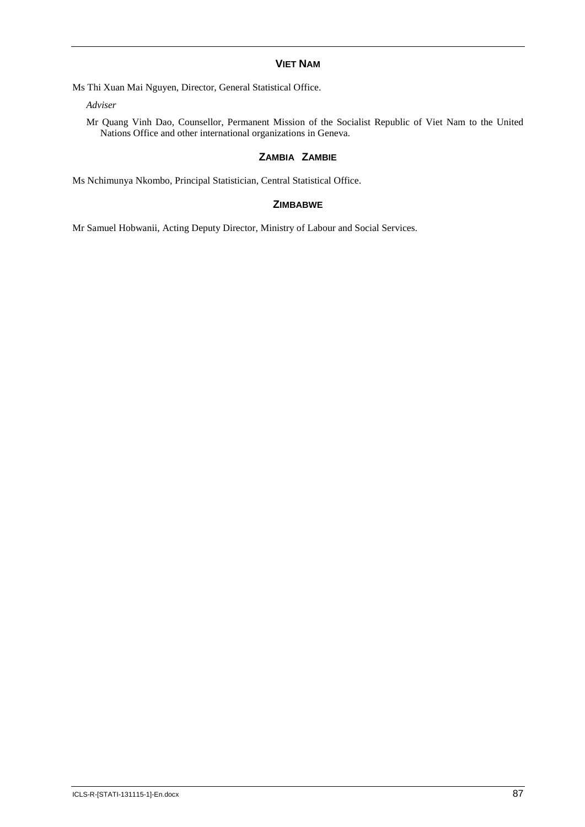## **VIET NAM**

Ms Thi Xuan Mai Nguyen, Director, General Statistical Office.

*Adviser*

Mr Quang Vinh Dao, Counsellor, Permanent Mission of the Socialist Republic of Viet Nam to the United Nations Office and other international organizations in Geneva.

## **ZAMBIA ZAMBIE**

Ms Nchimunya Nkombo, Principal Statistician, Central Statistical Office.

## **ZIMBABWE**

Mr Samuel Hobwanii, Acting Deputy Director, Ministry of Labour and Social Services.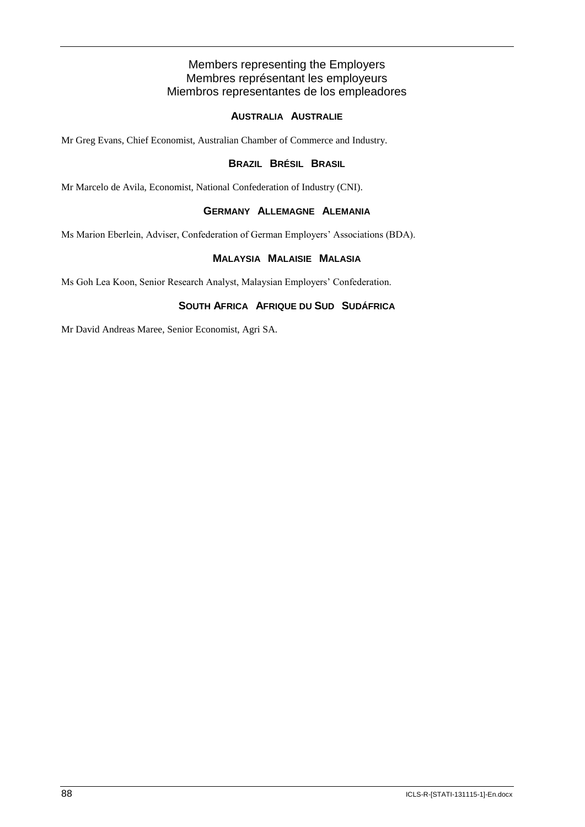## Members representing the Employers Membres représentant les employeurs Miembros representantes de los empleadores

## **AUSTRALIA AUSTRALIE**

Mr Greg Evans, Chief Economist, Australian Chamber of Commerce and Industry.

## **BRAZIL BRÉSIL BRASIL**

Mr Marcelo de Avila, Economist, National Confederation of Industry (CNI).

## **GERMANY ALLEMAGNE ALEMANIA**

Ms Marion Eberlein, Adviser, Confederation of German Employers' Associations (BDA).

## **MALAYSIA MALAISIE MALASIA**

Ms Goh Lea Koon, Senior Research Analyst, Malaysian Employers' Confederation.

## **SOUTH AFRICA AFRIQUE DU SUD SUDÁFRICA**

Mr David Andreas Maree, Senior Economist, Agri SA.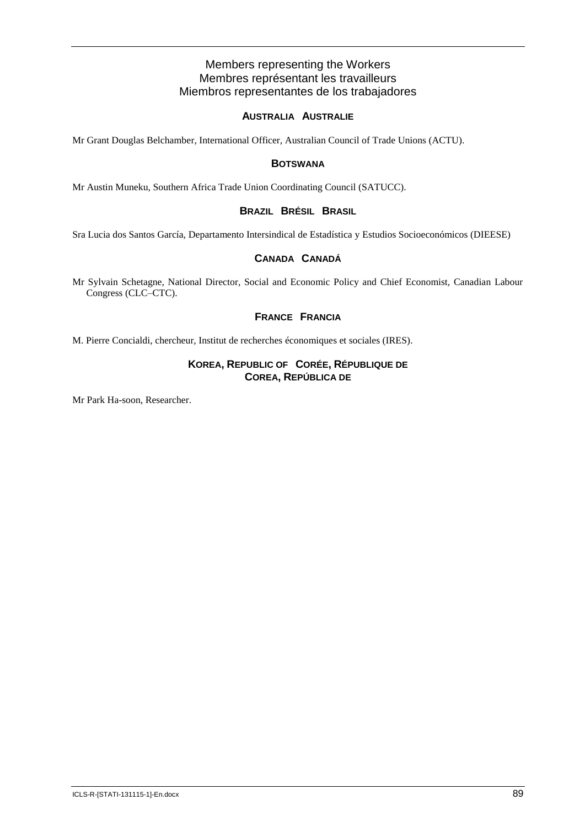## Members representing the Workers Membres représentant les travailleurs Miembros representantes de los trabajadores

## **AUSTRALIA AUSTRALIE**

Mr Grant Douglas Belchamber, International Officer, Australian Council of Trade Unions (ACTU).

## **BOTSWANA**

Mr Austin Muneku, Southern Africa Trade Union Coordinating Council (SATUCC).

## **BRAZIL BRÉSIL BRASIL**

Sra Lucia dos Santos García, Departamento Intersindical de Estadística y Estudios Socioeconómicos (DIEESE)

## **CANADA CANADÁ**

Mr Sylvain Schetagne, National Director, Social and Economic Policy and Chief Economist, Canadian Labour Congress (CLC–CTC).

## **FRANCE FRANCIA**

M. Pierre Concialdi, chercheur, Institut de recherches économiques et sociales (IRES).

## **KOREA, REPUBLIC OF CORÉE, RÉPUBLIQUE DE COREA, REPÚBLICA DE**

Mr Park Ha-soon, Researcher.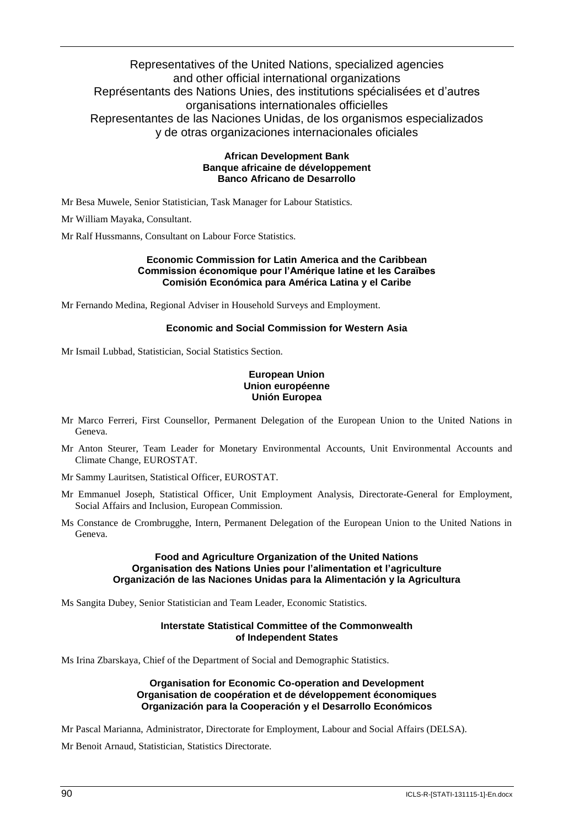## Representatives of the United Nations, specialized agencies and other official international organizations Représentants des Nations Unies, des institutions spécialisées et d'autres organisations internationales officielles Representantes de las Naciones Unidas, de los organismos especializados y de otras organizaciones internacionales oficiales

## **African Development Bank Banque africaine de développement Banco Africano de Desarrollo**

Mr Besa Muwele, Senior Statistician, Task Manager for Labour Statistics.

Mr William Mayaka, Consultant.

Mr Ralf Hussmanns, Consultant on Labour Force Statistics.

#### **Economic Commission for Latin America and the Caribbean Commission économique pour l'Amérique latine et les Caraïbes Comisión Económica para América Latina y el Caribe**

Mr Fernando Medina, Regional Adviser in Household Surveys and Employment.

## **Economic and Social Commission for Western Asia**

Mr Ismail Lubbad, Statistician, Social Statistics Section.

## **European Union Union européenne Unión Europea**

- Mr Marco Ferreri, First Counsellor, Permanent Delegation of the European Union to the United Nations in Geneva.
- Mr Anton Steurer, Team Leader for Monetary Environmental Accounts, Unit Environmental Accounts and Climate Change, EUROSTAT.

Mr Sammy Lauritsen, Statistical Officer, EUROSTAT.

- Mr Emmanuel Joseph, Statistical Officer, Unit Employment Analysis, Directorate-General for Employment, Social Affairs and Inclusion, European Commission.
- Ms Constance de Crombrugghe, Intern, Permanent Delegation of the European Union to the United Nations in Geneva.

#### **Food and Agriculture Organization of the United Nations Organisation des Nations Unies pour l'alimentation et l'agriculture Organización de las Naciones Unidas para la Alimentación y la Agricultura**

Ms Sangita Dubey, Senior Statistician and Team Leader, Economic Statistics.

## **Interstate Statistical Committee of the Commonwealth of Independent States**

Ms Irina Zbarskaya, Chief of the Department of Social and Demographic Statistics.

#### **Organisation for Economic Co-operation and Development Organisation de coopération et de développement économiques Organización para la Cooperación y el Desarrollo Económicos**

Mr Pascal Marianna, Administrator, Directorate for Employment, Labour and Social Affairs (DELSA).

Mr Benoit Arnaud, Statistician, Statistics Directorate.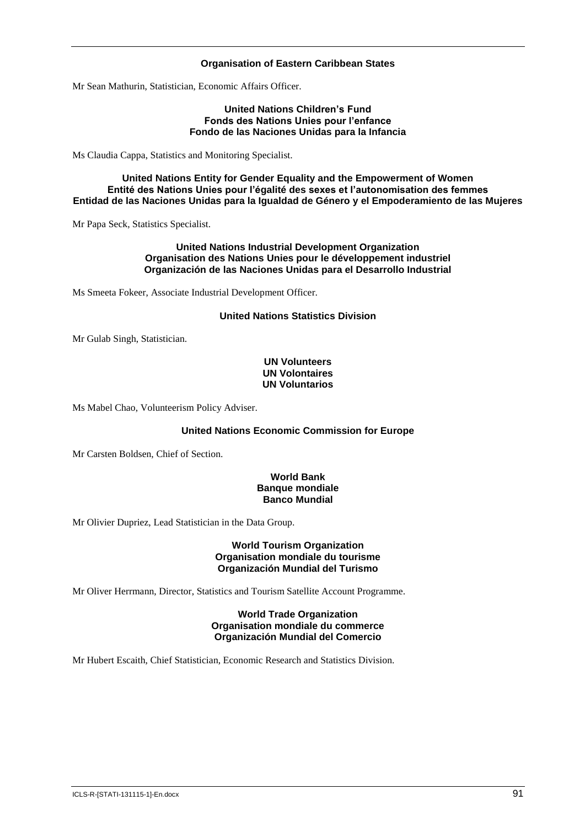## **Organisation of Eastern Caribbean States**

Mr Sean Mathurin, Statistician, Economic Affairs Officer.

#### **United Nations Children's Fund Fonds des Nations Unies pour l'enfance Fondo de las Naciones Unidas para la Infancia**

Ms Claudia Cappa, Statistics and Monitoring Specialist.

#### **United Nations Entity for Gender Equality and the Empowerment of Women Entité des Nations Unies pour l'égalité des sexes et l'autonomisation des femmes Entidad de las Naciones Unidas para la Igualdad de Género y el Empoderamiento de las Mujeres**

Mr Papa Seck, Statistics Specialist.

#### **United Nations Industrial Development Organization Organisation des Nations Unies pour le développement industriel Organización de las Naciones Unidas para el Desarrollo Industrial**

Ms Smeeta Fokeer, Associate Industrial Development Officer.

## **United Nations Statistics Division**

Mr Gulab Singh, Statistician.

## **UN Volunteers UN Volontaires UN Voluntarios**

Ms Mabel Chao, Volunteerism Policy Adviser.

## **United Nations Economic Commission for Europe**

Mr Carsten Boldsen, Chief of Section.

#### **World Bank Banque mondiale Banco Mundial**

Mr Olivier Dupriez, Lead Statistician in the Data Group.

#### **World Tourism Organization Organisation mondiale du tourisme Organización Mundial del Turismo**

Mr Oliver Herrmann, Director, Statistics and Tourism Satellite Account Programme.

#### **World Trade Organization Organisation mondiale du commerce Organización Mundial del Comercio**

Mr Hubert Escaith, Chief Statistician, Economic Research and Statistics Division.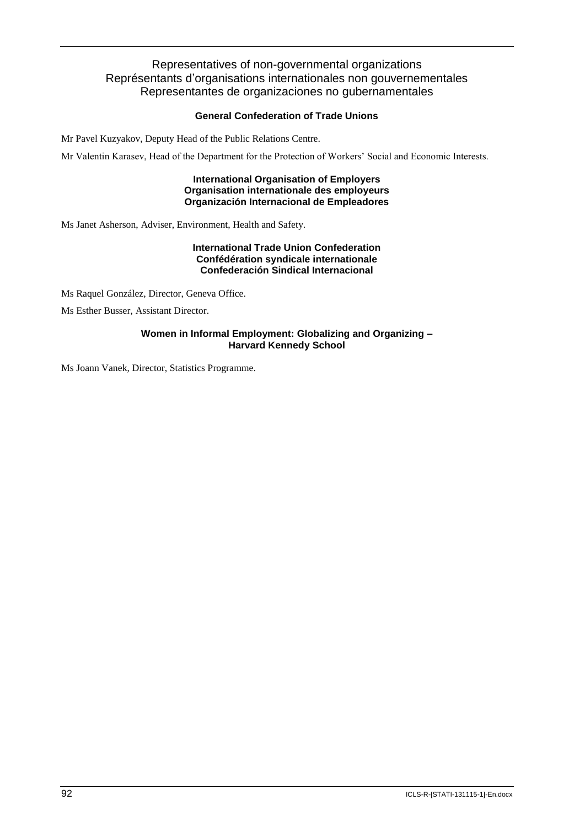## Representatives of non-governmental organizations Représentants d'organisations internationales non gouvernementales Representantes de organizaciones no gubernamentales

## **General Confederation of Trade Unions**

Mr Pavel Kuzyakov, Deputy Head of the Public Relations Centre.

Mr Valentin Karasev, Head of the Department for the Protection of Workers' Social and Economic Interests.

**International Organisation of Employers Organisation internationale des employeurs Organización Internacional de Empleadores**

Ms Janet Asherson, Adviser, Environment, Health and Safety.

## **International Trade Union Confederation Confédération syndicale internationale Confederación Sindical Internacional**

Ms Raquel González, Director, Geneva Office.

Ms Esther Busser, Assistant Director.

## **Women in Informal Employment: Globalizing and Organizing – Harvard Kennedy School**

Ms Joann Vanek, Director, Statistics Programme.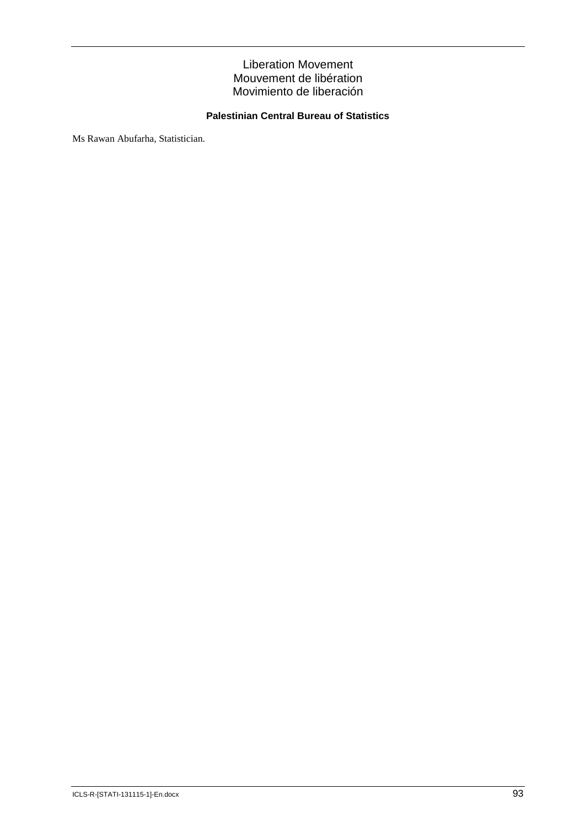## Liberation Movement Mouvement de libération Movimiento de liberación

## **Palestinian Central Bureau of Statistics**

Ms Rawan Abufarha, Statistician.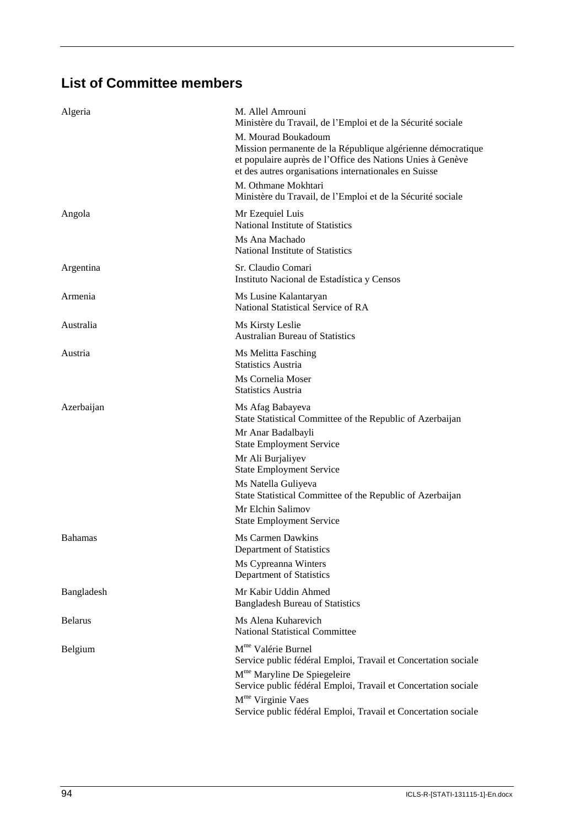## **List of Committee members**

| Algeria        | M. Allel Amrouni<br>Ministère du Travail, de l'Emploi et de la Sécurité sociale<br>M. Mourad Boukadoum<br>Mission permanente de la République algérienne démocratique |
|----------------|-----------------------------------------------------------------------------------------------------------------------------------------------------------------------|
|                | et populaire auprès de l'Office des Nations Unies à Genève<br>et des autres organisations internationales en Suisse<br>M. Othmane Mokhtari                            |
|                | Ministère du Travail, de l'Emploi et de la Sécurité sociale                                                                                                           |
| Angola         | Mr Ezequiel Luis<br>National Institute of Statistics                                                                                                                  |
|                | Ms Ana Machado<br>National Institute of Statistics                                                                                                                    |
| Argentina      | Sr. Claudio Comari<br>Instituto Nacional de Estadística y Censos                                                                                                      |
| Armenia        | Ms Lusine Kalantaryan<br>National Statistical Service of RA                                                                                                           |
| Australia      | Ms Kirsty Leslie<br><b>Australian Bureau of Statistics</b>                                                                                                            |
| Austria        | Ms Melitta Fasching<br><b>Statistics Austria</b>                                                                                                                      |
|                | Ms Cornelia Moser<br><b>Statistics Austria</b>                                                                                                                        |
| Azerbaijan     | Ms Afag Babayeva<br>State Statistical Committee of the Republic of Azerbaijan                                                                                         |
|                | Mr Anar Badalbayli<br><b>State Employment Service</b>                                                                                                                 |
|                | Mr Ali Burjaliyev<br><b>State Employment Service</b>                                                                                                                  |
|                | Ms Natella Guliyeva<br>State Statistical Committee of the Republic of Azerbaijan                                                                                      |
|                | Mr Elchin Salimov<br><b>State Employment Service</b>                                                                                                                  |
| <b>Bahamas</b> | Ms Carmen Dawkins<br>Department of Statistics                                                                                                                         |
|                | Ms Cypreanna Winters<br>Department of Statistics                                                                                                                      |
| Bangladesh     | Mr Kabir Uddin Ahmed<br><b>Bangladesh Bureau of Statistics</b>                                                                                                        |
| <b>Belarus</b> | Ms Alena Kuharevich<br><b>National Statistical Committee</b>                                                                                                          |
| Belgium        | M <sup>me</sup> Valérie Burnel<br>Service public fédéral Emploi, Travail et Concertation sociale                                                                      |
|                | M <sup>me</sup> Maryline De Spiegeleire<br>Service public fédéral Emploi, Travail et Concertation sociale                                                             |
|                | M <sup>me</sup> Virginie Vaes<br>Service public fédéral Emploi, Travail et Concertation sociale                                                                       |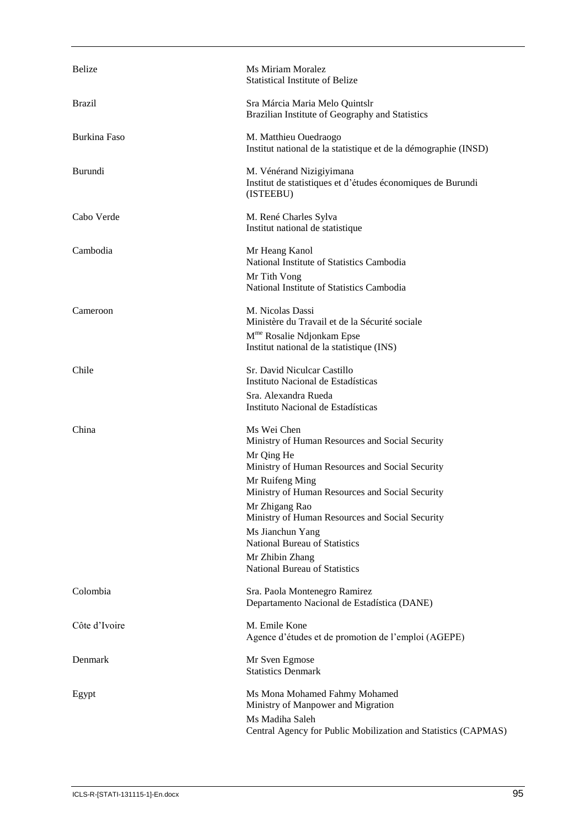| Belize              | Ms Miriam Moralez<br><b>Statistical Institute of Belize</b>                                                                                                                                                                                                                                                                                                                                |
|---------------------|--------------------------------------------------------------------------------------------------------------------------------------------------------------------------------------------------------------------------------------------------------------------------------------------------------------------------------------------------------------------------------------------|
| <b>Brazil</b>       | Sra Márcia Maria Melo Quintslr<br>Brazilian Institute of Geography and Statistics                                                                                                                                                                                                                                                                                                          |
| <b>Burkina Faso</b> | M. Matthieu Ouedraogo<br>Institut national de la statistique et de la démographie (INSD)                                                                                                                                                                                                                                                                                                   |
| Burundi             | M. Vénérand Nizigiyimana<br>Institut de statistiques et d'études économiques de Burundi<br>(ISTEEBU)                                                                                                                                                                                                                                                                                       |
| Cabo Verde          | M. René Charles Sylva<br>Institut national de statistique                                                                                                                                                                                                                                                                                                                                  |
| Cambodia            | Mr Heang Kanol<br>National Institute of Statistics Cambodia<br>Mr Tith Vong<br>National Institute of Statistics Cambodia                                                                                                                                                                                                                                                                   |
| Cameroon            | M. Nicolas Dassi<br>Ministère du Travail et de la Sécurité sociale<br>M <sup>me</sup> Rosalie Ndjonkam Epse<br>Institut national de la statistique (INS)                                                                                                                                                                                                                                   |
| Chile               | Sr. David Niculcar Castillo<br>Instituto Nacional de Estadísticas<br>Sra. Alexandra Rueda<br>Instituto Nacional de Estadísticas                                                                                                                                                                                                                                                            |
| China               | Ms Wei Chen<br>Ministry of Human Resources and Social Security<br>Mr Qing He<br>Ministry of Human Resources and Social Security<br>Mr Ruifeng Ming<br>Ministry of Human Resources and Social Security<br>Mr Zhigang Rao<br>Ministry of Human Resources and Social Security<br>Ms Jianchun Yang<br><b>National Bureau of Statistics</b><br>Mr Zhibin Zhang<br>National Bureau of Statistics |
| Colombia            | Sra. Paola Montenegro Ramirez<br>Departamento Nacional de Estadística (DANE)                                                                                                                                                                                                                                                                                                               |
| Côte d'Ivoire       | M. Emile Kone<br>Agence d'études et de promotion de l'emploi (AGEPE)                                                                                                                                                                                                                                                                                                                       |
| Denmark             | Mr Sven Egmose<br><b>Statistics Denmark</b>                                                                                                                                                                                                                                                                                                                                                |
| Egypt               | Ms Mona Mohamed Fahmy Mohamed<br>Ministry of Manpower and Migration<br>Ms Madiha Saleh<br>Central Agency for Public Mobilization and Statistics (CAPMAS)                                                                                                                                                                                                                                   |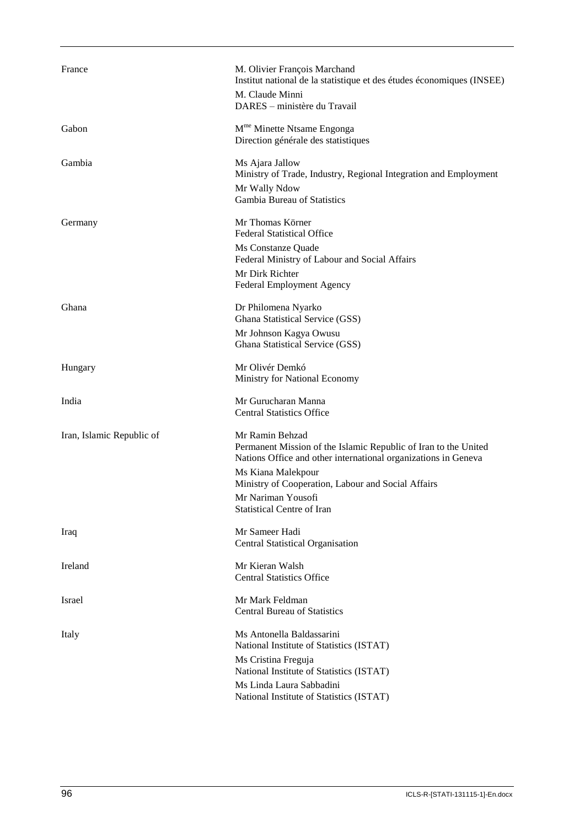| France                    | M. Olivier François Marchand<br>Institut national de la statistique et des études économiques (INSEE)                                                |
|---------------------------|------------------------------------------------------------------------------------------------------------------------------------------------------|
|                           | M. Claude Minni<br>DARES - ministère du Travail                                                                                                      |
| Gabon                     | M <sup>me</sup> Minette Ntsame Engonga<br>Direction générale des statistiques                                                                        |
| Gambia                    | Ms Ajara Jallow<br>Ministry of Trade, Industry, Regional Integration and Employment                                                                  |
|                           | Mr Wally Ndow<br>Gambia Bureau of Statistics                                                                                                         |
| Germany                   | Mr Thomas Körner<br><b>Federal Statistical Office</b>                                                                                                |
|                           | Ms Constanze Quade<br>Federal Ministry of Labour and Social Affairs                                                                                  |
|                           | Mr Dirk Richter<br>Federal Employment Agency                                                                                                         |
| Ghana                     | Dr Philomena Nyarko<br>Ghana Statistical Service (GSS)                                                                                               |
|                           | Mr Johnson Kagya Owusu<br>Ghana Statistical Service (GSS)                                                                                            |
| Hungary                   | Mr Olivér Demkó<br>Ministry for National Economy                                                                                                     |
| India                     | Mr Gurucharan Manna<br><b>Central Statistics Office</b>                                                                                              |
| Iran, Islamic Republic of | Mr Ramin Behzad<br>Permanent Mission of the Islamic Republic of Iran to the United<br>Nations Office and other international organizations in Geneva |
|                           | Ms Kiana Malekpour<br>Ministry of Cooperation, Labour and Social Affairs                                                                             |
|                           | Mr Nariman Yousofi<br>Statistical Centre of Iran                                                                                                     |
| Iraq                      | Mr Sameer Hadi<br><b>Central Statistical Organisation</b>                                                                                            |
| Ireland                   | Mr Kieran Walsh<br><b>Central Statistics Office</b>                                                                                                  |
| Israel                    | Mr Mark Feldman<br><b>Central Bureau of Statistics</b>                                                                                               |
| Italy                     | Ms Antonella Baldassarini<br>National Institute of Statistics (ISTAT)                                                                                |
|                           | Ms Cristina Freguja<br>National Institute of Statistics (ISTAT)                                                                                      |
|                           | Ms Linda Laura Sabbadini<br>National Institute of Statistics (ISTAT)                                                                                 |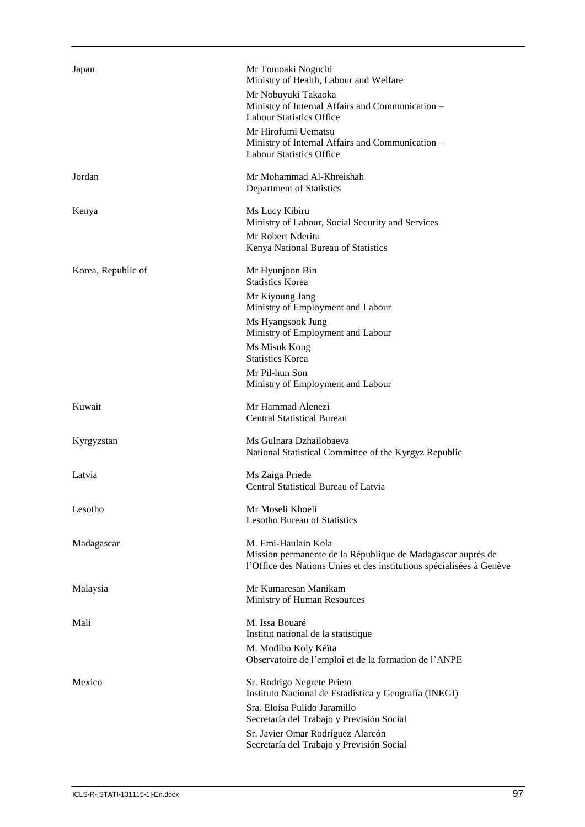| Japan              | Mr Tomoaki Noguchi<br>Ministry of Health, Labour and Welfare<br>Mr Nobuyuki Takaoka<br>Ministry of Internal Affairs and Communication -<br><b>Labour Statistics Office</b><br>Mr Hirofumi Uematsu<br>Ministry of Internal Affairs and Communication -<br><b>Labour Statistics Office</b> |
|--------------------|------------------------------------------------------------------------------------------------------------------------------------------------------------------------------------------------------------------------------------------------------------------------------------------|
| Jordan             | Mr Mohammad Al-Khreishah<br>Department of Statistics                                                                                                                                                                                                                                     |
| Kenya              | Ms Lucy Kibiru<br>Ministry of Labour, Social Security and Services<br>Mr Robert Nderitu<br>Kenya National Bureau of Statistics                                                                                                                                                           |
| Korea, Republic of | Mr Hyunjoon Bin<br><b>Statistics Korea</b><br>Mr Kiyoung Jang<br>Ministry of Employment and Labour<br>Ms Hyangsook Jung<br>Ministry of Employment and Labour<br>Ms Misuk Kong<br><b>Statistics Korea</b><br>Mr Pil-hun Son                                                               |
| Kuwait             | Ministry of Employment and Labour<br>Mr Hammad Alenezi<br><b>Central Statistical Bureau</b>                                                                                                                                                                                              |
| Kyrgyzstan         | Ms Gulnara Dzhailobaeva<br>National Statistical Committee of the Kyrgyz Republic                                                                                                                                                                                                         |
| Latvia             | Ms Zaiga Priede<br>Central Statistical Bureau of Latvia                                                                                                                                                                                                                                  |
| Lesotho            | Mr Moseli Khoeli<br><b>Lesotho Bureau of Statistics</b>                                                                                                                                                                                                                                  |
| Madagascar         | M. Emi-Haulain Kola<br>Mission permanente de la République de Madagascar auprès de<br>l'Office des Nations Unies et des institutions spécialisées à Genève                                                                                                                               |
| Malaysia           | Mr Kumaresan Manikam<br>Ministry of Human Resources                                                                                                                                                                                                                                      |
| Mali               | M. Issa Bouaré<br>Institut national de la statistique<br>M. Modibo Koly Kéïta<br>Observatoire de l'emploi et de la formation de l'ANPE                                                                                                                                                   |
| Mexico             | Sr. Rodrigo Negrete Prieto<br>Instituto Nacional de Estadística y Geografía (INEGI)<br>Sra. Eloísa Pulido Jaramillo<br>Secretaría del Trabajo y Previsión Social<br>Sr. Javier Omar Rodríguez Alarcón<br>Secretaría del Trabajo y Previsión Social                                       |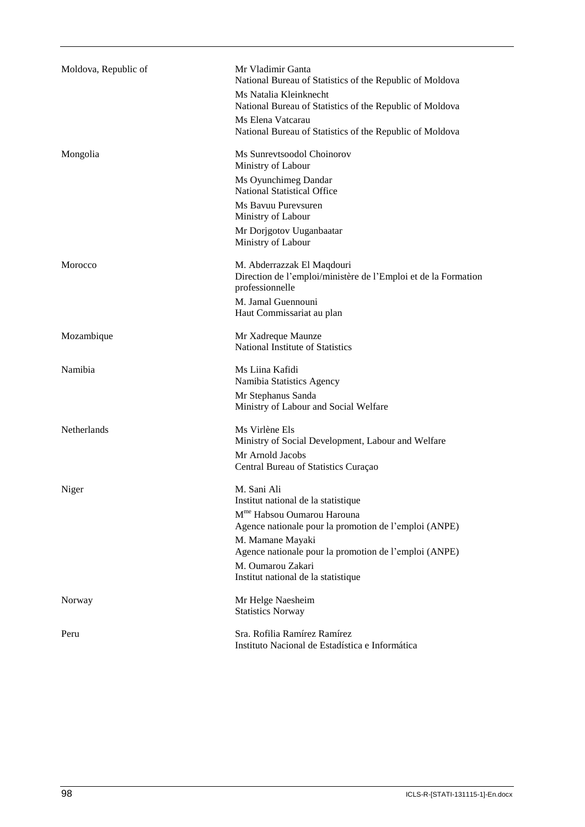| Moldova, Republic of | Mr Vladimir Ganta<br>National Bureau of Statistics of the Republic of Moldova                                   |
|----------------------|-----------------------------------------------------------------------------------------------------------------|
|                      | Ms Natalia Kleinknecht<br>National Bureau of Statistics of the Republic of Moldova                              |
|                      | Ms Elena Vatcarau<br>National Bureau of Statistics of the Republic of Moldova                                   |
| Mongolia             | Ms Sunrevtsoodol Choinorov<br>Ministry of Labour                                                                |
|                      | Ms Oyunchimeg Dandar<br><b>National Statistical Office</b>                                                      |
|                      | Ms Bayuu Pureysuren<br>Ministry of Labour                                                                       |
|                      | Mr Dorjgotov Uuganbaatar<br>Ministry of Labour                                                                  |
| Morocco              | M. Abderrazzak El Maqdouri<br>Direction de l'emploi/ministère de l'Emploi et de la Formation<br>professionnelle |
|                      | M. Jamal Guennouni<br>Haut Commissariat au plan                                                                 |
| Mozambique           | Mr Xadreque Maunze<br>National Institute of Statistics                                                          |
| Namibia              | Ms Liina Kafidi<br>Namibia Statistics Agency                                                                    |
|                      | Mr Stephanus Sanda<br>Ministry of Labour and Social Welfare                                                     |
| Netherlands          | Ms Virlène Els<br>Ministry of Social Development, Labour and Welfare                                            |
|                      | Mr Arnold Jacobs<br>Central Bureau of Statistics Curaçao                                                        |
| Niger                | M. Sani Ali<br>Institut national de la statistique                                                              |
|                      | M <sup>me</sup> Habsou Oumarou Harouna<br>Agence nationale pour la promotion de l'emploi (ANPE)                 |
|                      | M. Mamane Mayaki<br>Agence nationale pour la promotion de l'emploi (ANPE)                                       |
|                      | M. Oumarou Zakari<br>Institut national de la statistique                                                        |
| Norway               | Mr Helge Naesheim<br><b>Statistics Norway</b>                                                                   |
| Peru                 | Sra. Rofilia Ramírez Ramírez<br>Instituto Nacional de Estadística e Informática                                 |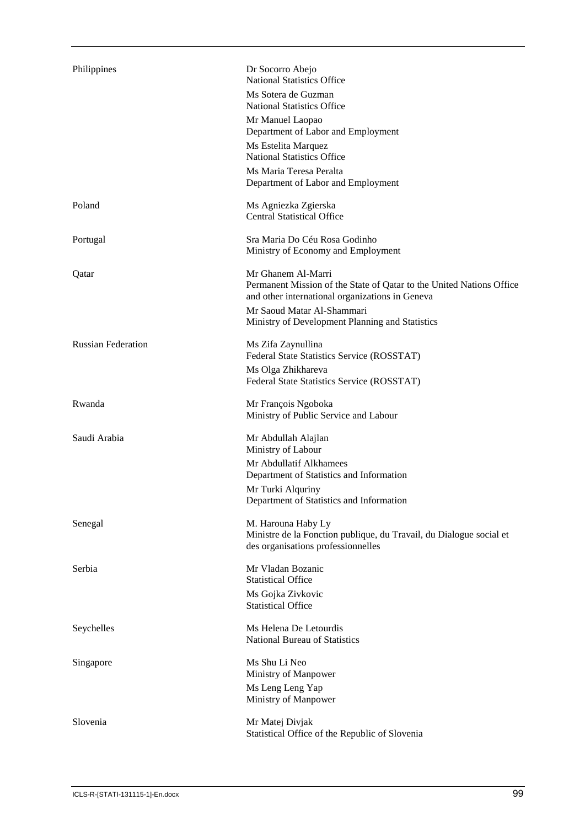| Philippines               | Dr Socorro Abejo<br><b>National Statistics Office</b><br>Ms Sotera de Guzman<br><b>National Statistics Office</b><br>Mr Manuel Laopao<br>Department of Labor and Employment<br>Ms Estelita Marquez<br><b>National Statistics Office</b><br>Ms Maria Teresa Peralta<br>Department of Labor and Employment |
|---------------------------|----------------------------------------------------------------------------------------------------------------------------------------------------------------------------------------------------------------------------------------------------------------------------------------------------------|
| Poland                    | Ms Agniezka Zgierska<br><b>Central Statistical Office</b>                                                                                                                                                                                                                                                |
| Portugal                  | Sra Maria Do Céu Rosa Godinho<br>Ministry of Economy and Employment                                                                                                                                                                                                                                      |
| Qatar                     | Mr Ghanem Al-Marri<br>Permanent Mission of the State of Qatar to the United Nations Office<br>and other international organizations in Geneva<br>Mr Saoud Matar Al-Shammari<br>Ministry of Development Planning and Statistics                                                                           |
| <b>Russian Federation</b> | Ms Zifa Zaynullina<br>Federal State Statistics Service (ROSSTAT)<br>Ms Olga Zhikhareva                                                                                                                                                                                                                   |
| Rwanda                    | Federal State Statistics Service (ROSSTAT)<br>Mr François Ngoboka<br>Ministry of Public Service and Labour                                                                                                                                                                                               |
| Saudi Arabia              | Mr Abdullah Alajlan<br>Ministry of Labour<br>Mr Abdullatif Alkhamees<br>Department of Statistics and Information<br>Mr Turki Alquriny<br>Department of Statistics and Information                                                                                                                        |
| Senegal                   | M. Harouna Haby Ly<br>Ministre de la Fonction publique, du Travail, du Dialogue social et<br>des organisations professionnelles                                                                                                                                                                          |
| Serbia                    | Mr Vladan Bozanic<br><b>Statistical Office</b><br>Ms Gojka Zivkovic<br><b>Statistical Office</b>                                                                                                                                                                                                         |
| Seychelles                | Ms Helena De Letourdis<br>National Bureau of Statistics                                                                                                                                                                                                                                                  |
| Singapore                 | Ms Shu Li Neo<br>Ministry of Manpower<br>Ms Leng Leng Yap<br>Ministry of Manpower                                                                                                                                                                                                                        |
| Slovenia                  | Mr Matej Divjak<br>Statistical Office of the Republic of Slovenia                                                                                                                                                                                                                                        |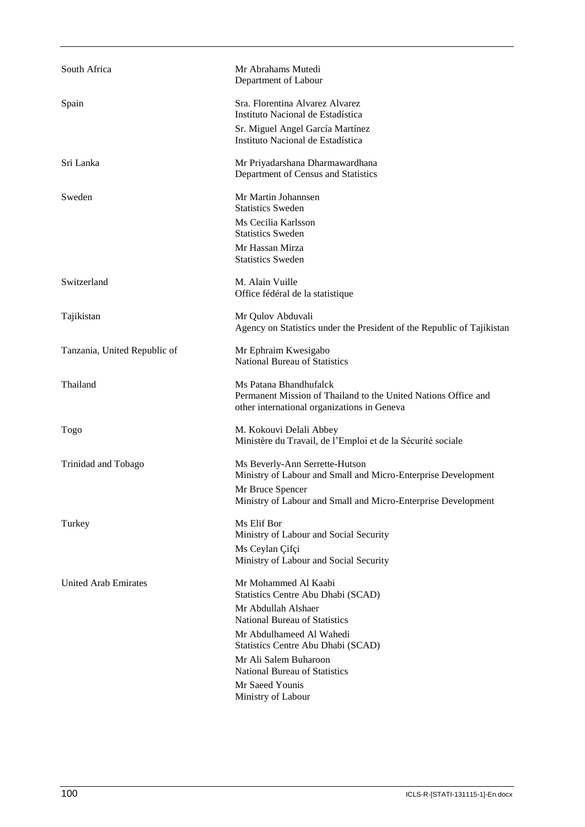| South Africa                 | Mr Abrahams Mutedi<br>Department of Labour                                                                                              |
|------------------------------|-----------------------------------------------------------------------------------------------------------------------------------------|
| Spain                        | Sra. Florentina Alvarez Alvarez<br>Instituto Nacional de Estadística<br>Sr. Miguel Angel García Martínez                                |
|                              | Instituto Nacional de Estadística                                                                                                       |
| Sri Lanka                    | Mr Priyadarshana Dharmawardhana<br>Department of Census and Statistics                                                                  |
| Sweden                       | Mr Martin Johannsen<br><b>Statistics Sweden</b>                                                                                         |
|                              | Ms Cecilia Karlsson<br><b>Statistics Sweden</b>                                                                                         |
|                              | Mr Hassan Mirza<br><b>Statistics Sweden</b>                                                                                             |
| Switzerland                  | M. Alain Vuille<br>Office fédéral de la statistique                                                                                     |
| Tajikistan                   | Mr Qulov Abduvali<br>Agency on Statistics under the President of the Republic of Tajikistan                                             |
| Tanzania, United Republic of | Mr Ephraim Kwesigabo<br><b>National Bureau of Statistics</b>                                                                            |
| Thailand                     | Ms Patana Bhandhufalck<br>Permanent Mission of Thailand to the United Nations Office and<br>other international organizations in Geneva |
| Togo                         | M. Kokouvi Delali Abbey<br>Ministère du Travail, de l'Emploi et de la Sécurité sociale                                                  |
| Trinidad and Tobago          | Ms Beverly-Ann Serrette-Hutson<br>Ministry of Labour and Small and Micro-Enterprise Development                                         |
|                              | Mr Bruce Spencer<br>Ministry of Labour and Small and Micro-Enterprise Development                                                       |
| Turkey                       | Ms Elif Bor<br>Ministry of Labour and Social Security                                                                                   |
|                              | Ms Ceylan Çifçi<br>Ministry of Labour and Social Security                                                                               |
| <b>United Arab Emirates</b>  | Mr Mohammed Al Kaabi<br>Statistics Centre Abu Dhabi (SCAD)                                                                              |
|                              | Mr Abdullah Alshaer<br><b>National Bureau of Statistics</b>                                                                             |
|                              | Mr Abdulhameed Al Wahedi<br>Statistics Centre Abu Dhabi (SCAD)                                                                          |
|                              | Mr Ali Salem Buharoon<br><b>National Bureau of Statistics</b>                                                                           |
|                              | Mr Saeed Younis<br>Ministry of Labour                                                                                                   |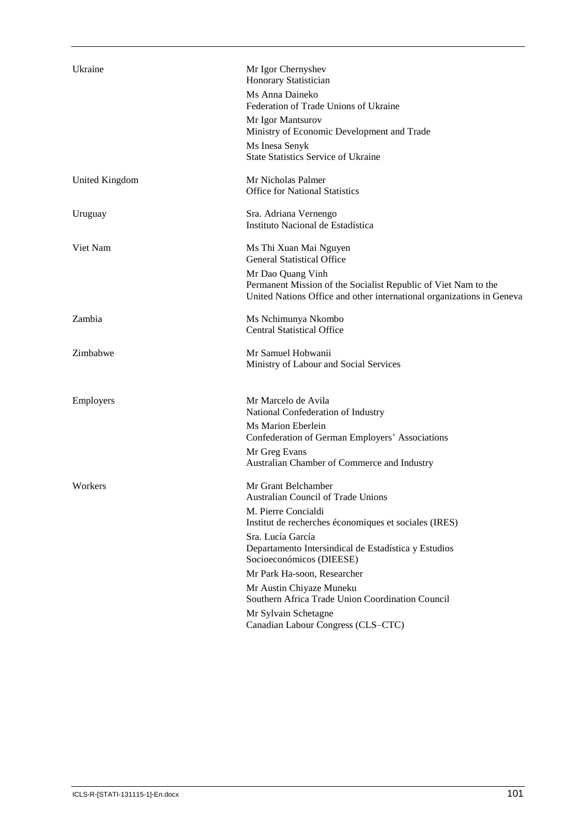| Ukraine        | Mr Igor Chernyshev<br>Honorary Statistician<br>Ms Anna Daineko<br>Federation of Trade Unions of Ukraine<br>Mr Igor Mantsurov<br>Ministry of Economic Development and Trade<br>Ms Inesa Senyk<br><b>State Statistics Service of Ukraine</b>                                                                                                                                                                                             |
|----------------|----------------------------------------------------------------------------------------------------------------------------------------------------------------------------------------------------------------------------------------------------------------------------------------------------------------------------------------------------------------------------------------------------------------------------------------|
| United Kingdom | Mr Nicholas Palmer<br><b>Office for National Statistics</b>                                                                                                                                                                                                                                                                                                                                                                            |
| Uruguay        | Sra. Adriana Vernengo<br>Instituto Nacional de Estadística                                                                                                                                                                                                                                                                                                                                                                             |
| Viet Nam       | Ms Thi Xuan Mai Nguyen<br><b>General Statistical Office</b><br>Mr Dao Quang Vinh<br>Permanent Mission of the Socialist Republic of Viet Nam to the<br>United Nations Office and other international organizations in Geneva                                                                                                                                                                                                            |
| Zambia         | Ms Nchimunya Nkombo<br><b>Central Statistical Office</b>                                                                                                                                                                                                                                                                                                                                                                               |
| Zimbabwe       | Mr Samuel Hobwanii<br>Ministry of Labour and Social Services                                                                                                                                                                                                                                                                                                                                                                           |
| Employers      | Mr Marcelo de Avila<br>National Confederation of Industry<br>Ms Marion Eberlein<br>Confederation of German Employers' Associations<br>Mr Greg Evans<br>Australian Chamber of Commerce and Industry                                                                                                                                                                                                                                     |
| Workers        | Mr Grant Belchamber<br><b>Australian Council of Trade Unions</b><br>M. Pierre Concialdi<br>Institut de recherches économiques et sociales (IRES)<br>Sra. Lucía García<br>Departamento Intersindical de Estadística y Estudios<br>Socioeconómicos (DIEESE)<br>Mr Park Ha-soon, Researcher<br>Mr Austin Chiyaze Muneku<br>Southern Africa Trade Union Coordination Council<br>Mr Sylvain Schetagne<br>Canadian Labour Congress (CLS-CTC) |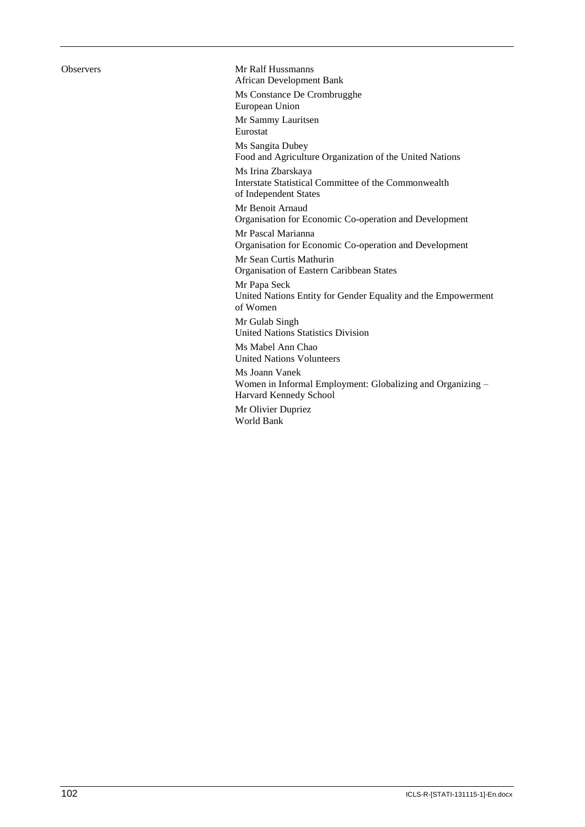Observers Mr Ralf Hussmanns African Development Bank Ms Constance De Crombrugghe European Union Mr Sammy Lauritsen Eurostat Ms Sangita Dubey Food and Agriculture Organization of the United Nations Ms Irina Zbarskaya Interstate Statistical Committee of the Commonwealth of Independent States Mr Benoit Arnaud Organisation for Economic Co-operation and Development Mr Pascal Marianna Organisation for Economic Co-operation and Development Mr Sean Curtis Mathurin Organisation of Eastern Caribbean States Mr Papa Seck United Nations Entity for Gender Equality and the Empowerment of Women Mr Gulab Singh United Nations Statistics Division Ms Mabel Ann Chao United Nations Volunteers Ms Joann Vanek Women in Informal Employment: Globalizing and Organizing – Harvard Kennedy School Mr Olivier Dupriez World Bank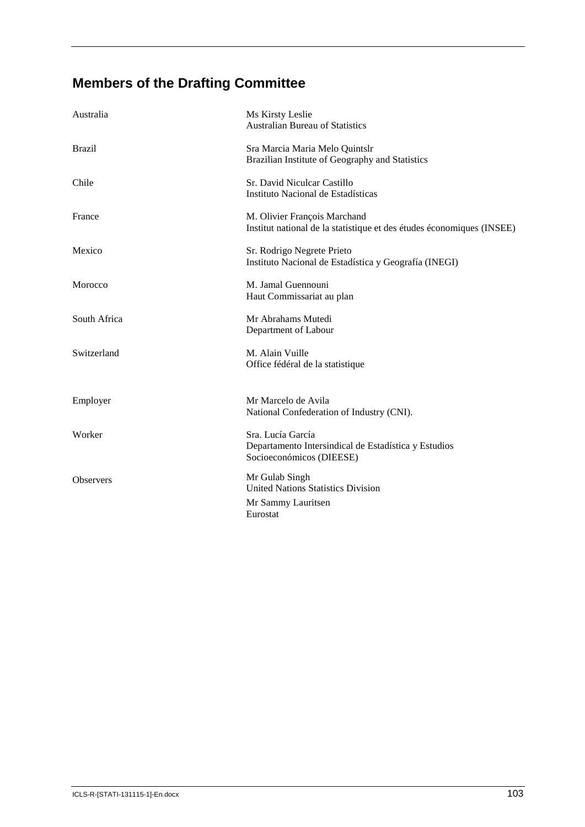# **Members of the Drafting Committee**

| Australia        | Ms Kirsty Leslie<br><b>Australian Bureau of Statistics</b>                                            |
|------------------|-------------------------------------------------------------------------------------------------------|
| <b>Brazil</b>    | Sra Marcia Maria Melo Quintslr<br>Brazilian Institute of Geography and Statistics                     |
| Chile            | Sr. David Niculcar Castillo<br>Instituto Nacional de Estadísticas                                     |
| France           | M. Olivier François Marchand<br>Institut national de la statistique et des études économiques (INSEE) |
| Mexico           | Sr. Rodrigo Negrete Prieto<br>Instituto Nacional de Estadística y Geografía (INEGI)                   |
| Morocco          | M. Jamal Guennouni<br>Haut Commissariat au plan                                                       |
| South Africa     | Mr Abrahams Mutedi<br>Department of Labour                                                            |
| Switzerland      | M. Alain Vuille<br>Office fédéral de la statistique                                                   |
| Employer         | Mr Marcelo de Avila<br>National Confederation of Industry (CNI).                                      |
| Worker           | Sra. Lucía García<br>Departamento Intersindical de Estadística y Estudios<br>Socioeconómicos (DIEESE) |
| <b>Observers</b> | Mr Gulab Singh<br><b>United Nations Statistics Division</b><br>Mr Sammy Lauritsen<br>Eurostat         |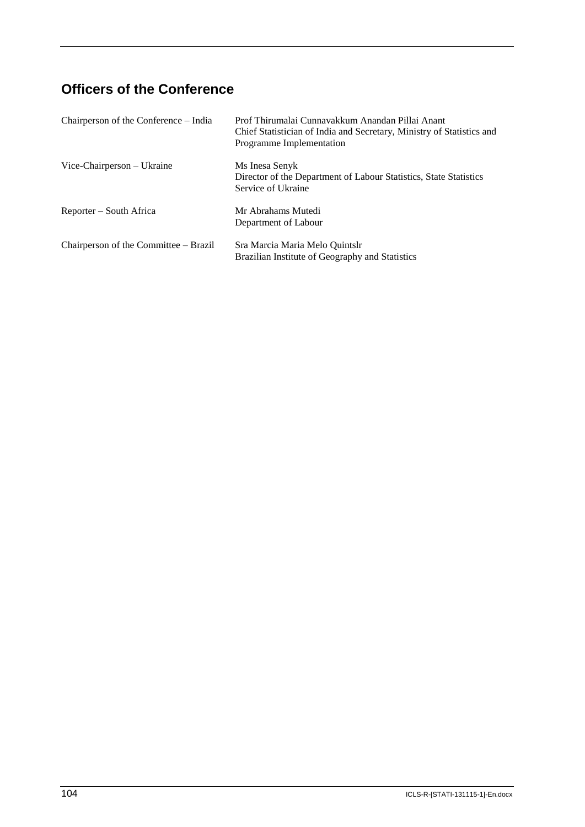# **Officers of the Conference**

| Chairperson of the Conference – India | Prof Thirumalai Cunnavakkum Anandan Pillai Anant<br>Chief Statistician of India and Secretary, Ministry of Statistics and<br>Programme Implementation |
|---------------------------------------|-------------------------------------------------------------------------------------------------------------------------------------------------------|
| Vice-Chairperson – Ukraine            | Ms Inesa Senyk<br>Director of the Department of Labour Statistics, State Statistics<br>Service of Ukraine                                             |
| Reporter – South Africa               | Mr Abrahams Mutedi<br>Department of Labour                                                                                                            |
| Chairperson of the Committee - Brazil | Sra Marcia Maria Melo Quintslr<br>Brazilian Institute of Geography and Statistics                                                                     |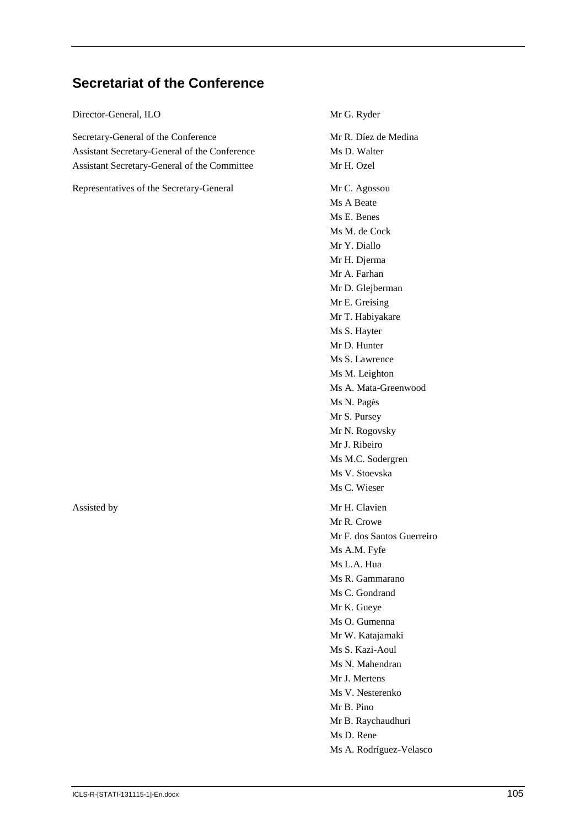## **Secretariat of the Conference**

Director-General, ILO Mr G. Ryder

Secretary-General of the Conference Assistant Secretary-General of the Conference Assistant Secretary-General of the Committee

Representatives of the Secretary-General Mr C. Agossou

Mr R. Díez de Medina Ms D. Walter Mr H. Ozel Ms A Beate Ms E. Benes Ms M. de Cock Mr Y. Diallo Mr H. Djerma Mr A. Farhan Mr D. Glejberman Mr E. Greising Mr T. Habiyakare Ms S. Hayter Mr D. Hunter Ms S. Lawrence Ms M. Leighton Ms A. Mata-Greenwood Ms N. Pagès Mr S. Pursey Mr N. Rogovsky Mr J. Ribeiro Ms M.C. Sodergren Ms V. Stoevska Ms C. Wieser Assisted by Mr H. Clavien Mr R. Crowe Mr F. dos Santos Guerreiro Ms A.M. Fyfe Ms L.A. Hua Ms R. Gammarano Ms C. Gondrand Mr K. Gueye Ms O. Gumenna Mr W. Katajamaki Ms S. Kazi-Aoul Ms N. Mahendran Mr J. Mertens Ms V. Nesterenko Mr B. Pino Mr B. Raychaudhuri Ms D. Rene Ms A. Rodríguez-Velasco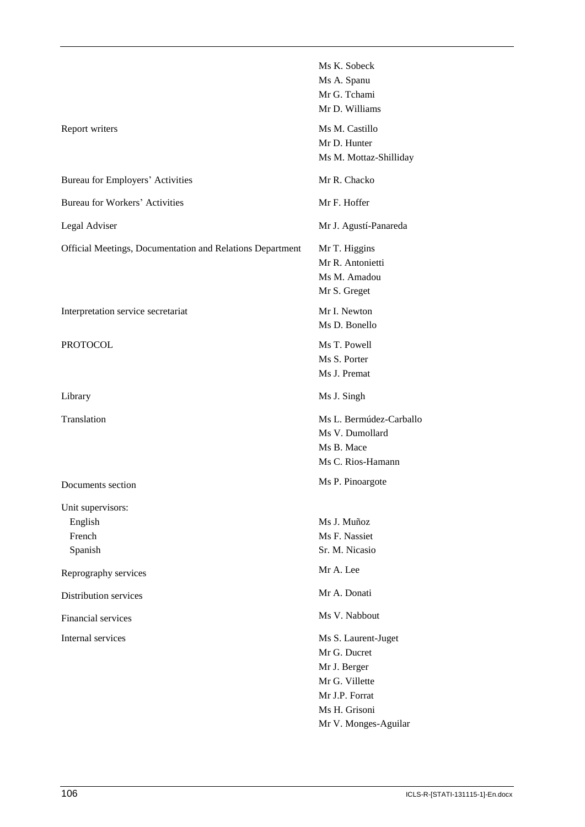|                                                           | Ms K. Sobeck            |
|-----------------------------------------------------------|-------------------------|
|                                                           | Ms A. Spanu             |
|                                                           | Mr G. Tchami            |
|                                                           | Mr D. Williams          |
| Report writers                                            | Ms M. Castillo          |
|                                                           | Mr D. Hunter            |
|                                                           | Ms M. Mottaz-Shilliday  |
| Bureau for Employers' Activities                          | Mr R. Chacko            |
| <b>Bureau for Workers' Activities</b>                     | Mr F. Hoffer            |
| Legal Adviser                                             | Mr J. Agustí-Panareda   |
| Official Meetings, Documentation and Relations Department | Mr T. Higgins           |
|                                                           | Mr R. Antonietti        |
|                                                           | Ms M. Amadou            |
|                                                           | Mr S. Greget            |
| Interpretation service secretariat                        | Mr I. Newton            |
|                                                           | Ms D. Bonello           |
| <b>PROTOCOL</b>                                           | Ms T. Powell            |
|                                                           | Ms S. Porter            |
|                                                           | Ms J. Premat            |
| Library                                                   | Ms J. Singh             |
| Translation                                               | Ms L. Bermúdez-Carballo |
|                                                           | Ms V. Dumollard         |
|                                                           | Ms B. Mace              |
|                                                           | Ms C. Rios-Hamann       |
| Documents section                                         | Ms P. Pinoargote        |
| Unit supervisors:                                         |                         |
| English                                                   | Ms J. Muñoz             |
| French                                                    | Ms F. Nassiet           |
| Spanish                                                   | Sr. M. Nicasio          |
| Reprography services                                      | Mr A. Lee               |
| Distribution services                                     | Mr A. Donati            |
| Financial services                                        | Ms V. Nabbout           |
| Internal services                                         | Ms S. Laurent-Juget     |
|                                                           | Mr G. Ducret            |
|                                                           | Mr J. Berger            |
|                                                           | Mr G. Villette          |
|                                                           | Mr J.P. Forrat          |
|                                                           | Ms H. Grisoni           |
|                                                           | Mr V. Monges-Aguilar    |